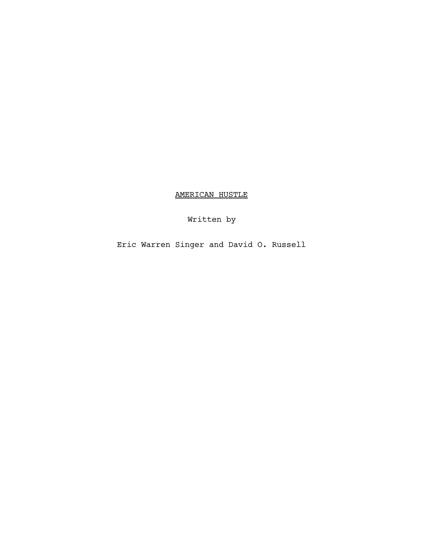AMERICAN HUSTLE

Written by

Eric Warren Singer and David O. Russell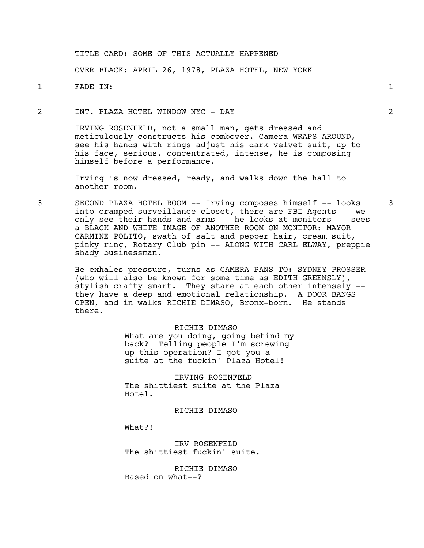## TITLE CARD: SOME OF THIS ACTUALLY HAPPENED

OVER BLACK: APRIL 26, 1978, PLAZA HOTEL, NEW YORK

1 FADE IN: 1

#### 2 INT. PLAZA HOTEL WINDOW NYC - DAY 2

IRVING ROSENFELD, not a small man, gets dressed and meticulously constructs his combover. Camera WRAPS AROUND, see his hands with rings adjust his dark velvet suit, up to his face, serious, concentrated, intense, he is composing himself before a performance.

Irving is now dressed, ready, and walks down the hall to another room.

3 SECOND PLAZA HOTEL ROOM -- Irving composes himself -- looks 3 into cramped surveillance closet, there are FBI Agents -- we only see their hands and arms -- he looks at monitors -- sees a BLACK AND WHITE IMAGE OF ANOTHER ROOM ON MONITOR: MAYOR CARMINE POLITO, swath of salt and pepper hair, cream suit, pinky ring, Rotary Club pin -- ALONG WITH CARL ELWAY, preppie shady businessman.

> He exhales pressure, turns as CAMERA PANS TO: SYDNEY PROSSER (who will also be known for some time as EDITH GREENSLY), stylish crafty smart. They stare at each other intensely - they have a deep and emotional relationship. A DOOR BANGS OPEN, and in walks RICHIE DIMASO, Bronx-born. He stands there.

> > RICHIE DIMASO What are you doing, going behind my back? Telling people I'm screwing up this operation? I got you a suite at the fuckin' Plaza Hotel!

IRVING ROSENFELD The shittiest suite at the Plaza Hotel.

#### RICHIE DIMASO

What?!

IRV ROSENFELD The shittiest fuckin' suite.

RICHIE DIMASO Based on what--?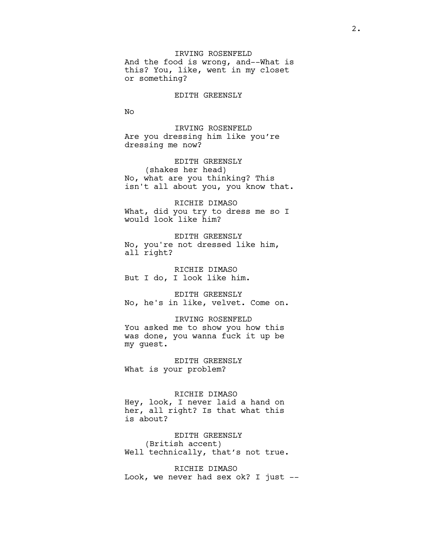IRVING ROSENFELD And the food is wrong, and--What is this? You, like, went in my closet or something?

EDITH GREENSLY

No

IRVING ROSENFELD Are you dressing him like you're dressing me now?

EDITH GREENSLY (shakes her head) No, what are you thinking? This isn't all about you, you know that.

RICHIE DIMASO What, did you try to dress me so I would look like him?

EDITH GREENSLY No, you're not dressed like him, all right?

RICHIE DIMASO But I do, I look like him.

EDITH GREENSLY No, he's in like, velvet. Come on.

#### IRVING ROSENFELD

You asked me to show you how this was done, you wanna fuck it up be my guest.

EDITH GREENSLY What is your problem?

#### RICHIE DIMASO

Hey, look, I never laid a hand on her, all right? Is that what this is about?

EDITH GREENSLY (British accent)

Well technically, that's not true.

RICHIE DIMASO Look, we never had sex ok? I just --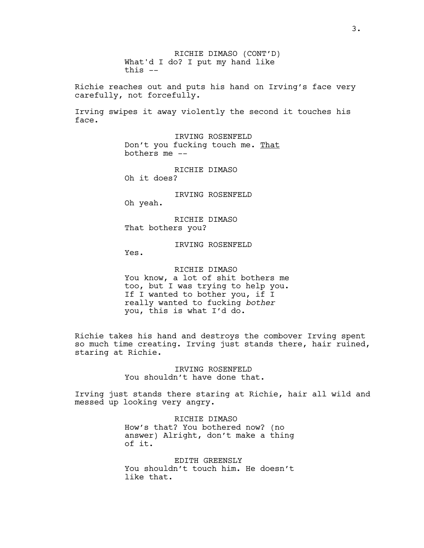RICHIE DIMASO (CONT'D) What'd I do? I put my hand like this --

Richie reaches out and puts his hand on Irving's face very carefully, not forcefully.

Irving swipes it away violently the second it touches his face.

> IRVING ROSENFELD Don't you fucking touch me. That bothers me --

RICHIE DIMASO Oh it does?

IRVING ROSENFELD

Oh yeah.

RICHIE DIMASO That bothers you?

IRVING ROSENFELD

Yes.

RICHIE DIMASO You know, a lot of shit bothers me too, but I was trying to help you. If I wanted to bother you, if I really wanted to fucking *bother* you, this is what I'd do.

Richie takes his hand and destroys the combover Irving spent so much time creating. Irving just stands there, hair ruined, staring at Richie.

> IRVING ROSENFELD You shouldn't have done that.

Irving just stands there staring at Richie, hair all wild and messed up looking very angry.

> RICHIE DIMASO How's that? You bothered now? (no answer) Alright, don't make a thing of it.

> EDITH GREENSLY You shouldn't touch him. He doesn't like that.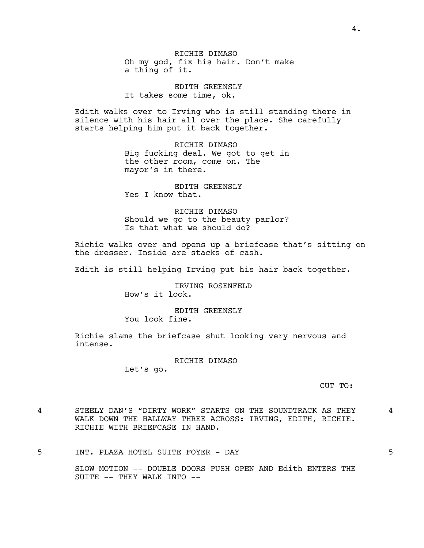RICHIE DIMASO Oh my god, fix his hair. Don't make a thing of it.

EDITH GREENSLY It takes some time, ok.

Edith walks over to Irving who is still standing there in silence with his hair all over the place. She carefully starts helping him put it back together.

> RICHIE DIMASO Big fucking deal. We got to get in the other room, come on. The mayor's in there.

EDITH GREENSLY Yes I know that.

RICHIE DIMASO Should we go to the beauty parlor? Is that what we should do?

Richie walks over and opens up a briefcase that's sitting on the dresser. Inside are stacks of cash.

Edith is still helping Irving put his hair back together.

IRVING ROSENFELD How's it look.

EDITH GREENSLY You look fine.

Richie slams the briefcase shut looking very nervous and intense.

RICHIE DIMASO

Let's go.

CUT TO:

4 STEELY DAN'S "DIRTY WORK" STARTS ON THE SOUNDTRACK AS THEY 4 WALK DOWN THE HALLWAY THREE ACROSS: IRVING, EDITH, RICHIE. RICHIE WITH BRIEFCASE IN HAND.

5 INT. PLAZA HOTEL SUITE FOYER - DAY 5

SLOW MOTION -- DOUBLE DOORS PUSH OPEN AND Edith ENTERS THE SUITE -- THEY WALK INTO --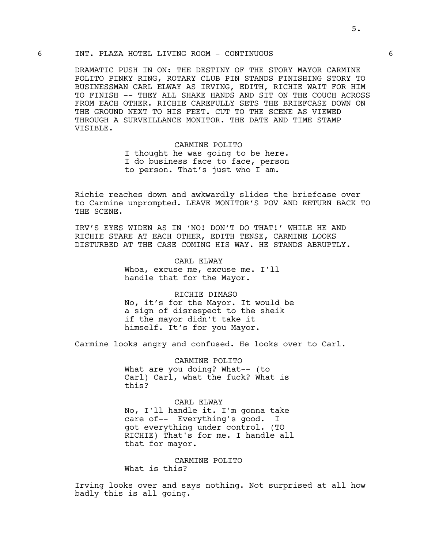## 6 INT. PLAZA HOTEL LIVING ROOM - CONTINUOUS 6

DRAMATIC PUSH IN ON: THE DESTINY OF THE STORY MAYOR CARMINE POLITO PINKY RING, ROTARY CLUB PIN STANDS FINISHING STORY TO BUSINESSMAN CARL ELWAY AS IRVING, EDITH, RICHIE WAIT FOR HIM TO FINISH -- THEY ALL SHAKE HANDS AND SIT ON THE COUCH ACROSS FROM EACH OTHER. RICHIE CAREFULLY SETS THE BRIEFCASE DOWN ON THE GROUND NEXT TO HIS FEET. CUT TO THE SCENE AS VIEWED THROUGH A SURVEILLANCE MONITOR. THE DATE AND TIME STAMP VISIBLE.

> CARMINE POLITO I thought he was going to be here. I do business face to face, person to person. That's just who I am.

Richie reaches down and awkwardly slides the briefcase over to Carmine unprompted. LEAVE MONITOR'S POV AND RETURN BACK TO THE SCENE.

IRV'S EYES WIDEN AS IN 'NO! DON'T DO THAT!' WHILE HE AND RICHIE STARE AT EACH OTHER, EDITH TENSE, CARMINE LOOKS DISTURBED AT THE CASE COMING HIS WAY. HE STANDS ABRUPTLY.

> CARL ELWAY Whoa, excuse me, excuse me. I'll handle that for the Mayor.

RICHIE DIMASO No, it's for the Mayor. It would be a sign of disrespect to the sheik if the mayor didn't take it himself. It's for you Mayor.

Carmine looks angry and confused. He looks over to Carl.

CARMINE POLITO What are you doing? What-- (to Carl) Carl, what the fuck? What is this?

CARL ELWAY No, I'll handle it. I'm gonna take care of-- Everything's good. I got everything under control. (TO RICHIE) That's for me. I handle all that for mayor.

CARMINE POLITO What is this?

Irving looks over and says nothing. Not surprised at all how badly this is all going.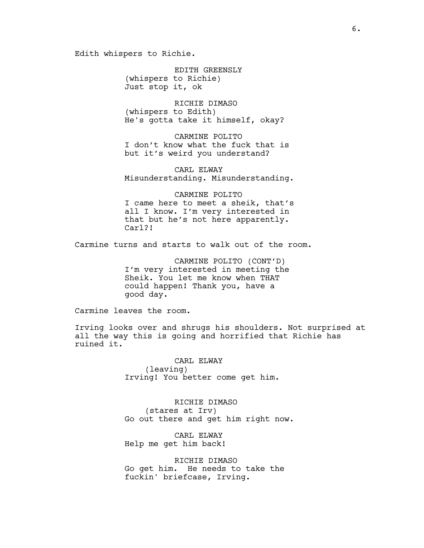Edith whispers to Richie.

EDITH GREENSLY (whispers to Richie) Just stop it, ok

RICHIE DIMASO (whispers to Edith) He's gotta take it himself, okay?

CARMINE POLITO I don't know what the fuck that is but it's weird you understand?

CARL ELWAY Misunderstanding. Misunderstanding.

CARMINE POLITO I came here to meet a sheik, that's all I know. I'm very interested in that but he's not here apparently. Carl?!

Carmine turns and starts to walk out of the room.

CARMINE POLITO (CONT'D) I'm very interested in meeting the Sheik. You let me know when THAT could happen! Thank you, have a good day.

Carmine leaves the room.

Irving looks over and shrugs his shoulders. Not surprised at all the way this is going and horrified that Richie has ruined it.

> CARL ELWAY (leaving) Irving! You better come get him.

RICHIE DIMASO (stares at Irv) Go out there and get him right now.

CARL ELWAY Help me get him back!

RICHIE DIMASO Go get him. He needs to take the fuckin' briefcase, Irving.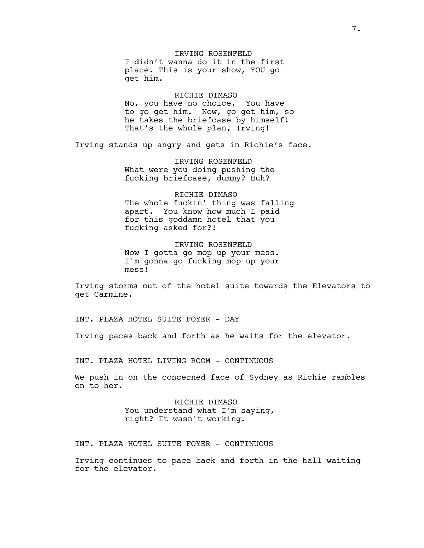IRVING ROSENFELD I didn't wanna do it in the first place. This is your show, YOU go get him.

RICHIE DIMASO No, you have no choice. You have to go get him. Now, go get him, so he takes the briefcase by himself! That's the whole plan, Irving!

Irving stands up angry and gets in Richie's face.

IRVING ROSENFELD What were you doing pushing the fucking briefcase, dummy? Huh?

RICHIE DIMASO The whole fuckin' thing was falling apart. You know how much I paid for this goddamn hotel that you fucking asked for?!

IRVING ROSENFELD Now I gotta go mop up your mess. I'm gonna go fucking mop up your mess!

Irving storms out of the hotel suite towards the Elevators to get Carmine.

INT. PLAZA HOTEL SUITE FOYER - DAY

Irving paces back and forth as he waits for the elevator.

INT. PLAZA HOTEL LIVING ROOM - CONTINUOUS

We push in on the concerned face of Sydney as Richie rambles on to her.

> RICHIE DIMASO You understand what I'm saying, right? It wasn't working.

INT. PLAZA HOTEL SUITE FOYER - CONTINUOUS

Irving continues to pace back and forth in the hall waiting for the elevator.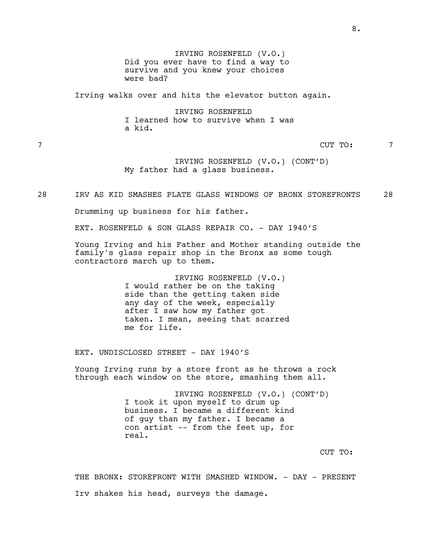IRVING ROSENFELD (V.O.) Did you ever have to find a way to survive and you knew your choices were bad?

Irving walks over and hits the elevator button again.

IRVING ROSENFELD I learned how to survive when I was a kid.

7 CUT TO: 7

IRVING ROSENFELD (V.O.) (CONT'D) My father had a glass business.

28 IRV AS KID SMASHES PLATE GLASS WINDOWS OF BRONX STOREFRONTS 28

Drumming up business for his father.

EXT. ROSENFELD & SON GLASS REPAIR CO. - DAY 1940'S

Young Irving and his Father and Mother standing outside the family's glass repair shop in the Bronx as some tough contractors march up to them.

> IRVING ROSENFELD (V.O.) I would rather be on the taking side than the getting taken side any day of the week, especially after I saw how my father got taken. I mean, seeing that scarred me for life.

EXT. UNDISCLOSED STREET - DAY 1940'S

Young Irving runs by a store front as he throws a rock through each window on the store, smashing them all.

> IRVING ROSENFELD (V.O.) (CONT'D) I took it upon myself to drum up business. I became a different kind of guy than my father. I became a con artist -- from the feet up, for real.

> > CUT TO:

THE BRONX: STOREFRONT WITH SMASHED WINDOW. - DAY - PRESENT Irv shakes his head, surveys the damage.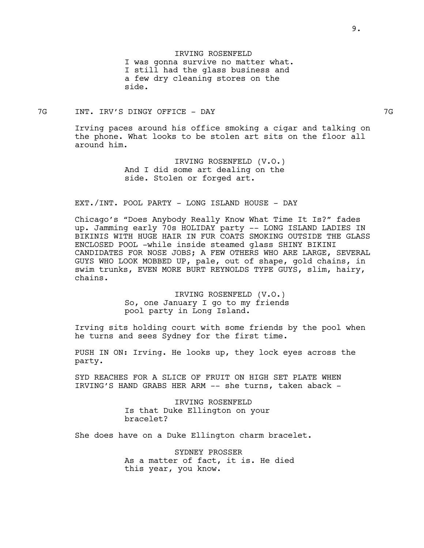IRVING ROSENFELD I was gonna survive no matter what. I still had the glass business and a few dry cleaning stores on the side.

#### 7G INT. IRV'S DINGY OFFICE - DAY 7G

Irving paces around his office smoking a cigar and talking on the phone. What looks to be stolen art sits on the floor all around him.

> IRVING ROSENFELD (V.O.) And I did some art dealing on the side. Stolen or forged art.

#### EXT./INT. POOL PARTY - LONG ISLAND HOUSE - DAY

Chicago's "Does Anybody Really Know What Time It Is?" fades up. Jamming early 70s HOLIDAY party -- LONG ISLAND LADIES IN BIKINIS WITH HUGE HAIR IN FUR COATS SMOKING OUTSIDE THE GLASS ENCLOSED POOL -while inside steamed glass SHINY BIKINI CANDIDATES FOR NOSE JOBS; A FEW OTHERS WHO ARE LARGE, SEVERAL GUYS WHO LOOK MOBBED UP, pale, out of shape, gold chains, in swim trunks, EVEN MORE BURT REYNOLDS TYPE GUYS, slim, hairy, chains.

> IRVING ROSENFELD (V.O.) So, one January I go to my friends pool party in Long Island.

Irving sits holding court with some friends by the pool when he turns and sees Sydney for the first time.

PUSH IN ON: Irving. He looks up, they lock eyes across the party.

SYD REACHES FOR A SLICE OF FRUIT ON HIGH SET PLATE WHEN IRVING'S HAND GRABS HER ARM -- she turns, taken aback -

> IRVING ROSENFELD Is that Duke Ellington on your bracelet?

She does have on a Duke Ellington charm bracelet.

SYDNEY PROSSER As a matter of fact, it is. He died this year, you know.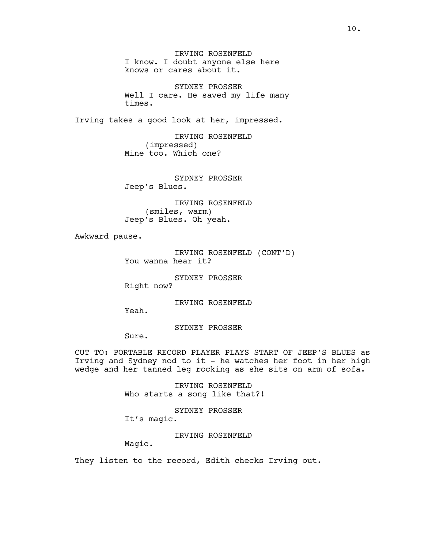IRVING ROSENFELD I know. I doubt anyone else here knows or cares about it.

SYDNEY PROSSER Well I care. He saved my life many times.

Irving takes a good look at her, impressed.

IRVING ROSENFELD (impressed) Mine too. Which one?

SYDNEY PROSSER Jeep's Blues.

IRVING ROSENFELD (smiles, warm) Jeep's Blues. Oh yeah.

Awkward pause.

IRVING ROSENFELD (CONT'D) You wanna hear it?

SYDNEY PROSSER Right now?

IRVING ROSENFELD

SYDNEY PROSSER

Sure.

Yeah.

CUT TO: PORTABLE RECORD PLAYER PLAYS START OF JEEP'S BLUES as Irving and Sydney nod to it - he watches her foot in her high wedge and her tanned leg rocking as she sits on arm of sofa.

> IRVING ROSENFELD Who starts a song like that?!

SYDNEY PROSSER It's magic.

IRVING ROSENFELD

Magic.

They listen to the record, Edith checks Irving out.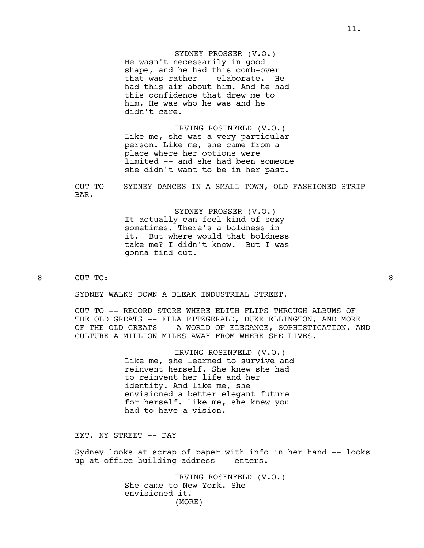SYDNEY PROSSER (V.O.) He wasn't necessarily in good shape, and he had this comb-over that was rather -- elaborate. He had this air about him. And he had this confidence that drew me to him. He was who he was and he didn't care.

IRVING ROSENFELD (V.O.) Like me, she was a very particular person. Like me, she came from a place where her options were limited -- and she had been someone she didn't want to be in her past.

CUT TO -- SYDNEY DANCES IN A SMALL TOWN, OLD FASHIONED STRIP BAR.

> SYDNEY PROSSER (V.O.) It actually can feel kind of sexy sometimes. There's a boldness in it. But where would that boldness take me? I didn't know. But I was gonna find out.

# 8 CUT TO: 8

SYDNEY WALKS DOWN A BLEAK INDUSTRIAL STREET.

CUT TO -- RECORD STORE WHERE EDITH FLIPS THROUGH ALBUMS OF THE OLD GREATS -- ELLA FITZGERALD, DUKE ELLINGTON, AND MORE OF THE OLD GREATS -- A WORLD OF ELEGANCE, SOPHISTICATION, AND CULTURE A MILLION MILES AWAY FROM WHERE SHE LIVES.

> IRVING ROSENFELD (V.O.) Like me, she learned to survive and reinvent herself. She knew she had to reinvent her life and her identity. And like me, she envisioned a better elegant future for herself. Like me, she knew you had to have a vision.

EXT. NY STREET -- DAY

Sydney looks at scrap of paper with info in her hand -- looks up at office building address -- enters.

> IRVING ROSENFELD (V.O.) She came to New York. She envisioned it. (MORE)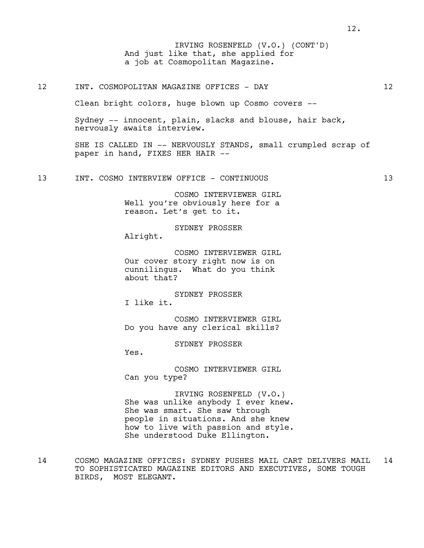And just like that, she applied for a job at Cosmopolitan Magazine. IRVING ROSENFELD (V.O.) (CONT'D)

### 12 INT. COSMOPOLITAN MAGAZINE OFFICES - DAY 12

Clean bright colors, huge blown up Cosmo covers --

Sydney -- innocent, plain, slacks and blouse, hair back, nervously awaits interview.

SHE IS CALLED IN -- NERVOUSLY STANDS, small crumpled scrap of paper in hand, FIXES HER HAIR --

13 INT. COSMO INTERVIEW OFFICE - CONTINUOUS 13

COSMO INTERVIEWER GIRL Well you're obviously here for a reason. Let's get to it.

SYDNEY PROSSER

Alright.

COSMO INTERVIEWER GIRL Our cover story right now is on cunnilingus. What do you think about that?

SYDNEY PROSSER I like it.

COSMO INTERVIEWER GIRL Do you have any clerical skills?

SYDNEY PROSSER

Yes.

COSMO INTERVIEWER GIRL Can you type?

IRVING ROSENFELD (V.O.) She was unlike anybody I ever knew. She was smart. She saw through people in situations. And she knew how to live with passion and style. She understood Duke Ellington.

14 COSMO MAGAZINE OFFICES: SYDNEY PUSHES MAIL CART DELIVERS MAIL 14 TO SOPHISTICATED MAGAZINE EDITORS AND EXECUTIVES, SOME TOUGH BIRDS, MOST ELEGANT.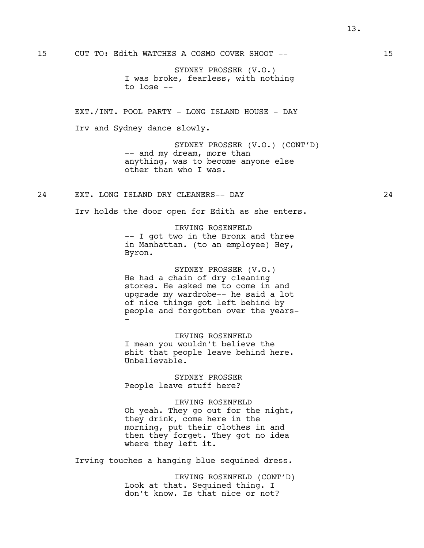SYDNEY PROSSER (V.O.) I was broke, fearless, with nothing to lose --

EXT./INT. POOL PARTY - LONG ISLAND HOUSE - DAY Irv and Sydney dance slowly.

> SYDNEY PROSSER (V.O.) (CONT'D) -- and my dream, more than anything, was to become anyone else other than who I was.

24 EXT. LONG ISLAND DRY CLEANERS-- DAY 24

Irv holds the door open for Edith as she enters.

IRVING ROSENFELD

-- I got two in the Bronx and three in Manhattan. (to an employee) Hey, Byron.

SYDNEY PROSSER (V.O.) He had a chain of dry cleaning stores. He asked me to come in and upgrade my wardrobe-- he said a lot of nice things got left behind by people and forgotten over the years- -

IRVING ROSENFELD I mean you wouldn't believe the shit that people leave behind here. Unbelievable.

SYDNEY PROSSER People leave stuff here?

IRVING ROSENFELD Oh yeah. They go out for the night, they drink, come here in the morning, put their clothes in and then they forget. They got no idea where they left it.

Irving touches a hanging blue sequined dress.

IRVING ROSENFELD (CONT'D) Look at that. Sequined thing. I don't know. Is that nice or not?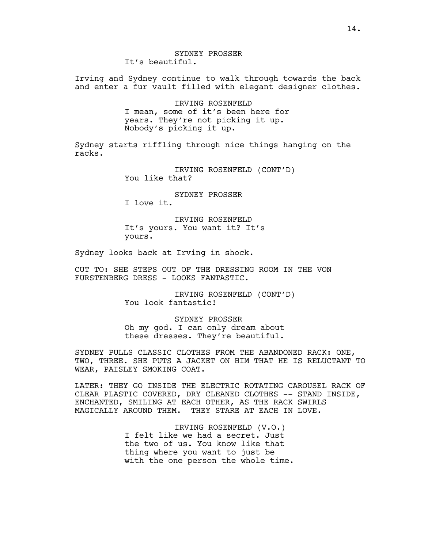Irving and Sydney continue to walk through towards the back and enter a fur vault filled with elegant designer clothes.

> IRVING ROSENFELD I mean, some of it's been here for years. They're not picking it up. Nobody's picking it up.

Sydney starts riffling through nice things hanging on the racks.

> IRVING ROSENFELD (CONT'D) You like that?

> > SYDNEY PROSSER

I love it.

IRVING ROSENFELD It's yours. You want it? It's yours.

Sydney looks back at Irving in shock.

CUT TO: SHE STEPS OUT OF THE DRESSING ROOM IN THE VON FURSTENBERG DRESS - LOOKS FANTASTIC.

> IRVING ROSENFELD (CONT'D) You look fantastic!

SYDNEY PROSSER Oh my god. I can only dream about these dresses. They're beautiful.

SYDNEY PULLS CLASSIC CLOTHES FROM THE ABANDONED RACK: ONE, TWO, THREE. SHE PUTS A JACKET ON HIM THAT HE IS RELUCTANT TO WEAR, PAISLEY SMOKING COAT.

LATER: THEY GO INSIDE THE ELECTRIC ROTATING CAROUSEL RACK OF CLEAR PLASTIC COVERED, DRY CLEANED CLOTHES -- STAND INSIDE, ENCHANTED, SMILING AT EACH OTHER, AS THE RACK SWIRLS MAGICALLY AROUND THEM. THEY STARE AT EACH IN LOVE.

> IRVING ROSENFELD (V.O.) I felt like we had a secret. Just the two of us. You know like that thing where you want to just be with the one person the whole time.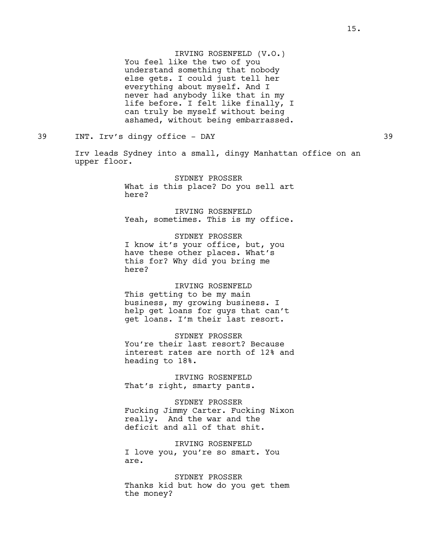IRVING ROSENFELD (V.O.) You feel like the two of you understand something that nobody else gets. I could just tell her everything about myself. And I never had anybody like that in my life before. I felt like finally, I can truly be myself without being ashamed, without being embarrassed.

39 INT. Irv's dingy office - DAY 39

Irv leads Sydney into a small, dingy Manhattan office on an upper floor.

> SYDNEY PROSSER What is this place? Do you sell art here?

> IRVING ROSENFELD Yeah, sometimes. This is my office.

SYDNEY PROSSER I know it's your office, but, you have these other places. What's this for? Why did you bring me here?

IRVING ROSENFELD This getting to be my main business, my growing business. I help get loans for guys that can't get loans. I'm their last resort.

SYDNEY PROSSER You're their last resort? Because interest rates are north of 12% and heading to 18%.

IRVING ROSENFELD That's right, smarty pants.

SYDNEY PROSSER Fucking Jimmy Carter. Fucking Nixon really. And the war and the deficit and all of that shit.

IRVING ROSENFELD I love you, you're so smart. You are.

SYDNEY PROSSER Thanks kid but how do you get them the money?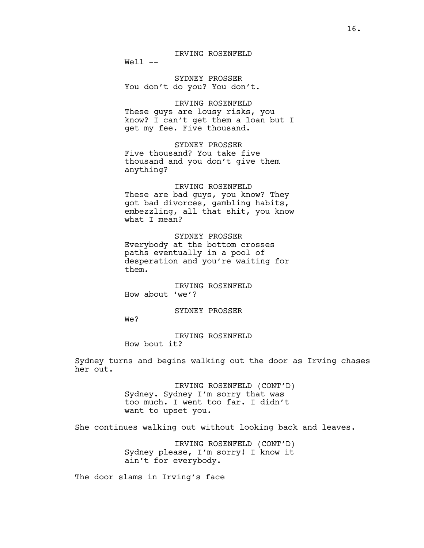IRVING ROSENFELD

 $Well --$ 

SYDNEY PROSSER You don't do you? You don't.

IRVING ROSENFELD These guys are lousy risks, you know? I can't get them a loan but I get my fee. Five thousand.

SYDNEY PROSSER Five thousand? You take five thousand and you don't give them anything?

IRVING ROSENFELD These are bad guys, you know? They got bad divorces, gambling habits, embezzling, all that shit, you know what I mean?

SYDNEY PROSSER Everybody at the bottom crosses paths eventually in a pool of desperation and you're waiting for them.

IRVING ROSENFELD How about 'we'?

### SYDNEY PROSSER

We?

IRVING ROSENFELD How bout it?

Sydney turns and begins walking out the door as Irving chases her out.

> IRVING ROSENFELD (CONT'D) Sydney. Sydney I'm sorry that was too much. I went too far. I didn't want to upset you.

She continues walking out without looking back and leaves.

IRVING ROSENFELD (CONT'D) Sydney please, I'm sorry! I know it ain't for everybody.

The door slams in Irving's face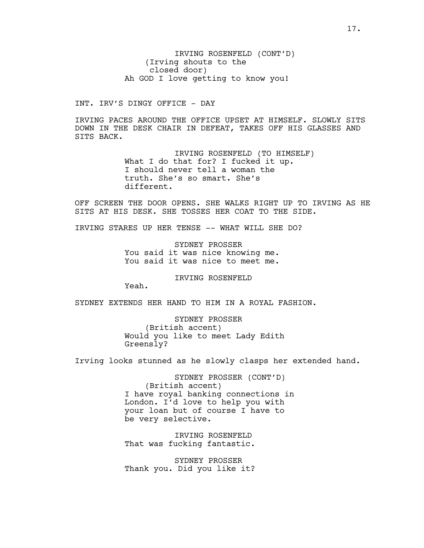IRVING ROSENFELD (CONT'D) (Irving shouts to the closed door) Ah GOD I love getting to know you!

INT. IRV'S DINGY OFFICE - DAY

IRVING PACES AROUND THE OFFICE UPSET AT HIMSELF. SLOWLY SITS DOWN IN THE DESK CHAIR IN DEFEAT, TAKES OFF HIS GLASSES AND SITS BACK.

> IRVING ROSENFELD (TO HIMSELF) What I do that for? I fucked it up. I should never tell a woman the truth. She's so smart. She's different.

OFF SCREEN THE DOOR OPENS. SHE WALKS RIGHT UP TO IRVING AS HE SITS AT HIS DESK. SHE TOSSES HER COAT TO THE SIDE.

IRVING STARES UP HER TENSE -- WHAT WILL SHE DO?

SYDNEY PROSSER You said it was nice knowing me. You said it was nice to meet me.

IRVING ROSENFELD

Yeah.

SYDNEY EXTENDS HER HAND TO HIM IN A ROYAL FASHION.

SYDNEY PROSSER (British accent) Would you like to meet Lady Edith Greensly?

Irving looks stunned as he slowly clasps her extended hand.

SYDNEY PROSSER (CONT'D) (British accent) I have royal banking connections in London. I'd love to help you with your loan but of course I have to be very selective.

IRVING ROSENFELD That was fucking fantastic.

SYDNEY PROSSER Thank you. Did you like it?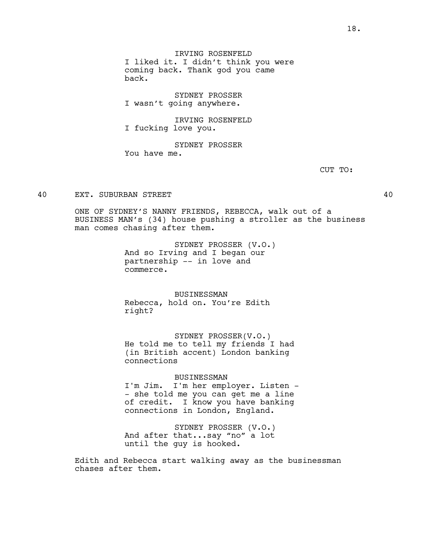IRVING ROSENFELD I liked it. I didn't think you were coming back. Thank god you came back.

SYDNEY PROSSER I wasn't going anywhere.

IRVING ROSENFELD I fucking love you.

SYDNEY PROSSER You have me.

CUT TO:

### 40 EXT. SUBURBAN STREET 40

ONE OF SYDNEY'S NANNY FRIENDS, REBECCA, walk out of a BUSINESS MAN's (34) house pushing a stroller as the business man comes chasing after them.

> SYDNEY PROSSER (V.O.) And so Irving and I began our partnership -- in love and commerce.

BUSINESSMAN Rebecca, hold on. You're Edith right?

SYDNEY PROSSER(V.O.) He told me to tell my friends I had (in British accent) London banking connections

BUSINESSMAN I'm Jim. I'm her employer. Listen - - she told me you can get me a line of credit. I know you have banking connections in London, England.

SYDNEY PROSSER (V.O.) And after that...say "no" a lot until the guy is hooked.

Edith and Rebecca start walking away as the businessman chases after them.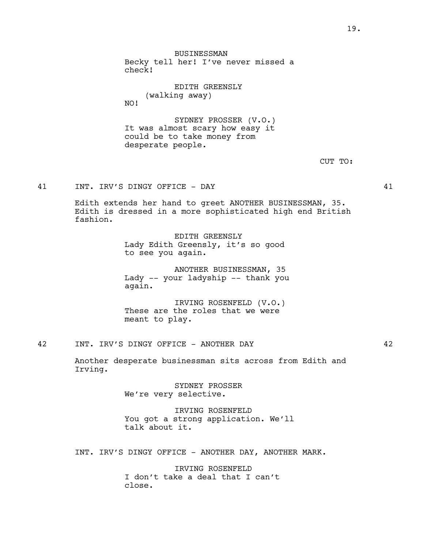BUSINESSMAN Becky tell her! I've never missed a check!

> EDITH GREENSLY (walking away)

SYDNEY PROSSER (V.O.) It was almost scary how easy it could be to take money from desperate people.

41 INT. IRV'S DINGY OFFICE - DAY 41

NO!

Edith extends her hand to greet ANOTHER BUSINESSMAN, 35. Edith is dressed in a more sophisticated high end British fashion.

> EDITH GREENSLY Lady Edith Greensly, it's so good to see you again.

ANOTHER BUSINESSMAN, 35 Lady -- your ladyship -- thank you again.

IRVING ROSENFELD (V.O.) These are the roles that we were meant to play.

42 INT. IRV'S DINGY OFFICE - ANOTHER DAY 42

Another desperate businessman sits across from Edith and Irving.

> SYDNEY PROSSER We're very selective.

IRVING ROSENFELD You got a strong application. We'll talk about it.

INT. IRV'S DINGY OFFICE - ANOTHER DAY, ANOTHER MARK.

IRVING ROSENFELD I don't take a deal that I can't close.

CUT TO: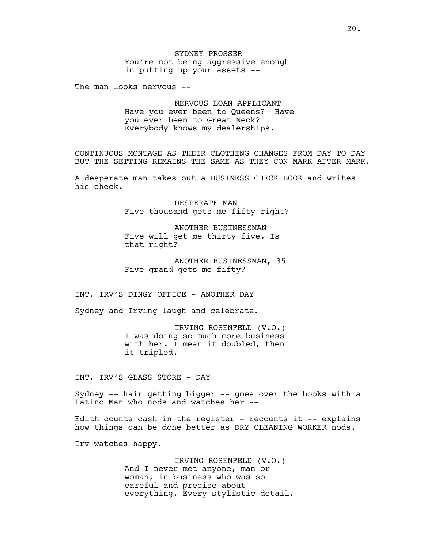The man looks nervous --

NERVOUS LOAN APPLICANT Have you ever been to Queens? Have you ever been to Great Neck? Everybody knows my dealerships.

CONTINUOUS MONTAGE AS THEIR CLOTHING CHANGES FROM DAY TO DAY BUT THE SETTING REMAINS THE SAME AS THEY CON MARK AFTER MARK.

A desperate man takes out a BUSINESS CHECK BOOK and writes his check.

> DESPERATE MAN Five thousand gets me fifty right?

ANOTHER BUSINESSMAN Five will get me thirty five. Is that right?

ANOTHER BUSINESSMAN, 35 Five grand gets me fifty?

INT. IRV'S DINGY OFFICE - ANOTHER DAY

Sydney and Irving laugh and celebrate.

IRVING ROSENFELD (V.O.) I was doing so much more business with her. I mean it doubled, then it tripled.

INT. IRV'S GLASS STORE - DAY

Sydney -- hair getting bigger -- goes over the books with a Latino Man who nods and watches her --

Edith counts cash in the register - recounts it  $-$  explains how things can be done better as DRY CLEANING WORKER nods.

Irv watches happy.

IRVING ROSENFELD (V.O.) And I never met anyone, man or woman, in business who was so careful and precise about everything. Every stylistic detail.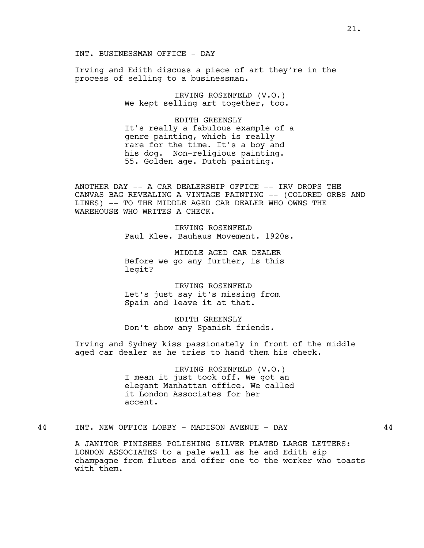INT. BUSINESSMAN OFFICE - DAY

Irving and Edith discuss a piece of art they're in the process of selling to a businessman.

> IRVING ROSENFELD (V.O.) We kept selling art together, too.

EDITH GREENSLY It's really a fabulous example of a genre painting, which is really rare for the time. It's a boy and his dog. Non-religious painting. 55. Golden age. Dutch painting.

ANOTHER DAY -- A CAR DEALERSHIP OFFICE -- IRV DROPS THE CANVAS BAG REVEALING A VINTAGE PAINTING -- (COLORED ORBS AND LINES) -- TO THE MIDDLE AGED CAR DEALER WHO OWNS THE WAREHOUSE WHO WRITES A CHECK.

> IRVING ROSENFELD Paul Klee. Bauhaus Movement. 1920s.

MIDDLE AGED CAR DEALER Before we go any further, is this legit?

IRVING ROSENFELD Let's just say it's missing from Spain and leave it at that.

EDITH GREENSLY Don't show any Spanish friends.

Irving and Sydney kiss passionately in front of the middle aged car dealer as he tries to hand them his check.

> IRVING ROSENFELD (V.O.) I mean it just took off. We got an elegant Manhattan office. We called it London Associates for her accent.

44 INT. NEW OFFICE LOBBY - MADISON AVENUE - DAY 44

A JANITOR FINISHES POLISHING SILVER PLATED LARGE LETTERS: LONDON ASSOCIATES to a pale wall as he and Edith sip champagne from flutes and offer one to the worker who toasts with them.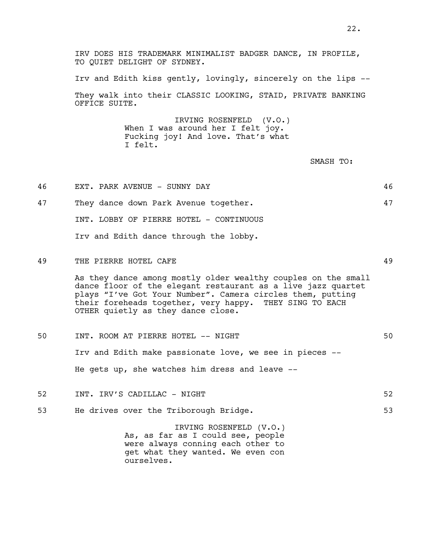IRV DOES HIS TRADEMARK MINIMALIST BADGER DANCE, IN PROFILE, TO OUIET DELIGHT OF SYDNEY.

Irv and Edith kiss gently, lovingly, sincerely on the lips -- They walk into their CLASSIC LOOKING, STAID, PRIVATE BANKING OFFICE SUITE.

> IRVING ROSENFELD (V.O.) When I was around her I felt joy. Fucking joy! And love. That's what I felt.

> > SMASH TO:

- 46 EXT. PARK AVENUE SUNNY DAY 46 47 They dance down Park Avenue together. 47 INT. LOBBY OF PIERRE HOTEL - CONTINUOUS Irv and Edith dance through the lobby. 49 THE PIERRE HOTEL CAFE 49 As they dance among mostly older wealthy couples on the small dance floor of the elegant restaurant as a live jazz quartet plays "I've Got Your Number". Camera circles them, putting their foreheads together, very happy. THEY SING TO EACH OTHER quietly as they dance close. 50 INT. ROOM AT PIERRE HOTEL -- NIGHT 50 Irv and Edith make passionate love, we see in pieces -- He gets up, she watches him dress and leave -- 52 INT. IRV'S CADILLAC – NIGHT 52
- 53 He drives over the Triborough Bridge. 53

IRVING ROSENFELD (V.O.) As, as far as I could see, people were always conning each other to get what they wanted. We even con ourselves.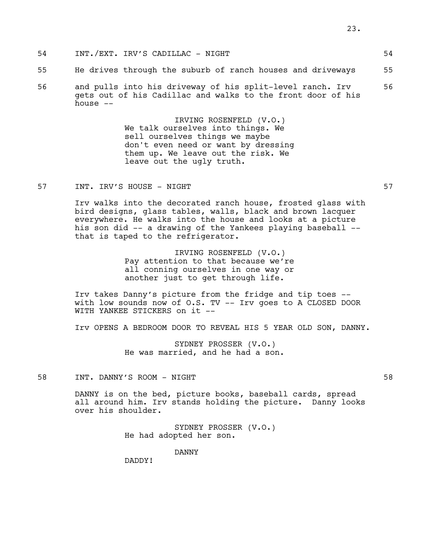- 54 INT./EXT. IRV'S CADILLAC NIGHT 54
- 55 He drives through the suburb of ranch houses and driveways 55
- 56 and pulls into his driveway of his split-level ranch. Irv 56 gets out of his Cadillac and walks to the front door of his house --

IRVING ROSENFELD (V.O.) We talk ourselves into things. We sell ourselves things we maybe don't even need or want by dressing them up. We leave out the risk. We leave out the ugly truth.

57 INT. IRV'S HOUSE - NIGHT 57

Irv walks into the decorated ranch house, frosted glass with bird designs, glass tables, walls, black and brown lacquer everywhere. He walks into the house and looks at a picture his son did -- a drawing of the Yankees playing baseball - that is taped to the refrigerator.

> IRVING ROSENFELD (V.O.) Pay attention to that because we're all conning ourselves in one way or another just to get through life.

Irv takes Danny's picture from the fridge and tip toes - with low sounds now of O.S. TV -- Irv goes to A CLOSED DOOR WITH YANKEE STICKERS on it --

Irv OPENS A BEDROOM DOOR TO REVEAL HIS 5 YEAR OLD SON, DANNY.

SYDNEY PROSSER (V.O.) He was married, and he had a son.

58 INT. DANNY'S ROOM - NIGHT 58

DANNY is on the bed, picture books, baseball cards, spread all around him. Irv stands holding the picture. Danny looks over his shoulder.

> SYDNEY PROSSER (V.O.) He had adopted her son.

> > DANNY

DADDY!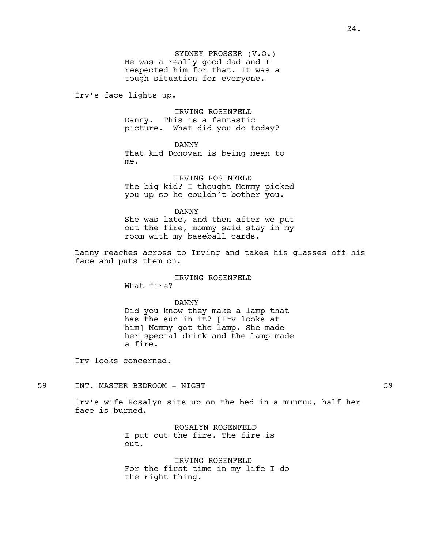SYDNEY PROSSER (V.O.) He was a really good dad and I respected him for that. It was a tough situation for everyone.

Irv's face lights up.

IRVING ROSENFELD Danny. This is a fantastic picture. What did you do today?

DANNY

That kid Donovan is being mean to me.

IRVING ROSENFELD The big kid? I thought Mommy picked you up so he couldn't bother you.

DANNY She was late, and then after we put out the fire, mommy said stay in my room with my baseball cards.

Danny reaches across to Irving and takes his glasses off his face and puts them on.

> IRVING ROSENFELD What fire?

> > DANNY

Did you know they make a lamp that has the sun in it? [Irv looks at him] Mommy got the lamp. She made her special drink and the lamp made a fire.

Irv looks concerned.

## 59 INT. MASTER BEDROOM - NIGHT 59

Irv's wife Rosalyn sits up on the bed in a muumuu, half her face is burned.

> ROSALYN ROSENFELD I put out the fire. The fire is out.

IRVING ROSENFELD For the first time in my life I do the right thing.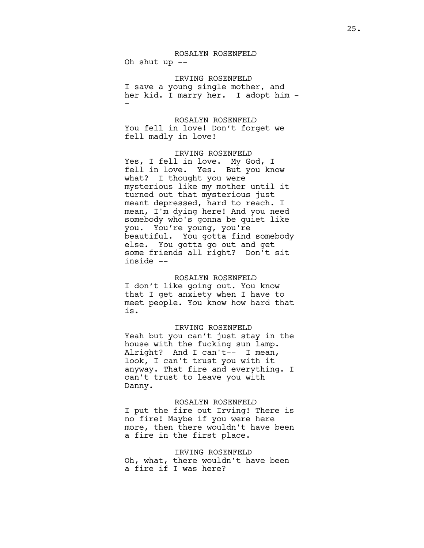## ROSALYN ROSENFELD Oh shut up  $-$

IRVING ROSENFELD I save a young single mother, and her kid. I marry her. I adopt him - -

# ROSALYN ROSENFELD You fell in love! Don't forget we fell madly in love!

IRVING ROSENFELD Yes, I fell in love. My God, I fell in love. Yes. But you know what? I thought you were mysterious like my mother until it turned out that mysterious just meant depressed, hard to reach. I mean, I'm dying here! And you need somebody who's gonna be quiet like you. You're young, you're beautiful. You gotta find somebody else. You gotta go out and get some friends all right? Don't sit inside --

# ROSALYN ROSENFELD I don't like going out. You know that I get anxiety when I have to meet people. You know how hard that is.

## IRVING ROSENFELD

Yeah but you can't just stay in the house with the fucking sun lamp. Alright? And I can't-- I mean, look, I can't trust you with it anyway. That fire and everything. I can't trust to leave you with Danny.

### ROSALYN ROSENFELD

I put the fire out Irving! There is no fire! Maybe if you were here more, then there wouldn't have been a fire in the first place.

#### IRVING ROSENFELD

Oh, what, there wouldn't have been a fire if I was here?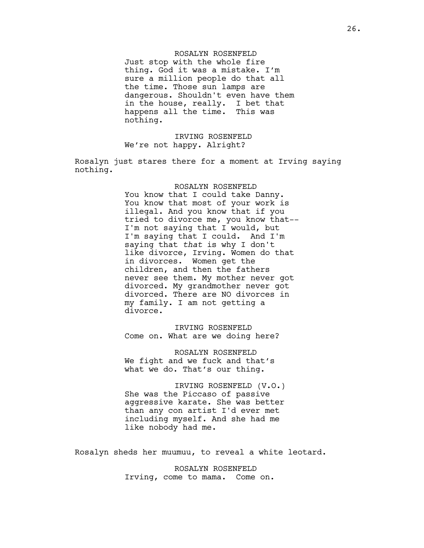## ROSALYN ROSENFELD

Just stop with the whole fire thing. God it was a mistake. I'm sure a million people do that all the time. Those sun lamps are dangerous. Shouldn't even have them in the house, really. I bet that happens all the time. This was nothing.

# IRVING ROSENFELD We're not happy. Alright?

Rosalyn just stares there for a moment at Irving saying nothing.

#### ROSALYN ROSENFELD

You know that I could take Danny. You know that most of your work is illegal. And you know that if you tried to divorce me, you know that-- I'm not saying that I would, but I'm saying that I could. And I'm saying that *that* is why I don't like divorce, Irving. Women do that in divorces. Women get the children, and then the fathers never see them. My mother never got divorced. My grandmother never got divorced. There are NO divorces in my family. I am not getting a divorce.

IRVING ROSENFELD Come on. What are we doing here?

ROSALYN ROSENFELD We fight and we fuck and that's what we do. That's our thing.

IRVING ROSENFELD (V.O.) She was the Piccaso of passive aggressive karate. She was better than any con artist I'd ever met including myself. And she had me like nobody had me.

Rosalyn sheds her muumuu, to reveal a white leotard.

ROSALYN ROSENFELD Irving, come to mama. Come on.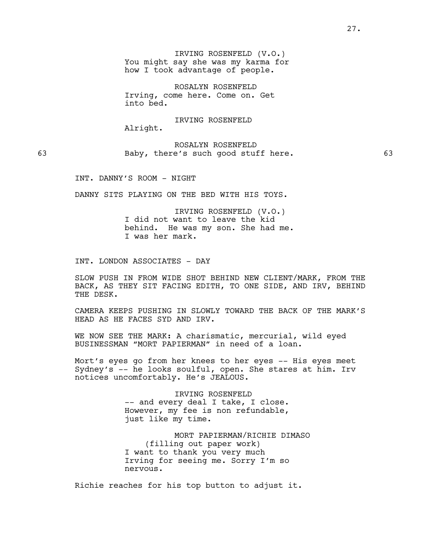IRVING ROSENFELD (V.O.) You might say she was my karma for how I took advantage of people.

ROSALYN ROSENFELD Irving, come here. Come on. Get into bed.

IRVING ROSENFELD Alright.

ROSALYN ROSENFELD 63 Baby, there's such good stuff here. 63

INT. DANNY'S ROOM - NIGHT

DANNY SITS PLAYING ON THE BED WITH HIS TOYS.

IRVING ROSENFELD (V.O.) I did not want to leave the kid behind. He was my son. She had me. I was her mark.

INT. LONDON ASSOCIATES - DAY

SLOW PUSH IN FROM WIDE SHOT BEHIND NEW CLIENT/MARK, FROM THE BACK, AS THEY SIT FACING EDITH, TO ONE SIDE, AND IRV, BEHIND THE DESK.

CAMERA KEEPS PUSHING IN SLOWLY TOWARD THE BACK OF THE MARK'S HEAD AS HE FACES SYD AND IRV.

WE NOW SEE THE MARK: A charismatic, mercurial, wild eyed BUSINESSMAN "MORT PAPIERMAN" in need of a loan.

Mort's eyes go from her knees to her eyes -- His eyes meet Sydney's -- he looks soulful, open. She stares at him. Irv notices uncomfortably. He's JEALOUS.

> IRVING ROSENFELD -- and every deal I take, I close. However, my fee is non refundable, just like my time.

MORT PAPIERMAN/RICHIE DIMASO (filling out paper work) I want to thank you very much Irving for seeing me. Sorry I'm so nervous.

Richie reaches for his top button to adjust it.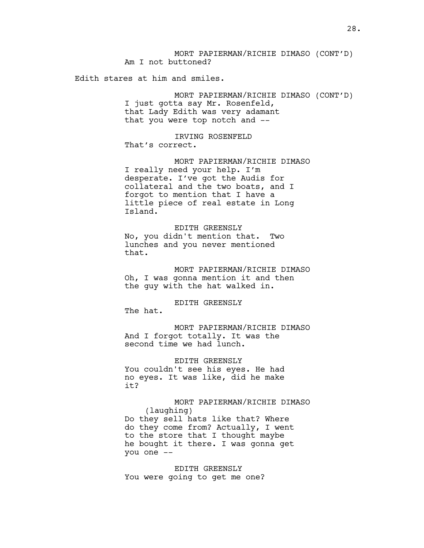MORT PAPIERMAN/RICHIE DIMASO (CONT'D) Am I not buttoned?

Edith stares at him and smiles.

MORT PAPIERMAN/RICHIE DIMASO (CONT'D) I just gotta say Mr. Rosenfeld, that Lady Edith was very adamant that you were top notch and --

IRVING ROSENFELD That's correct.

MORT PAPIERMAN/RICHIE DIMASO I really need your help. I'm desperate. I've got the Audis for collateral and the two boats, and I forgot to mention that I have a little piece of real estate in Long Island.

### EDITH GREENSLY

No, you didn't mention that. Two lunches and you never mentioned that.

MORT PAPIERMAN/RICHIE DIMASO Oh, I was gonna mention it and then the guy with the hat walked in.

# EDITH GREENSLY

The hat.

MORT PAPIERMAN/RICHIE DIMASO And I forgot totally. It was the second time we had lunch.

EDITH GREENSLY You couldn't see his eyes. He had no eyes. It was like, did he make it?

## MORT PAPIERMAN/RICHIE DIMASO (laughing) Do they sell hats like that? Where

do they come from? Actually, I went to the store that I thought maybe he bought it there. I was gonna get you one --

EDITH GREENSLY You were going to get me one?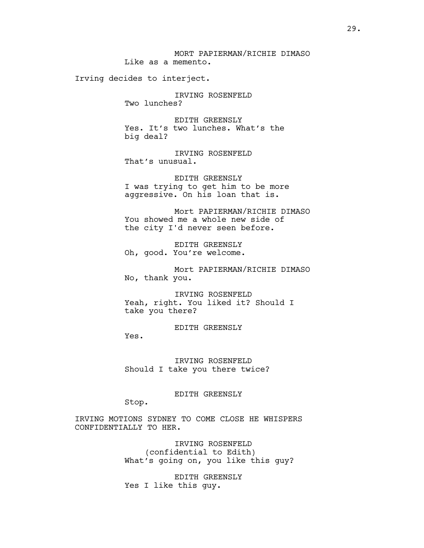Irving decides to interject.

IRVING ROSENFELD Two lunches?

EDITH GREENSLY Yes. It's two lunches. What's the big deal?

IRVING ROSENFELD That's unusual.

EDITH GREENSLY I was trying to get him to be more aggressive. On his loan that is.

Mort PAPIERMAN/RICHIE DIMASO You showed me a whole new side of the city I'd never seen before.

EDITH GREENSLY Oh, good. You're welcome.

Mort PAPIERMAN/RICHIE DIMASO No, thank you.

IRVING ROSENFELD Yeah, right. You liked it? Should I take you there?

EDITH GREENSLY

IRVING ROSENFELD Should I take you there twice?

EDITH GREENSLY

Stop.

Yes.

IRVING MOTIONS SYDNEY TO COME CLOSE HE WHISPERS CONFIDENTIALLY TO HER.

> IRVING ROSENFELD (confidential to Edith) What's going on, you like this guy?

EDITH GREENSLY Yes I like this guy.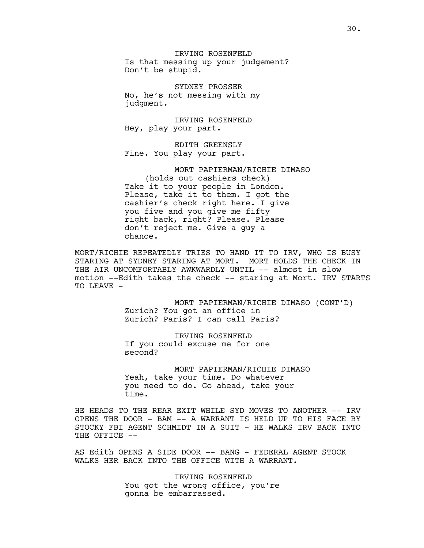IRVING ROSENFELD Is that messing up your judgement? Don't be stupid.

SYDNEY PROSSER No, he's not messing with my judgment.

IRVING ROSENFELD Hey, play your part.

EDITH GREENSLY Fine. You play your part.

MORT PAPIERMAN/RICHIE DIMASO (holds out cashiers check) Take it to your people in London. Please, take it to them. I got the cashier's check right here. I give you five and you give me fifty right back, right? Please. Please don't reject me. Give a guy a chance.

MORT/RICHIE REPEATEDLY TRIES TO HAND IT TO IRV, WHO IS BUSY STARING AT SYDNEY STARING AT MORT. MORT HOLDS THE CHECK IN THE AIR UNCOMFORTABLY AWKWARDLY UNTIL -- almost in slow motion --Edith takes the check -- staring at Mort. IRV STARTS TO LEAVE -

> MORT PAPIERMAN/RICHIE DIMASO (CONT'D) Zurich? You got an office in Zurich? Paris? I can call Paris?

IRVING ROSENFELD If you could excuse me for one second?

MORT PAPIERMAN/RICHIE DIMASO Yeah, take your time. Do whatever you need to do. Go ahead, take your time.

HE HEADS TO THE REAR EXIT WHILE SYD MOVES TO ANOTHER -- IRV OPENS THE DOOR - BAM -- A WARRANT IS HELD UP TO HIS FACE BY STOCKY FBI AGENT SCHMIDT IN A SUIT - HE WALKS IRV BACK INTO THE OFFICE --

AS Edith OPENS A SIDE DOOR -- BANG - FEDERAL AGENT STOCK WALKS HER BACK INTO THE OFFICE WITH A WARRANT.

> IRVING ROSENFELD You got the wrong office, you're gonna be embarrassed.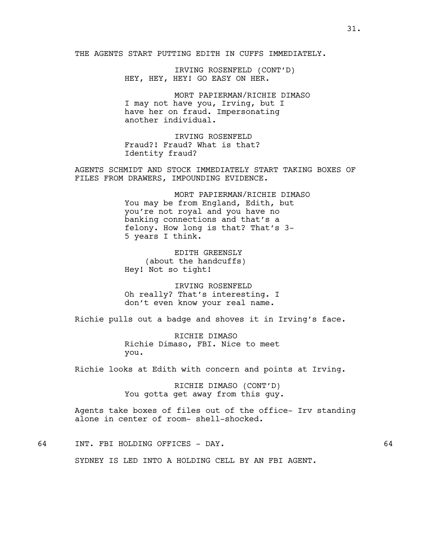THE AGENTS START PUTTING EDITH IN CUFFS IMMEDIATELY.

IRVING ROSENFELD (CONT'D) HEY, HEY, HEY! GO EASY ON HER.

MORT PAPIERMAN/RICHIE DIMASO I may not have you, Irving, but I have her on fraud. Impersonating another individual.

IRVING ROSENFELD Fraud?! Fraud? What is that? Identity fraud?

AGENTS SCHMIDT AND STOCK IMMEDIATELY START TAKING BOXES OF FILES FROM DRAWERS, IMPOUNDING EVIDENCE.

> MORT PAPIERMAN/RICHIE DIMASO You may be from England, Edith, but you're not royal and you have no banking connections and that's a felony. How long is that? That's 3- 5 years I think.

EDITH GREENSLY (about the handcuffs) Hey! Not so tight!

IRVING ROSENFELD Oh really? That's interesting. I don't even know your real name.

Richie pulls out a badge and shoves it in Irving's face.

RICHIE DIMASO Richie Dimaso, FBI. Nice to meet you.

Richie looks at Edith with concern and points at Irving.

RICHIE DIMASO (CONT'D) You gotta get away from this guy.

Agents take boxes of files out of the office- Irv standing alone in center of room- shell-shocked.

64 INT. FBI HOLDING OFFICES - DAY. 64

SYDNEY IS LED INTO A HOLDING CELL BY AN FBI AGENT.

31.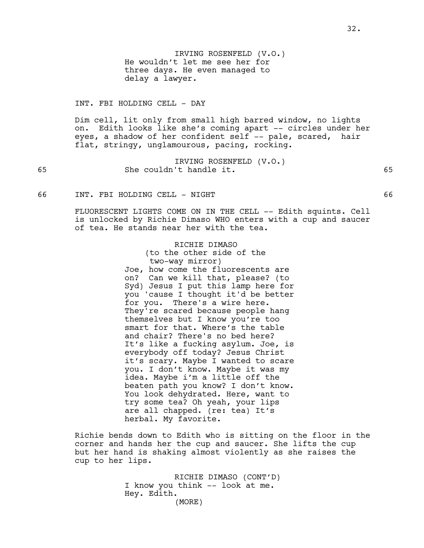IRVING ROSENFELD (V.O.) He wouldn't let me see her for three days. He even managed to delay a lawyer.

INT. FBI HOLDING CELL - DAY

Dim cell, lit only from small high barred window, no lights on. Edith looks like she's coming apart -- circles under her eyes, a shadow of her confident self -- pale, scared, hair flat, stringy, unglamourous, pacing, rocking.

IRVING ROSENFELD (V.O.) 65 She couldn't handle it. 65

66 INT. FBI HOLDING CELL - NIGHT 66

FLUORESCENT LIGHTS COME ON IN THE CELL -- Edith squints. Cell is unlocked by Richie Dimaso WHO enters with a cup and saucer of tea. He stands near her with the tea.

> RICHIE DIMASO (to the other side of the two-way mirror) Joe, how come the fluorescents are on? Can we kill that, please? (to Syd) Jesus I put this lamp here for you 'cause I thought it'd be better for you. There's a wire here. They're scared because people hang themselves but I know you're too smart for that. Where's the table and chair? There's no bed here? It's like a fucking asylum. Joe, is everybody off today? Jesus Christ it's scary. Maybe I wanted to scare you. I don't know. Maybe it was my idea. Maybe i'm a little off the beaten path you know? I don't know. You look dehydrated. Here, want to try some tea? Oh yeah, your lips are all chapped. (re: tea) It's herbal. My favorite.

Richie bends down to Edith who is sitting on the floor in the corner and hands her the cup and saucer. She lifts the cup but her hand is shaking almost violently as she raises the cup to her lips.

> RICHIE DIMASO (CONT'D) I know you think -- look at me. Hey. Edith. (MORE)

32.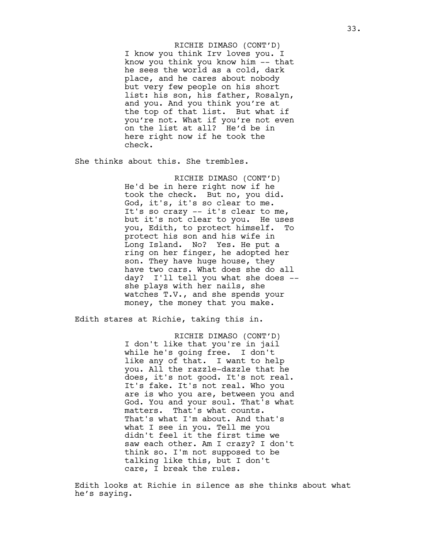I know you think Irv loves you. I know you think you know him -- that he sees the world as a cold, dark place, and he cares about nobody but very few people on his short list: his son, his father, Rosalyn, and you. And you think you're at the top of that list. But what if you're not. What if you're not even on the list at all? He'd be in here right now if he took the check. RICHIE DIMASO (CONT'D)

She thinks about this. She trembles.

RICHIE DIMASO (CONT'D) He'd be in here right now if he took the check. But no, you did. God, it's, it's so clear to me. It's so crazy -- it's clear to me, but it's not clear to you. He uses you, Edith, to protect himself. To protect his son and his wife in Long Island. No? Yes. He put a ring on her finger, he adopted her son. They have huge house, they have two cars. What does she do all day? I'll tell you what she does - she plays with her nails, she watches T.V., and she spends your money, the money that you make.

Edith stares at Richie, taking this in.

RICHIE DIMASO (CONT'D) I don't like that you're in jail while he's going free. I don't like any of that. I want to help you. All the razzle-dazzle that he does, it's not good. It's not real. It's fake. It's not real. Who you are is who you are, between you and God. You and your soul. That's what matters. That's what counts. That's what I'm about. And that's what I see in you. Tell me you didn't feel it the first time we saw each other. Am I crazy? I don't think so. I'm not supposed to be talking like this, but I don't care, I break the rules.

Edith looks at Richie in silence as she thinks about what he's saying.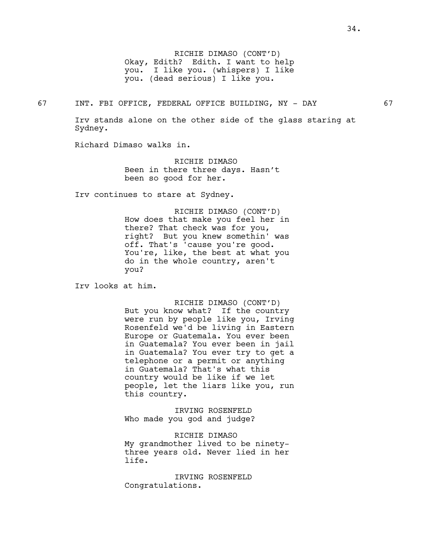RICHIE DIMASO (CONT'D) Okay, Edith? Edith. I want to help you. I like you. (whispers) I like you. (dead serious) I like you.

67 INT. FBI OFFICE, FEDERAL OFFICE BUILDING, NY - DAY 67

Irv stands alone on the other side of the glass staring at Sydney.

Richard Dimaso walks in.

RICHIE DIMASO Been in there three days. Hasn't been so good for her.

Irv continues to stare at Sydney.

RICHIE DIMASO (CONT'D) How does that make you feel her in there? That check was for you, right? But you knew somethin' was off. That's 'cause you're good. You're, like, the best at what you do in the whole country, aren't you?

Irv looks at him.

RICHIE DIMASO (CONT'D) But you know what? If the country were run by people like you, Irving Rosenfeld we'd be living in Eastern Europe or Guatemala. You ever been in Guatemala? You ever been in jail in Guatemala? You ever try to get a telephone or a permit or anything in Guatemala? That's what this country would be like if we let people, let the liars like you, run this country.

IRVING ROSENFELD Who made you god and judge?

RICHIE DIMASO My grandmother lived to be ninetythree years old. Never lied in her life.

IRVING ROSENFELD Congratulations.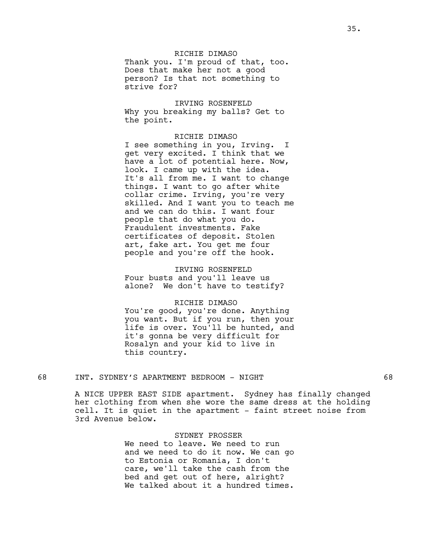# RICHIE DIMASO

Thank you. I'm proud of that, too. Does that make her not a good person? Is that not something to strive for?

IRVING ROSENFELD Why you breaking my balls? Get to the point.

### RICHIE DIMASO

I see something in you, Irving. I get very excited. I think that we have a lot of potential here. Now, look. I came up with the idea. It's all from me. I want to change things. I want to go after white collar crime. Irving, you're very skilled. And I want you to teach me and we can do this. I want four people that do what you do. Fraudulent investments. Fake certificates of deposit. Stolen art, fake art. You get me four people and you're off the hook.

IRVING ROSENFELD Four busts and you'll leave us alone? We don't have to testify?

### RICHIE DIMASO

You're good, you're done. Anything you want. But if you run, then your life is over. You'll be hunted, and it's gonna be very difficult for Rosalyn and your kid to live in this country.

## 68 INT. SYDNEY'S APARTMENT BEDROOM - NIGHT 68

A NICE UPPER EAST SIDE apartment. Sydney has finally changed her clothing from when she wore the same dress at the holding cell. It is quiet in the apartment - faint street noise from 3rd Avenue below.

### SYDNEY PROSSER

We need to leave. We need to run and we need to do it now. We can go to Estonia or Romania, I don't care, we'll take the cash from the bed and get out of here, alright? We talked about it a hundred times.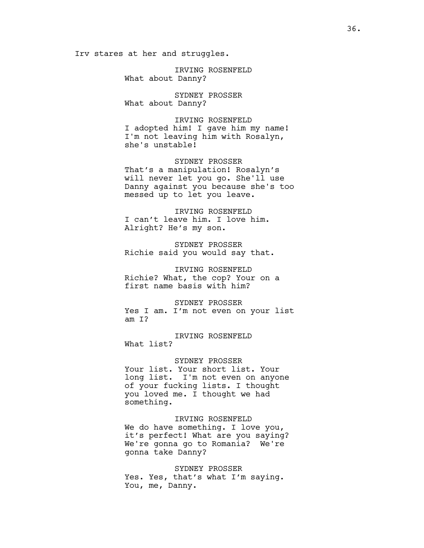Irv stares at her and struggles.

IRVING ROSENFELD What about Danny?

SYDNEY PROSSER What about Danny?

IRVING ROSENFELD I adopted him! I gave him my name! I'm not leaving him with Rosalyn, she's unstable!

SYDNEY PROSSER That's a manipulation! Rosalyn's will never let you go. She'll use Danny against you because she's too messed up to let you leave.

IRVING ROSENFELD I can't leave him. I love him. Alright? He's my son.

SYDNEY PROSSER Richie said you would say that.

IRVING ROSENFELD Richie? What, the cop? Your on a first name basis with him?

SYDNEY PROSSER Yes I am. I'm not even on your list am I?

IRVING ROSENFELD What list?

SYDNEY PROSSER Your list. Your short list. Your long list. I'm not even on anyone of your fucking lists. I thought you loved me. I thought we had something.

IRVING ROSENFELD We do have something. I love you, it's perfect! What are you saying? We're gonna go to Romania? We're gonna take Danny?

SYDNEY PROSSER Yes. Yes, that's what I'm saying. You, me, Danny.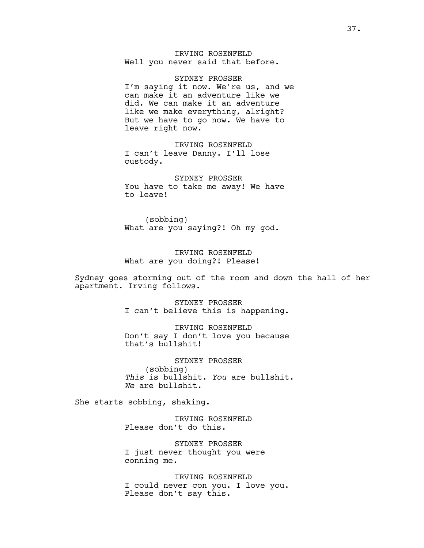## IRVING ROSENFELD Well you never said that before.

SYDNEY PROSSER I'm saying it now. We're us, and we can make it an adventure like we did. We can make it an adventure like we make everything, alright? But we have to go now. We have to leave right now.

IRVING ROSENFELD I can't leave Danny. I'll lose custody.

SYDNEY PROSSER You have to take me away! We have to leave!

(sobbing) What are you saying?! Oh my god.

IRVING ROSENFELD What are you doing?! Please!

Sydney goes storming out of the room and down the hall of her apartment. Irving follows.

> SYDNEY PROSSER I can't believe this is happening.

> IRVING ROSENFELD Don't say I don't love you because that's bullshit!

SYDNEY PROSSER (sobbing) *This* is bullshit. *You* are bullshit. *We* are bullshit.

She starts sobbing, shaking.

IRVING ROSENFELD Please don't do this.

SYDNEY PROSSER I just never thought you were conning me.

IRVING ROSENFELD I could never con you. I love you. Please don't say this.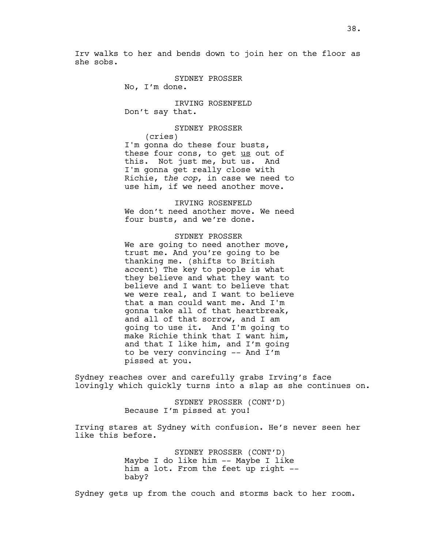Irv walks to her and bends down to join her on the floor as she sobs.

SYDNEY PROSSER

No, I'm done.

IRVING ROSENFELD Don't say that.

SYDNEY PROSSER

(cries) I'm gonna do these four busts, these four cons, to get us out of this. Not just me, but us. And I'm gonna get really close with Richie, *the cop*, in case we need to use him, if we need another move.

IRVING ROSENFELD We don't need another move. We need four busts, and we're done.

SYDNEY PROSSER We are going to need another move, trust me. And you're going to be thanking me. (shifts to British accent) The key to people is what they believe and what they want to believe and I want to believe that we were real, and I want to believe that a man could want me. And I'm gonna take all of that heartbreak, and all of that sorrow, and I am going to use it. And I'm going to make Richie think that I want him, and that I like him, and I'm going to be very convincing -- And I'm pissed at you.

Sydney reaches over and carefully grabs Irving's face lovingly which quickly turns into a slap as she continues on.

> SYDNEY PROSSER (CONT'D) Because I'm pissed at you!

Irving stares at Sydney with confusion. He's never seen her like this before.

> SYDNEY PROSSER (CONT'D) Maybe I do like him -- Maybe I like him a lot. From the feet up right - baby?

Sydney gets up from the couch and storms back to her room.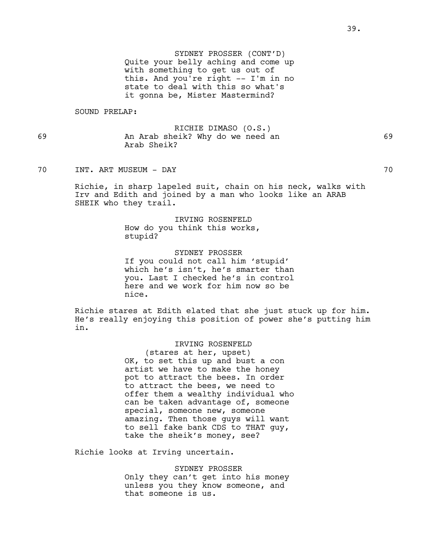SYDNEY PROSSER (CONT'D) Quite your belly aching and come up with something to get us out of this. And you're right -- I'm in no state to deal with this so what's it gonna be, Mister Mastermind?

SOUND PRELAP:

RICHIE DIMASO (O.S.) 69 An Arab sheik? Why do we need an 69 Arab Sheik?

70 INT. ART MUSEUM - DAY 70

Richie, in sharp lapeled suit, chain on his neck, walks with Irv and Edith and joined by a man who looks like an ARAB SHEIK who they trail.

> IRVING ROSENFELD How do you think this works, stupid?

SYDNEY PROSSER If you could not call him 'stupid' which he's isn't, he's smarter than you. Last I checked he's in control here and we work for him now so be nice.

Richie stares at Edith elated that she just stuck up for him. He's really enjoying this position of power she's putting him in.

### IRVING ROSENFELD

(stares at her, upset) OK, to set this up and bust a con artist we have to make the honey pot to attract the bees. In order to attract the bees, we need to offer them a wealthy individual who can be taken advantage of, someone special, someone new, someone amazing. Then those guys will want to sell fake bank CDS to THAT guy, take the sheik's money, see?

Richie looks at Irving uncertain.

SYDNEY PROSSER Only they can't get into his money unless you they know someone, and that someone is us.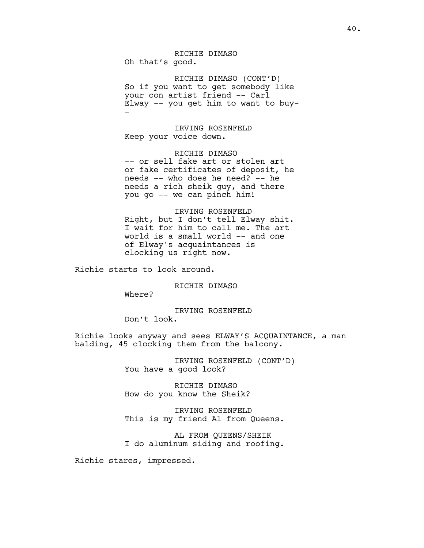RICHIE DIMASO Oh that's good.

RICHIE DIMASO (CONT'D) So if you want to get somebody like your con artist friend -- Carl Elway -- you get him to want to buy- -

IRVING ROSENFELD Keep your voice down.

RICHIE DIMASO -- or sell fake art or stolen art or fake certificates of deposit, he needs -- who does he need? -- he needs a rich sheik guy, and there you go -- we can pinch him!

IRVING ROSENFELD Right, but I don't tell Elway shit. I wait for him to call me. The art world is a small world -- and one of Elway's acquaintances is clocking us right now.

Richie starts to look around.

RICHIE DIMASO

Where?

### IRVING ROSENFELD

Don't look.

Richie looks anyway and sees ELWAY'S ACQUAINTANCE, a man balding, 45 clocking them from the balcony.

> IRVING ROSENFELD (CONT'D) You have a good look?

RICHIE DIMASO How do you know the Sheik?

IRVING ROSENFELD This is my friend Al from Queens.

AL FROM QUEENS/SHEIK I do aluminum siding and roofing.

Richie stares, impressed.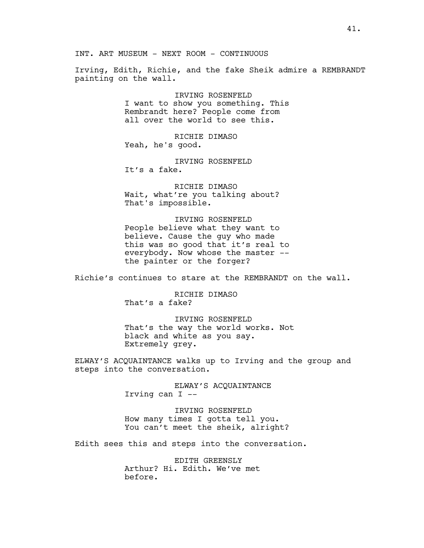INT. ART MUSEUM - NEXT ROOM - CONTINUOUS

Irving, Edith, Richie, and the fake Sheik admire a REMBRANDT painting on the wall.

> IRVING ROSENFELD I want to show you something. This Rembrandt here? People come from all over the world to see this.

RICHIE DIMASO Yeah, he's good.

IRVING ROSENFELD It's a fake.

RICHIE DIMASO Wait, what're you talking about? That's impossible.

IRVING ROSENFELD People believe what they want to believe. Cause the guy who made this was so good that it's real to everybody. Now whose the master - the painter or the forger?

Richie's continues to stare at the REMBRANDT on the wall.

RICHIE DIMASO That's a fake?

IRVING ROSENFELD That's the way the world works. Not black and white as you say. Extremely grey.

ELWAY'S ACQUAINTANCE walks up to Irving and the group and steps into the conversation.

> ELWAY'S ACQUAINTANCE Irving can I --

IRVING ROSENFELD How many times I gotta tell you. You can't meet the sheik, alright?

Edith sees this and steps into the conversation.

EDITH GREENSLY Arthur? Hi. Edith. We've met before.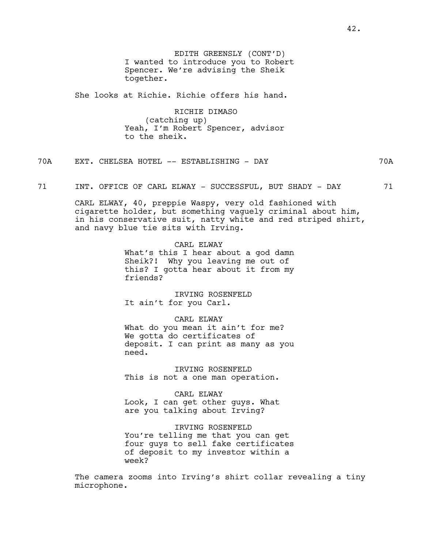EDITH GREENSLY (CONT'D) I wanted to introduce you to Robert Spencer. We're advising the Sheik together.

She looks at Richie. Richie offers his hand.

RICHIE DIMASO (catching up) Yeah, I'm Robert Spencer, advisor to the sheik.

70A EXT. CHELSEA HOTEL -- ESTABLISHING - DAY 70A

71 INT. OFFICE OF CARL ELWAY - SUCCESSFUL, BUT SHADY - DAY 71

CARL ELWAY, 40, preppie Waspy, very old fashioned with cigarette holder, but something vaguely criminal about him, in his conservative suit, natty white and red striped shirt, and navy blue tie sits with Irving.

> CARL ELWAY What's this I hear about a god damn Sheik?! Why you leaving me out of this? I gotta hear about it from my friends?

IRVING ROSENFELD It ain't for you Carl.

#### CARL ELWAY

What do you mean it ain't for me? We gotta do certificates of deposit. I can print as many as you need.

IRVING ROSENFELD This is not a one man operation.

CARL ELWAY Look, I can get other guys. What are you talking about Irving?

IRVING ROSENFELD You're telling me that you can get four guys to sell fake certificates of deposit to my investor within a week?

The camera zooms into Irving's shirt collar revealing a tiny microphone.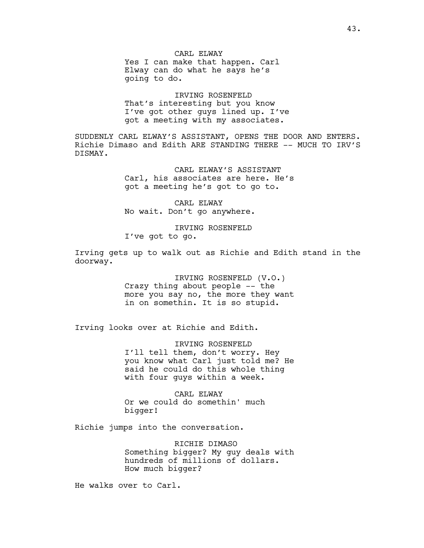CARL ELWAY Yes I can make that happen. Carl Elway can do what he says he's going to do.

IRVING ROSENFELD That's interesting but you know I've got other guys lined up. I've got a meeting with my associates.

SUDDENLY CARL ELWAY'S ASSISTANT, OPENS THE DOOR AND ENTERS. Richie Dimaso and Edith ARE STANDING THERE -- MUCH TO IRV'S DISMAY.

> CARL ELWAY'S ASSISTANT Carl, his associates are here. He's got a meeting he's got to go to.

CARL ELWAY No wait. Don't go anywhere.

IRVING ROSENFELD I've got to go.

Irving gets up to walk out as Richie and Edith stand in the doorway.

> IRVING ROSENFELD (V.O.) Crazy thing about people -- the more you say no, the more they want in on somethin. It is so stupid.

Irving looks over at Richie and Edith.

IRVING ROSENFELD I'll tell them, don't worry. Hey you know what Carl just told me? He said he could do this whole thing with four guys within a week.

CARL ELWAY Or we could do somethin' much bigger!

Richie jumps into the conversation.

RICHIE DIMASO Something bigger? My guy deals with hundreds of millions of dollars. How much bigger?

He walks over to Carl.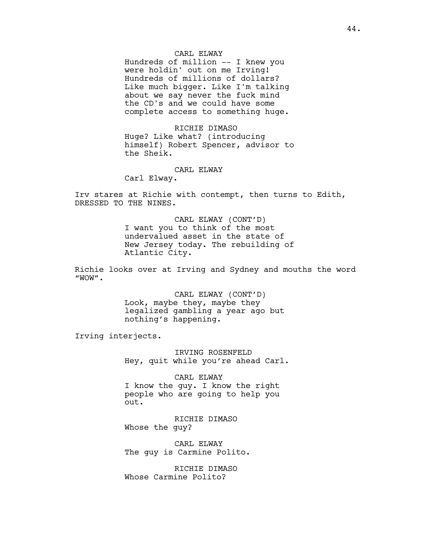### CARL ELWAY

Hundreds of million -- I knew you were holdin' out on me Irving! Hundreds of millions of dollars? Like much bigger. Like I'm talking about we say never the fuck mind the CD's and we could have some complete access to something huge.

RICHIE DIMASO Huge? Like what? (introducing himself) Robert Spencer, advisor to the Sheik.

### CARL ELWAY

Carl Elway.

Irv stares at Richie with contempt, then turns to Edith, DRESSED TO THE NINES.

> CARL ELWAY (CONT'D) I want you to think of the most undervalued asset in the state of New Jersey today. The rebuilding of Atlantic City.

Richie looks over at Irving and Sydney and mouths the word "WOW".

> CARL ELWAY (CONT'D) Look, maybe they, maybe they legalized gambling a year ago but nothing's happening.

Irving interjects.

IRVING ROSENFELD Hey, quit while you're ahead Carl.

CARL ELWAY

I know the guy. I know the right people who are going to help you out.

RICHIE DIMASO Whose the guy?

CARL ELWAY The guy is Carmine Polito.

RICHIE DIMASO Whose Carmine Polito?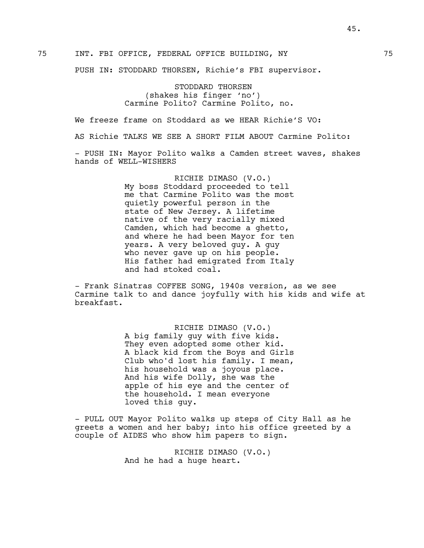PUSH IN: STODDARD THORSEN, Richie's FBI supervisor.

STODDARD THORSEN (shakes his finger 'no') Carmine Polito? Carmine Polito, no.

We freeze frame on Stoddard as we HEAR Richie'S VO:

AS Richie TALKS WE SEE A SHORT FILM ABOUT Carmine Polito:

- PUSH IN: Mayor Polito walks a Camden street waves, shakes hands of WELL-WISHERS

> RICHIE DIMASO (V.O.) My boss Stoddard proceeded to tell me that Carmine Polito was the most quietly powerful person in the state of New Jersey. A lifetime native of the very racially mixed Camden, which had become a ghetto, and where he had been Mayor for ten years. A very beloved guy. A guy who never gave up on his people. His father had emigrated from Italy and had stoked coal.

- Frank Sinatras COFFEE SONG, 1940s version, as we see Carmine talk to and dance joyfully with his kids and wife at breakfast.

> RICHIE DIMASO (V.O.) A big family guy with five kids. They even adopted some other kid. A black kid from the Boys and Girls Club who'd lost his family. I mean, his household was a joyous place. And his wife Dolly, she was the apple of his eye and the center of the household. I mean everyone loved this guy.

- PULL OUT Mayor Polito walks up steps of City Hall as he greets a women and her baby; into his office greeted by a couple of AIDES who show him papers to sign.

> RICHIE DIMASO (V.O.) And he had a huge heart.

45.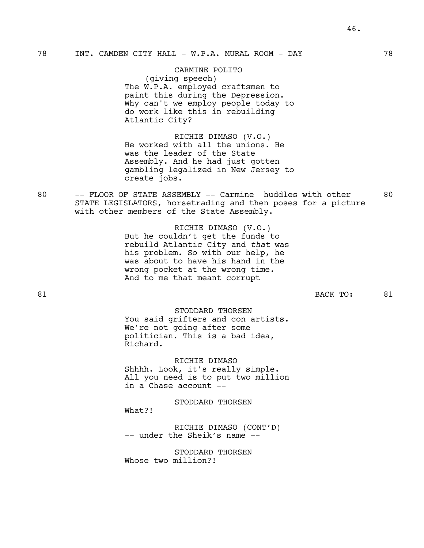CARMINE POLITO (giving speech) The W.P.A. employed craftsmen to paint this during the Depression. Why can't we employ people today to do work like this in rebuilding Atlantic City?

RICHIE DIMASO (V.O.) He worked with all the unions. He was the leader of the State Assembly. And he had just gotten gambling legalized in New Jersey to create jobs.

80 -- FLOOR OF STATE ASSEMBLY -- Carmine huddles with other 80 STATE LEGISLATORS, horsetrading and then poses for a picture with other members of the State Assembly.

> RICHIE DIMASO (V.O.) But he couldn't get the funds to rebuild Atlantic City and *that* was his problem. So with our help, he was about to have his hand in the wrong pocket at the wrong time. And to me that meant corrupt

81 BACK TO: 81

## STODDARD THORSEN You said grifters and con artists. We're not going after some politician. This is a bad idea, Richard.

RICHIE DIMASO Shhhh. Look, it's really simple. All you need is to put two million in a Chase account --

STODDARD THORSEN What?! RICHIE DIMASO (CONT'D)

-- under the Sheik's name --

STODDARD THORSEN Whose two million?!

46.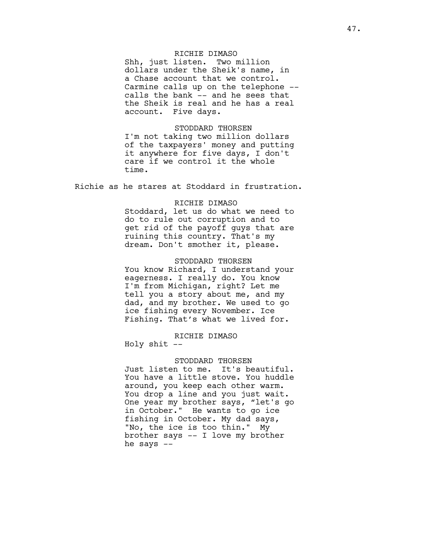## RICHIE DIMASO

Shh, just listen. Two million dollars under the Sheik's name, in a Chase account that we control. Carmine calls up on the telephone - calls the bank -- and he sees that the Sheik is real and he has a real account. Five days.

#### STODDARD THORSEN

I'm not taking two million dollars of the taxpayers' money and putting it anywhere for five days, I don't care if we control it the whole time.

Richie as he stares at Stoddard in frustration.

#### RICHIE DIMASO

Stoddard, let us do what we need to do to rule out corruption and to get rid of the payoff guys that are ruining this country. That's my dream. Don't smother it, please.

#### STODDARD THORSEN

You know Richard, I understand your eagerness. I really do. You know I'm from Michigan, right? Let me tell you a story about me, and my dad, and my brother. We used to go ice fishing every November. Ice Fishing. That's what we lived for.

### RICHIE DIMASO

Holy shit --

### STODDARD THORSEN

Just listen to me. It's beautiful. You have a little stove. You huddle around, you keep each other warm. You drop a line and you just wait. One year my brother says, "let's go in October." He wants to go ice fishing in October. My dad says, "No, the ice is too thin." My brother says -- I love my brother he says  $--$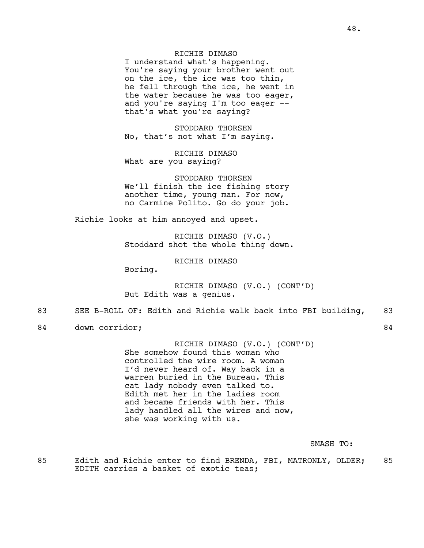## RICHIE DIMASO

I understand what's happening. You're saying your brother went out on the ice, the ice was too thin, he fell through the ice, he went in the water because he was too eager, and you're saying I'm too eager - that's what you're saying?

STODDARD THORSEN No, that's not what I'm saying.

RICHIE DIMASO What are you saying?

STODDARD THORSEN We'll finish the ice fishing story another time, young man. For now, no Carmine Polito. Go do your job.

Richie looks at him annoyed and upset.

RICHIE DIMASO (V.O.) Stoddard shot the whole thing down.

RICHIE DIMASO

Boring.

RICHIE DIMASO (V.O.) (CONT'D) But Edith was a genius.

### 83 SEE B-ROLL OF: Edith and Richie walk back into FBI building, 83

84 down corridor; 84

RICHIE DIMASO (V.O.) (CONT'D) She somehow found this woman who controlled the wire room. A woman I'd never heard of. Way back in a warren buried in the Bureau. This cat lady nobody even talked to. Edith met her in the ladies room and became friends with her. This lady handled all the wires and now, she was working with us.

SMASH TO:

85 Edith and Richie enter to find BRENDA, FBI, MATRONLY, OLDER; 85 EDITH carries a basket of exotic teas;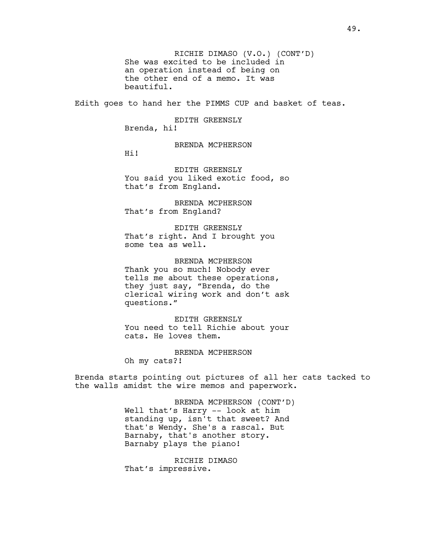RICHIE DIMASO (V.O.) (CONT'D) She was excited to be included in an operation instead of being on the other end of a memo. It was beautiful.

Edith goes to hand her the PIMMS CUP and basket of teas.

EDITH GREENSLY Brenda, hi!

BRENDA MCPHERSON

Hi!

EDITH GREENSLY You said you liked exotic food, so that's from England.

BRENDA MCPHERSON That's from England?

EDITH GREENSLY That's right. And I brought you some tea as well.

BRENDA MCPHERSON Thank you so much! Nobody ever tells me about these operations, they just say, "Brenda, do the clerical wiring work and don't ask questions."

EDITH GREENSLY You need to tell Richie about your cats. He loves them.

BRENDA MCPHERSON Oh my cats?!

Brenda starts pointing out pictures of all her cats tacked to the walls amidst the wire memos and paperwork.

> BRENDA MCPHERSON (CONT'D) Well that's Harry -- look at him standing up, isn't that sweet? And that's Wendy. She's a rascal. But Barnaby, that's another story. Barnaby plays the piano!

RICHIE DIMASO That's impressive.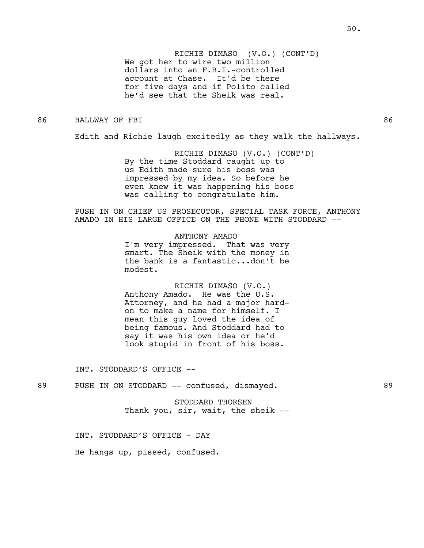RICHIE DIMASO (V.O.) (CONT'D) We got her to wire two million dollars into an F.B.I.-controlled account at Chase. It'd be there for five days and if Polito called he'd see that the Sheik was real.

### 86 HALLWAY OF FBI 86

Edith and Richie laugh excitedly as they walk the hallways.

RICHIE DIMASO (V.O.) (CONT'D) By the time Stoddard caught up to us Edith made sure his boss was impressed by my idea. So before he even knew it was happening his boss was calling to congratulate him.

PUSH IN ON CHIEF US PROSECUTOR, SPECIAL TASK FORCE, ANTHONY AMADO IN HIS LARGE OFFICE ON THE PHONE WITH STODDARD --

ANTHONY AMADO

I'm very impressed. That was very smart. The Sheik with the money in the bank is a fantastic...don't be modest.

RICHIE DIMASO (V.O.) Anthony Amado. He was the U.S. Attorney, and he had a major hardon to make a name for himself. I mean this guy loved the idea of being famous. And Stoddard had to say it was his own idea or he'd look stupid in front of his boss.

INT. STODDARD'S OFFICE --

89 PUSH IN ON STODDARD -- confused, dismayed. 89

STODDARD THORSEN Thank you, sir, wait, the sheik --

INT. STODDARD'S OFFICE - DAY

He hangs up, pissed, confused.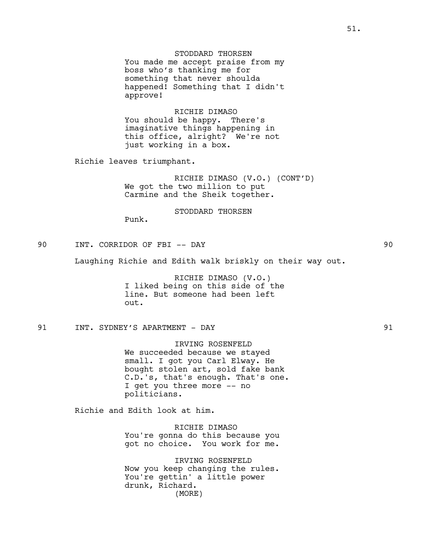STODDARD THORSEN You made me accept praise from my boss who's thanking me for something that never shoulda happened! Something that I didn't approve!

RICHIE DIMASO You should be happy. There's imaginative things happening in this office, alright? We're not just working in a box.

Richie leaves triumphant.

RICHIE DIMASO (V.O.) (CONT'D) We got the two million to put Carmine and the Sheik together.

### STODDARD THORSEN

Punk.

90 INT. CORRIDOR OF FBI -- DAY 90

Laughing Richie and Edith walk briskly on their way out.

RICHIE DIMASO (V.O.) I liked being on this side of the line. But someone had been left out.

## 91 INT. SYDNEY'S APARTMENT - DAY 91

IRVING ROSENFELD We succeeded because we stayed small. I got you Carl Elway. He bought stolen art, sold fake bank C.D.'s, that's enough. That's one. I get you three more -- no politicians.

Richie and Edith look at him.

RICHIE DIMASO You're gonna do this because you got no choice. You work for me.

IRVING ROSENFELD Now you keep changing the rules. You're gettin' a little power drunk, Richard. (MORE)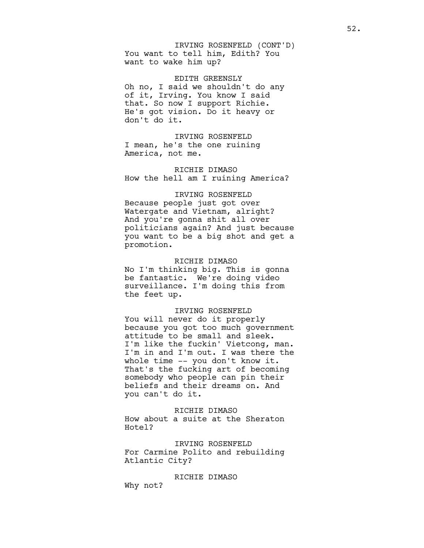You want to tell him, Edith? You want to wake him up? IRVING ROSENFELD (CONT'D)

EDITH GREENSLY Oh no, I said we shouldn't do any of it, Irving. You know I said that. So now I support Richie. He's got vision. Do it heavy or don't do it.

IRVING ROSENFELD I mean, he's the one ruining America, not me.

RICHIE DIMASO How the hell am I ruining America?

# IRVING ROSENFELD

Because people just got over Watergate and Vietnam, alright? And you're gonna shit all over politicians again? And just because you want to be a big shot and get a promotion.

### RICHIE DIMASO

No I'm thinking big. This is gonna be fantastic. We're doing video surveillance. I'm doing this from the feet up.

### IRVING ROSENFELD

You will never do it properly because you got too much government attitude to be small and sleek. I'm like the fuckin' Vietcong, man. I'm in and I'm out. I was there the whole time -- you don't know it. That's the fucking art of becoming somebody who people can pin their beliefs and their dreams on. And you can't do it.

### RICHIE DIMASO

How about a suite at the Sheraton Hotel?

IRVING ROSENFELD For Carmine Polito and rebuilding Atlantic City?

RICHIE DIMASO

Why not?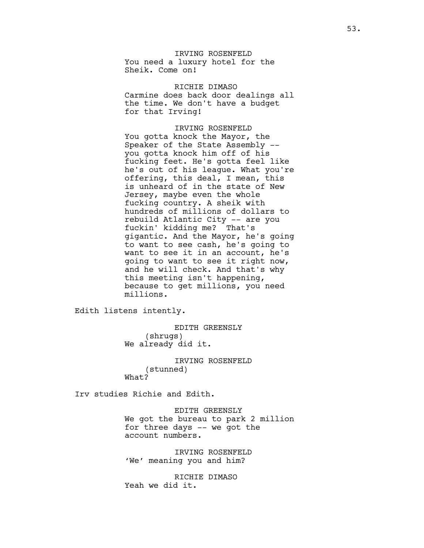IRVING ROSENFELD You need a luxury hotel for the Sheik. Come on!

RICHIE DIMASO Carmine does back door dealings all the time. We don't have a budget for that Irving!

IRVING ROSENFELD You gotta knock the Mayor, the Speaker of the State Assembly - you gotta knock him off of his fucking feet. He's gotta feel like he's out of his league. What you're offering, this deal, I mean, this is unheard of in the state of New Jersey, maybe even the whole fucking country. A sheik with hundreds of millions of dollars to rebuild Atlantic City -- are you fuckin' kidding me? That's gigantic. And the Mayor, he's going to want to see cash, he's going to want to see it in an account, he's going to want to see it right now, and he will check. And that's why this meeting isn't happening, because to get millions, you need millions.

Edith listens intently.

EDITH GREENSLY (shrugs) We already did it.

IRVING ROSENFELD (stunned) What?

Irv studies Richie and Edith.

EDITH GREENSLY We got the bureau to park 2 million for three days -- we got the account numbers.

IRVING ROSENFELD 'We' meaning you and him?

RICHIE DIMASO Yeah we did it.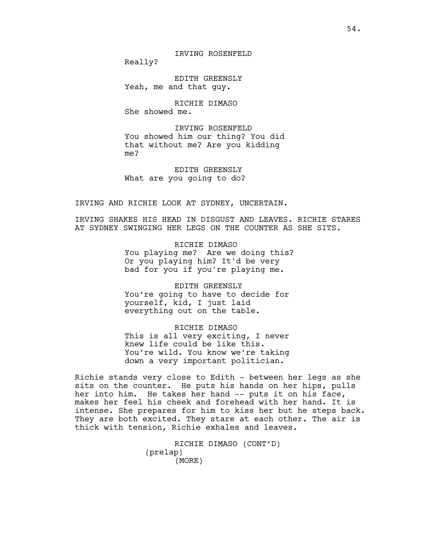IRVING ROSENFELD

Really?

EDITH GREENSLY Yeah, me and that guy.

RICHIE DIMASO She showed me.

IRVING ROSENFELD You showed him our thing? You did that without me? Are you kidding me?

EDITH GREENSLY What are you going to do?

IRVING AND RICHIE LOOK AT SYDNEY, UNCERTAIN.

IRVING SHAKES HIS HEAD IN DISGUST AND LEAVES. RICHIE STARES AT SYDNEY SWINGING HER LEGS ON THE COUNTER AS SHE SITS.

> RICHIE DIMASO You playing me? Are we doing this? Or you playing him? It'd be very bad for you if you're playing me.

EDITH GREENSLY You're going to have to decide for yourself, kid, I just laid everything out on the table.

RICHIE DIMASO This is all very exciting, I never knew life could be like this. You're wild. You know we're taking down a very important politician.

Richie stands very close to Edith - between her legs as she sits on the counter. He puts his hands on her hips, pulls her into him. He takes her hand -- puts it on his face, makes her feel his cheek and forehead with her hand. It is intense. She prepares for him to kiss her but he steps back. They are both excited. They stare at each other. The air is thick with tension, Richie exhales and leaves.

> RICHIE DIMASO (CONT'D) (prelap) (MORE)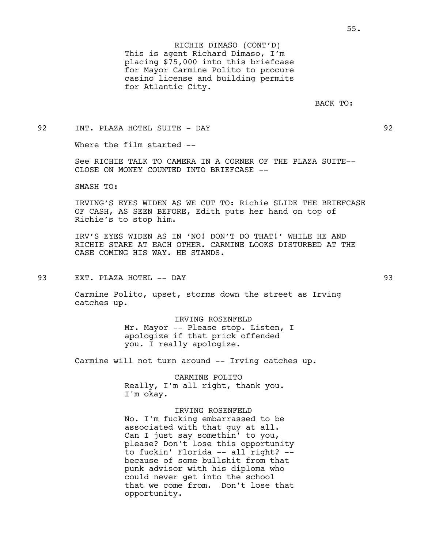This is agent Richard Dimaso, I'm placing \$75,000 into this briefcase for Mayor Carmine Polito to procure casino license and building permits for Atlantic City. RICHIE DIMASO (CONT'D)

BACK TO:

92 INT. PLAZA HOTEL SUITE - DAY 92

Where the film started --

See RICHIE TALK TO CAMERA IN A CORNER OF THE PLAZA SUITE-- CLOSE ON MONEY COUNTED INTO BRIEFCASE --

SMASH TO:

IRVING'S EYES WIDEN AS WE CUT TO: Richie SLIDE THE BRIEFCASE OF CASH, AS SEEN BEFORE, Edith puts her hand on top of Richie's to stop him.

IRV'S EYES WIDEN AS IN 'NO! DON'T DO THAT!' WHILE HE AND RICHIE STARE AT EACH OTHER. CARMINE LOOKS DISTURBED AT THE CASE COMING HIS WAY. HE STANDS.

93 EXT. PLAZA HOTEL -- DAY 93

Carmine Polito, upset, storms down the street as Irving catches up.

IRVING ROSENFELD

Mr. Mayor -- Please stop. Listen, I apologize if that prick offended you. I really apologize.

Carmine will not turn around -- Irving catches up.

CARMINE POLITO Really, I'm all right, thank you. I'm okay.

IRVING ROSENFELD

No. I'm fucking embarrassed to be associated with that guy at all. Can I just say somethin' to you, please? Don't lose this opportunity to fuckin' Florida -- all right? - because of some bullshit from that punk advisor with his diploma who could never get into the school that we come from. Don't lose that opportunity.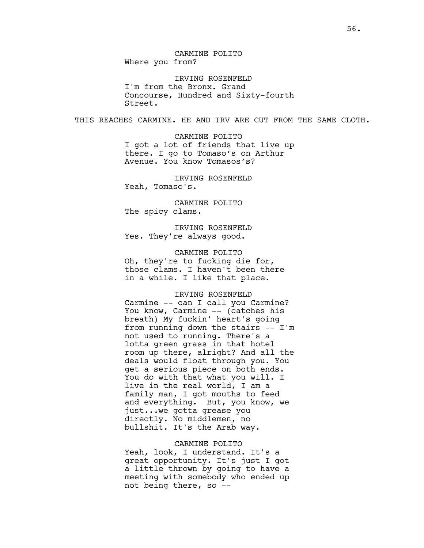IRVING ROSENFELD I'm from the Bronx. Grand Concourse, Hundred and Sixty-fourth Street.

THIS REACHES CARMINE. HE AND IRV ARE CUT FROM THE SAME CLOTH.

CARMINE POLITO I got a lot of friends that live up there. I go to Tomaso's on Arthur Avenue. You know Tomasos's?

IRVING ROSENFELD Yeah, Tomaso's.

CARMINE POLITO The spicy clams.

IRVING ROSENFELD Yes. They're always good.

CARMINE POLITO Oh, they're to fucking die for, those clams. I haven't been there in a while. I like that place.

### IRVING ROSENFELD

Carmine -- can I call you Carmine? You know, Carmine -- (catches his breath) My fuckin' heart's going from running down the stairs -- I'm not used to running. There's a lotta green grass in that hotel room up there, alright? And all the deals would float through you. You get a serious piece on both ends. You do with that what you will. I live in the real world, I am a family man, I got mouths to feed and everything. But, you know, we just...we gotta grease you directly. No middlemen, no bullshit. It's the Arab way.

### CARMINE POLITO

Yeah, look, I understand. It's a great opportunity. It's just I got a little thrown by going to have a meeting with somebody who ended up not being there, so --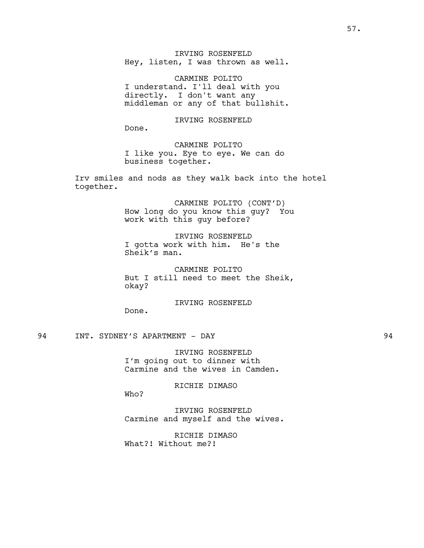IRVING ROSENFELD Hey, listen, I was thrown as well.

CARMINE POLITO I understand. I'll deal with you directly. I don't want any middleman or any of that bullshit.

IRVING ROSENFELD Done. CARMINE POLITO

I like you. Eye to eye. We can do business together.

Irv smiles and nods as they walk back into the hotel together.

> CARMINE POLITO (CONT'D) How long do you know this guy? You work with this guy before?

IRVING ROSENFELD I gotta work with him. He's the Sheik's man.

CARMINE POLITO But I still need to meet the Sheik, okay?

IRVING ROSENFELD

94 INT. SYDNEY'S APARTMENT - DAY 94

Done.

IRVING ROSENFELD I'm going out to dinner with Carmine and the wives in Camden.

RICHIE DIMASO

Who?

IRVING ROSENFELD Carmine and myself and the wives.

RICHIE DIMASO What?! Without me?!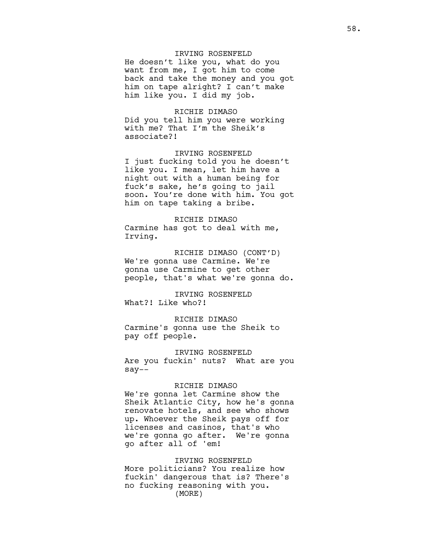# IRVING ROSENFELD

He doesn't like you, what do you want from me, I got him to come back and take the money and you got him on tape alright? I can't make him like you. I did my job.

#### RICHIE DIMASO

Did you tell him you were working with me? That I'm the Sheik's associate?!

IRVING ROSENFELD I just fucking told you he doesn't like you. I mean, let him have a night out with a human being for fuck's sake, he's going to jail soon. You're done with him. You got him on tape taking a bribe.

RICHIE DIMASO Carmine has got to deal with me, Irving.

RICHIE DIMASO (CONT'D) We're gonna use Carmine. We're gonna use Carmine to get other people, that's what we're gonna do.

IRVING ROSENFELD What?! Like who?!

RICHIE DIMASO Carmine's gonna use the Sheik to pay off people.

IRVING ROSENFELD Are you fuckin' nuts? What are you say--

#### RICHIE DIMASO

We're gonna let Carmine show the Sheik Atlantic City, how he's gonna renovate hotels, and see who shows up. Whoever the Sheik pays off for licenses and casinos, that's who we're gonna go after. We're gonna go after all of 'em!

### IRVING ROSENFELD

More politicians? You realize how fuckin' dangerous that is? There's no fucking reasoning with you. (MORE)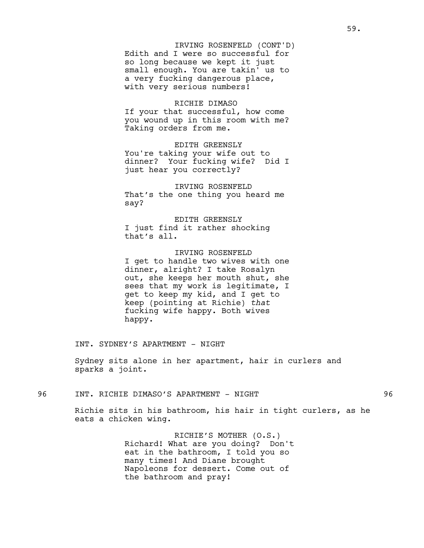Edith and I were so successful for so long because we kept it just small enough. You are takin' us to a very fucking dangerous place, with very serious numbers! IRVING ROSENFELD (CONT'D)

# RICHIE DIMASO

If your that successful, how come you wound up in this room with me? Taking orders from me.

EDITH GREENSLY You're taking your wife out to dinner? Your fucking wife? Did I just hear you correctly?

IRVING ROSENFELD That's the one thing you heard me say?

EDITH GREENSLY I just find it rather shocking that's all.

IRVING ROSENFELD I get to handle two wives with one dinner, alright? I take Rosalyn out, she keeps her mouth shut, she sees that my work is legitimate, I get to keep my kid, and I get to keep (pointing at Richie) *that* fucking wife happy. Both wives happy.

INT. SYDNEY'S APARTMENT - NIGHT

Sydney sits alone in her apartment, hair in curlers and sparks a joint.

96 INT. RICHIE DIMASO'S APARTMENT - NIGHT 96

Richie sits in his bathroom, his hair in tight curlers, as he eats a chicken wing.

> RICHIE'S MOTHER (O.S.) Richard! What are you doing? Don't eat in the bathroom, I told you so many times! And Diane brought Napoleons for dessert. Come out of the bathroom and pray!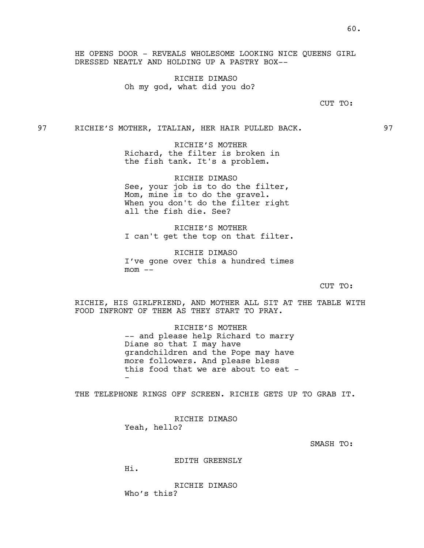RICHIE DIMASO Oh my god, what did you do?

## CUT TO:

97 RICHIE'S MOTHER, ITALIAN, HER HAIR PULLED BACK. 97

RICHIE'S MOTHER Richard, the filter is broken in the fish tank. It's a problem.

RICHIE DIMASO See, your job is to do the filter, Mom, mine is to do the gravel. When you don't do the filter right all the fish die. See?

RICHIE'S MOTHER I can't get the top on that filter.

RICHIE DIMASO I've gone over this a hundred times  $mom$   $---$ 

CUT TO:

RICHIE, HIS GIRLFRIEND, AND MOTHER ALL SIT AT THE TABLE WITH FOOD INFRONT OF THEM AS THEY START TO PRAY.

> RICHIE'S MOTHER -- and please help Richard to marry Diane so that I may have grandchildren and the Pope may have more followers. And please bless this food that we are about to eat --

THE TELEPHONE RINGS OFF SCREEN. RICHIE GETS UP TO GRAB IT.

RICHIE DIMASO Yeah, hello?

SMASH TO:

EDITH GREENSLY

Hi.

RICHIE DIMASO Who's this?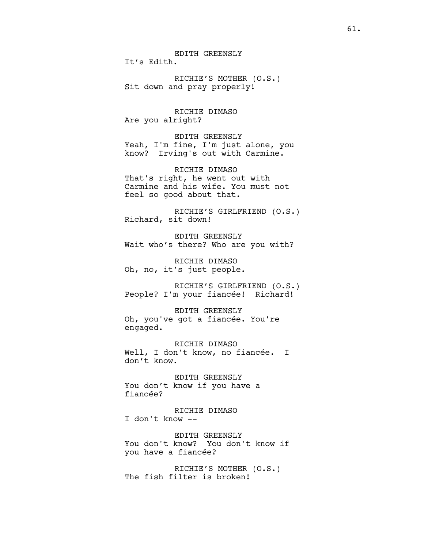EDITH GREENSLY It's Edith.

RICHIE'S MOTHER (O.S.) Sit down and pray properly!

RICHIE DIMASO Are you alright?

EDITH GREENSLY Yeah, I'm fine, I'm just alone, you know? Irving's out with Carmine.

RICHIE DIMASO That's right, he went out with Carmine and his wife. You must not feel so good about that.

RICHIE'S GIRLFRIEND (O.S.) Richard, sit down!

EDITH GREENSLY Wait who's there? Who are you with?

RICHIE DIMASO Oh, no, it's just people.

RICHIE'S GIRLFRIEND (O.S.) People? I'm your fiancée! Richard!

EDITH GREENSLY Oh, you've got a fiancée. You're engaged.

RICHIE DIMASO Well, I don't know, no fiancée. I don't know.

EDITH GREENSLY You don't know if you have a fiancée?

RICHIE DIMASO I don't know --

EDITH GREENSLY You don't know? You don't know if you have a fiancée?

RICHIE'S MOTHER (O.S.) The fish filter is broken!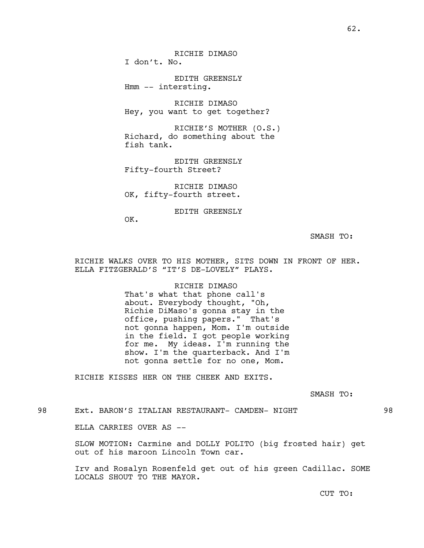RICHIE DIMASO I don't. No.

EDITH GREENSLY Hmm -- intersting.

RICHIE DIMASO Hey, you want to get together?

RICHIE'S MOTHER (O.S.) Richard, do something about the fish tank.

EDITH GREENSLY Fifty-fourth Street?

RICHIE DIMASO OK, fifty-fourth street.

EDITH GREENSLY

OK.

SMASH TO:

RICHIE WALKS OVER TO HIS MOTHER, SITS DOWN IN FRONT OF HER. ELLA FITZGERALD'S "IT'S DE-LOVELY" PLAYS.

> RICHIE DIMASO That's what that phone call's about. Everybody thought, "Oh, Richie DiMaso's gonna stay in the office, pushing papers." That's not gonna happen, Mom. I'm outside in the field. I got people working for me. My ideas. I'm running the show. I'm the quarterback. And I'm not gonna settle for no one, Mom.

RICHIE KISSES HER ON THE CHEEK AND EXITS.

SMASH TO:

98 Ext. BARON'S ITALIAN RESTAURANT- CAMDEN- NIGHT 98

ELLA CARRIES OVER AS --

SLOW MOTION: Carmine and DOLLY POLITO (big frosted hair) get out of his maroon Lincoln Town car.

Irv and Rosalyn Rosenfeld get out of his green Cadillac. SOME LOCALS SHOUT TO THE MAYOR.

CUT TO: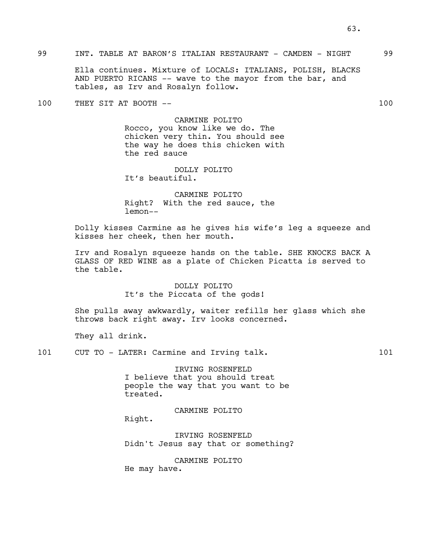# 99 INT. TABLE AT BARON'S ITALIAN RESTAURANT - CAMDEN - NIGHT 99

Ella continues. Mixture of LOCALS: ITALIANS, POLISH, BLACKS AND PUERTO RICANS -- wave to the mayor from the bar, and tables, as Irv and Rosalyn follow.

100 THEY SIT AT BOOTH  $--$  100

### CARMINE POLITO

Rocco, you know like we do. The chicken very thin. You should see the way he does this chicken with the red sauce

DOLLY POLITO It's beautiful.

CARMINE POLITO Right? With the red sauce, the lemon--

Dolly kisses Carmine as he gives his wife's leg a squeeze and kisses her cheek, then her mouth.

Irv and Rosalyn squeeze hands on the table. SHE KNOCKS BACK A GLASS OF RED WINE as a plate of Chicken Picatta is served to the table.

## DOLLY POLITO It's the Piccata of the gods!

She pulls away awkwardly, waiter refills her glass which she throws back right away. Irv looks concerned.

They all drink.

101 CUT TO - LATER: Carmine and Irving talk. 101

IRVING ROSENFELD I believe that you should treat people the way that you want to be treated.

CARMINE POLITO

Right.

IRVING ROSENFELD Didn't Jesus say that or something?

CARMINE POLITO He may have.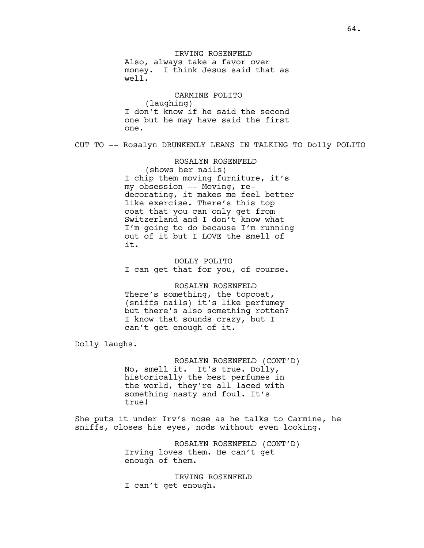IRVING ROSENFELD Also, always take a favor over money. I think Jesus said that as well.

CARMINE POLITO (laughing) I don't know if he said the second one but he may have said the first one.

CUT TO -- Rosalyn DRUNKENLY LEANS IN TALKING TO Dolly POLITO

## ROSALYN ROSENFELD

(shows her nails) I chip them moving furniture, it's my obsession -- Moving, redecorating, it makes me feel better like exercise. There's this top coat that you can only get from Switzerland and I don't know what I'm going to do because I'm running out of it but I LOVE the smell of it.

DOLLY POLITO I can get that for you, of course.

ROSALYN ROSENFELD There's something, the topcoat, (sniffs nails) it's like perfumey but there's also something rotten? I know that sounds crazy, but I can't get enough of it.

Dolly laughs.

ROSALYN ROSENFELD (CONT'D) No, smell it. It's true. Dolly, historically the best perfumes in the world, they're all laced with something nasty and foul. It's true!

She puts it under Irv's nose as he talks to Carmine, he sniffs, closes his eyes, nods without even looking.

> ROSALYN ROSENFELD (CONT'D) Irving loves them. He can't get enough of them.

IRVING ROSENFELD I can't get enough.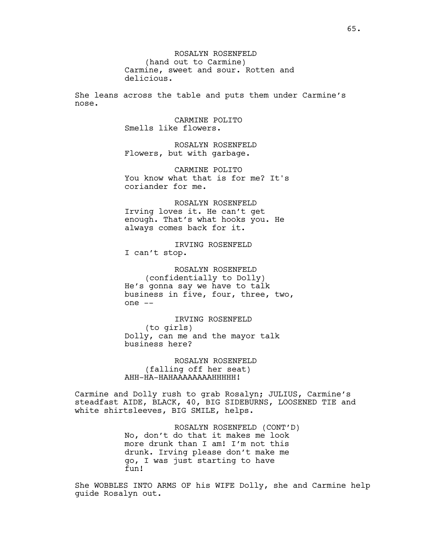ROSALYN ROSENFELD (hand out to Carmine) Carmine, sweet and sour. Rotten and delicious.

She leans across the table and puts them under Carmine's nose.

> CARMINE POLITO Smells like flowers.

ROSALYN ROSENFELD Flowers, but with garbage.

CARMINE POLITO You know what that is for me? It's coriander for me.

ROSALYN ROSENFELD Irving loves it. He can't get enough. That's what hooks you. He always comes back for it.

IRVING ROSENFELD I can't stop.

ROSALYN ROSENFELD (confidentially to Dolly) He's gonna say we have to talk business in five, four, three, two, one --

IRVING ROSENFELD (to girls) Dolly, can me and the mayor talk business here?

ROSALYN ROSENFELD (falling off her seat) AHH-HA-HAHAAAAAAAAHHHHH!

Carmine and Dolly rush to grab Rosalyn; JULIUS, Carmine's steadfast AIDE, BLACK, 40, BIG SIDEBURNS, LOOSENED TIE and white shirtsleeves, BIG SMILE, helps.

> ROSALYN ROSENFELD (CONT'D) No, don't do that it makes me look more drunk than I am! I'm not this drunk. Irving please don't make me go, I was just starting to have fun!

She WOBBLES INTO ARMS OF his WIFE Dolly, she and Carmine help guide Rosalyn out.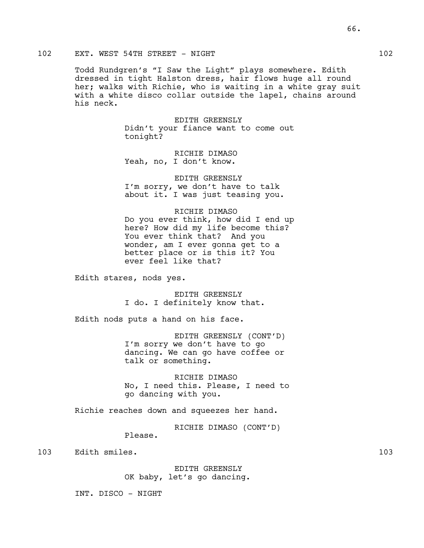## 102 EXT. WEST 54TH STREET - NIGHT 102

Todd Rundgren's "I Saw the Light" plays somewhere. Edith dressed in tight Halston dress, hair flows huge all round her; walks with Richie, who is waiting in a white gray suit with a white disco collar outside the lapel, chains around his neck.

> EDITH GREENSLY Didn't your fiance want to come out tonight?

RICHIE DIMASO Yeah, no, I don't know.

EDITH GREENSLY I'm sorry, we don't have to talk about it. I was just teasing you.

RICHIE DIMASO

Do you ever think, how did I end up here? How did my life become this? You ever think that? And you wonder, am I ever gonna get to a better place or is this it? You ever feel like that?

Edith stares, nods yes.

EDITH GREENSLY I do. I definitely know that.

Edith nods puts a hand on his face.

EDITH GREENSLY (CONT'D) I'm sorry we don't have to go dancing. We can go have coffee or talk or something.

RICHIE DIMASO No, I need this. Please, I need to go dancing with you.

Richie reaches down and squeezes her hand.

RICHIE DIMASO (CONT'D)

103 Edith smiles. 103

EDITH GREENSLY OK baby, let's go dancing.

INT. DISCO - NIGHT

Please.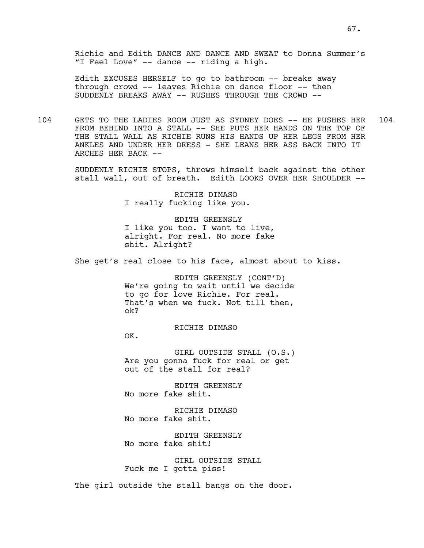Richie and Edith DANCE AND DANCE AND SWEAT to Donna Summer's "I Feel Love" -- dance -- riding a high.

Edith EXCUSES HERSELF to go to bathroom -- breaks away through crowd -- leaves Richie on dance floor -- then SUDDENLY BREAKS AWAY -- RUSHES THROUGH THE CROWD --

104 GETS TO THE LADIES ROOM JUST AS SYDNEY DOES -- HE PUSHES HER 104 FROM BEHIND INTO A STALL -- SHE PUTS HER HANDS ON THE TOP OF THE STALL WALL AS RICHIE RUNS HIS HANDS UP HER LEGS FROM HER ANKLES AND UNDER HER DRESS - SHE LEANS HER ASS BACK INTO IT ARCHES HER BACK --

> SUDDENLY RICHIE STOPS, throws himself back against the other stall wall, out of breath. Edith LOOKS OVER HER SHOULDER --

> > RICHIE DIMASO I really fucking like you.

EDITH GREENSLY I like you too. I want to live, alright. For real. No more fake shit. Alright?

She get's real close to his face, almost about to kiss.

EDITH GREENSLY (CONT'D) We're going to wait until we decide to go for love Richie. For real. That's when we fuck. Not till then, ok?

RICHIE DIMASO

OK.

GIRL OUTSIDE STALL (O.S.) Are you gonna fuck for real or get out of the stall for real?

EDITH GREENSLY No more fake shit.

RICHIE DIMASO No more fake shit.

EDITH GREENSLY No more fake shit!

GIRL OUTSIDE STALL Fuck me I gotta piss!

The girl outside the stall bangs on the door.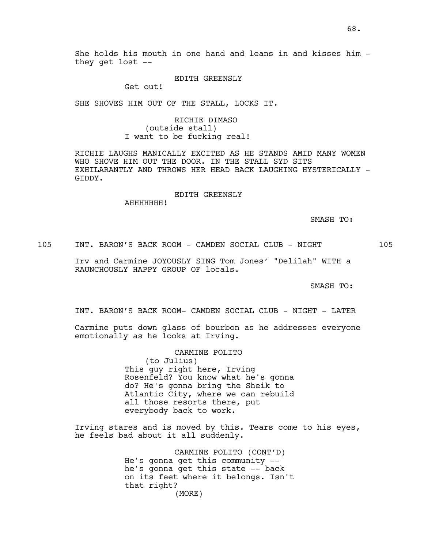#### EDITH GREENSLY

Get out!

SHE SHOVES HIM OUT OF THE STALL, LOCKS IT.

RICHIE DIMASO (outside stall) I want to be fucking real!

RICHIE LAUGHS MANICALLY EXCITED AS HE STANDS AMID MANY WOMEN WHO SHOVE HIM OUT THE DOOR. IN THE STALL SYD SITS EXHILARANTLY AND THROWS HER HEAD BACK LAUGHING HYSTERICALLY -GIDDY.

## EDITH GREENSLY

AHHHHHHH!

SMASH TO:

105 INT. BARON'S BACK ROOM - CAMDEN SOCIAL CLUB - NIGHT 105

Irv and Carmine JOYOUSLY SING Tom Jones' "Delilah" WITH a RAUNCHOUSLY HAPPY GROUP OF locals.

SMASH TO:

INT. BARON'S BACK ROOM- CAMDEN SOCIAL CLUB - NIGHT - LATER

Carmine puts down glass of bourbon as he addresses everyone emotionally as he looks at Irving.

CARMINE POLITO

(to Julius) This guy right here, Irving Rosenfeld? You know what he's gonna do? He's gonna bring the Sheik to Atlantic City, where we can rebuild all those resorts there, put everybody back to work.

Irving stares and is moved by this. Tears come to his eyes, he feels bad about it all suddenly.

> CARMINE POLITO (CONT'D) He's gonna get this community - he's gonna get this state -- back on its feet where it belongs. Isn't that right? (MORE)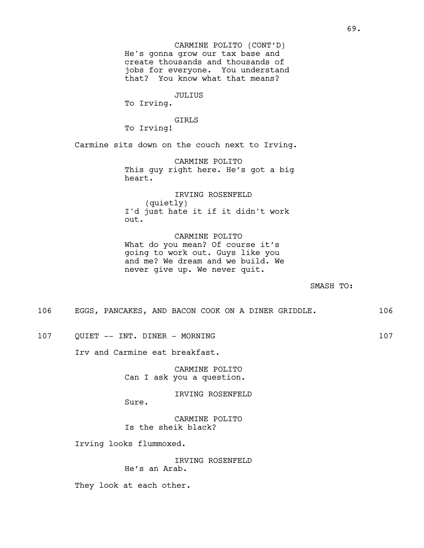He's gonna grow our tax base and create thousands and thousands of jobs for everyone. You understand that? You know what that means? CARMINE POLITO (CONT'D)

JULIUS

To Irving.

GIRLS

To Irving!

Carmine sits down on the couch next to Irving.

CARMINE POLITO This guy right here. He's got a big heart.

IRVING ROSENFELD (quietly) I'd just hate it if it didn't work out.

CARMINE POLITO What do you mean? Of course it's going to work out. Guys like you and me? We dream and we build. We never give up. We never quit.

SMASH TO:

106 EGGS, PANCAKES, AND BACON COOK ON A DINER GRIDDLE. 106

107 OUIET -- INT. DINER - MORNING 107

Irv and Carmine eat breakfast.

CARMINE POLITO Can I ask you a question.

IRVING ROSENFELD

CARMINE POLITO Is the sheik black?

Irving looks flummoxed.

Sure.

IRVING ROSENFELD He's an Arab.

They look at each other.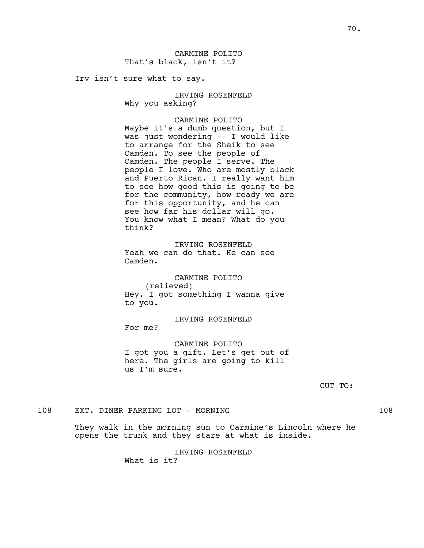Irv isn't sure what to say.

IRVING ROSENFELD Why you asking?

### CARMINE POLITO

Maybe it's a dumb question, but I was just wondering -- I would like to arrange for the Sheik to see Camden. To see the people of Camden. The people I serve. The people I love. Who are mostly black and Puerto Rican. I really want him to see how good this is going to be for the community, how ready we are for this opportunity, and he can see how far his dollar will go. You know what I mean? What do you think?

IRVING ROSENFELD Yeah we can do that. He can see Camden.

CARMINE POLITO (relieved) Hey, I got something I wanna give to you.

IRVING ROSENFELD For me?

CARMINE POLITO I got you a gift. Let's get out of here. The girls are going to kill us I'm sure.

CUT TO:

108 EXT. DINER PARKING LOT - MORNING 108

They walk in the morning sun to Carmine's Lincoln where he opens the trunk and they stare at what is inside.

IRVING ROSENFELD

What is it?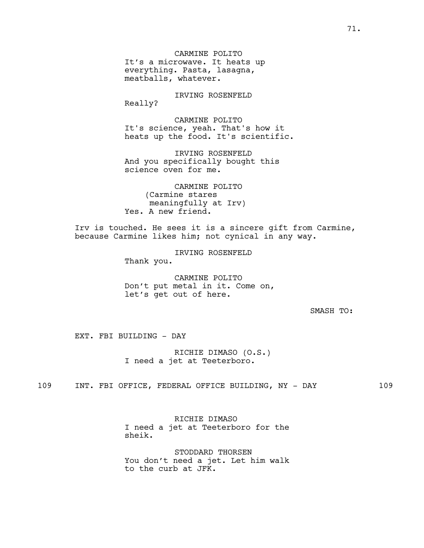CARMINE POLITO It's a microwave. It heats up everything. Pasta, lasagna, meatballs, whatever.

IRVING ROSENFELD Really?

CARMINE POLITO It's science, yeah. That's how it heats up the food. It's scientific.

IRVING ROSENFELD And you specifically bought this science oven for me.

CARMINE POLITO (Carmine stares meaningfully at Irv) Yes. A new friend.

Irv is touched. He sees it is a sincere gift from Carmine, because Carmine likes him; not cynical in any way.

> IRVING ROSENFELD Thank you.

CARMINE POLITO Don't put metal in it. Come on, let's get out of here.

SMASH TO:

EXT. FBI BUILDING - DAY

RICHIE DIMASO (O.S.) I need a jet at Teeterboro.

109 INT. FBI OFFICE, FEDERAL OFFICE BUILDING, NY - DAY 109

RICHIE DIMASO I need a jet at Teeterboro for the sheik.

STODDARD THORSEN You don't need a jet. Let him walk to the curb at JFK.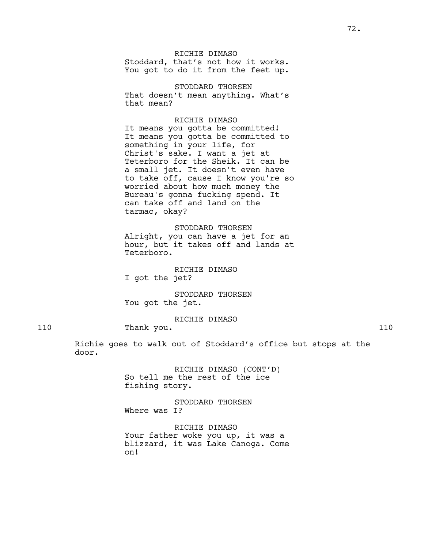# RICHIE DIMASO

Stoddard, that's not how it works. You got to do it from the feet up.

STODDARD THORSEN That doesn't mean anything. What's that mean?

# RICHIE DIMASO

It means you gotta be committed! It means you gotta be committed to something in your life, for Christ's sake. I want a jet at Teterboro for the Sheik. It can be a small jet. It doesn't even have to take off, cause I know you're so worried about how much money the Bureau's gonna fucking spend. It can take off and land on the tarmac, okay?

# STODDARD THORSEN Alright, you can have a jet for an hour, but it takes off and lands at Teterboro.

# RICHIE DIMASO

I got the jet?

STODDARD THORSEN You got the jet.

# RICHIE DIMASO

110 Thank you. 110

Richie goes to walk out of Stoddard's office but stops at the door.

> RICHIE DIMASO (CONT'D) So tell me the rest of the ice fishing story.

STODDARD THORSEN Where was I?

RICHIE DIMASO Your father woke you up, it was a blizzard, it was Lake Canoga. Come on!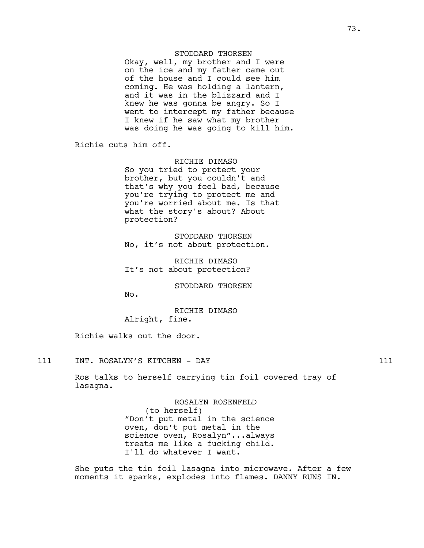# STODDARD THORSEN

Okay, well, my brother and I were on the ice and my father came out of the house and I could see him coming. He was holding a lantern, and it was in the blizzard and I knew he was gonna be angry. So I went to intercept my father because I knew if he saw what my brother was doing he was going to kill him.

Richie cuts him off.

RICHIE DIMASO

So you tried to protect your brother, but you couldn't and that's why you feel bad, because you're trying to protect me and you're worried about me. Is that what the story's about? About protection?

STODDARD THORSEN No, it's not about protection.

RICHIE DIMASO It's not about protection?

STODDARD THORSEN

No.

RICHIE DIMASO Alright, fine.

Richie walks out the door.

111 INT. ROSALYN'S KITCHEN - DAY 111

Ros talks to herself carrying tin foil covered tray of lasagna.

> ROSALYN ROSENFELD (to herself) "Don't put metal in the science oven, don't put metal in the science oven, Rosalyn"...always treats me like a fucking child. I'll do whatever I want.

She puts the tin foil lasagna into microwave. After a few moments it sparks, explodes into flames. DANNY RUNS IN.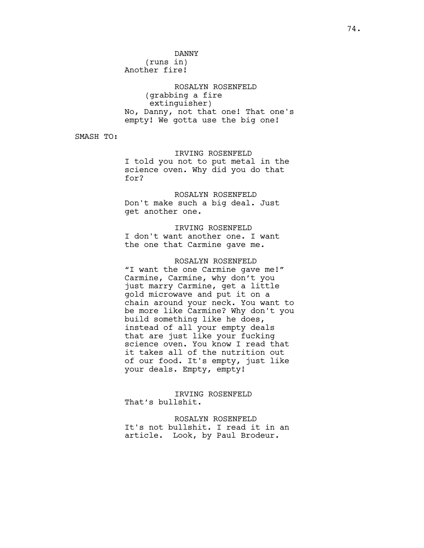DANNY (runs in) Another fire!

ROSALYN ROSENFELD (grabbing a fire extinguisher) No, Danny, not that one! That one's empty! We gotta use the big one!

SMASH TO:

IRVING ROSENFELD I told you not to put metal in the science oven. Why did you do that for?

ROSALYN ROSENFELD Don't make such a big deal. Just get another one.

IRVING ROSENFELD I don't want another one. I want the one that Carmine gave me.

ROSALYN ROSENFELD "I want the one Carmine gave me!" Carmine, Carmine, why don't you just marry Carmine, get a little gold microwave and put it on a chain around your neck. You want to be more like Carmine? Why don't you build something like he does, instead of all your empty deals that are just like your fucking science oven. You know I read that it takes all of the nutrition out of our food. It's empty, just like your deals. Empty, empty!

IRVING ROSENFELD That's bullshit.

ROSALYN ROSENFELD It's not bullshit. I read it in an article. Look, by Paul Brodeur.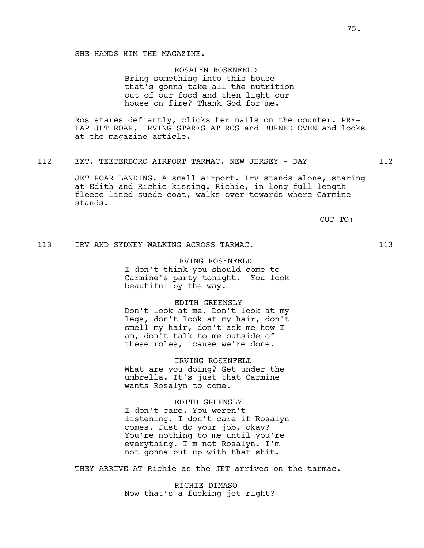ROSALYN ROSENFELD Bring something into this house that's gonna take all the nutrition out of our food and then light our house on fire? Thank God for me.

Ros stares defiantly, clicks her nails on the counter. PRE-LAP JET ROAR, IRVING STARES AT ROS and BURNED OVEN and looks at the magazine article.

#### 112 EXT. TEETERBORO AIRPORT TARMAC, NEW JERSEY - DAY 112

JET ROAR LANDING. A small airport. Irv stands alone, staring at Edith and Richie kissing. Richie, in long full length fleece lined suede coat, walks over towards where Carmine stands.

CUT TO:

#### 113 IRV AND SYDNEY WALKING ACROSS TARMAC. 113

#### IRVING ROSENFELD

I don't think you should come to Carmine's party tonight. You look beautiful by the way.

#### EDITH GREENSLY

Don't look at me. Don't look at my legs, don't look at my hair, don't smell my hair, don't ask me how I am, don't talk to me outside of these roles, 'cause we're done.

IRVING ROSENFELD

What are you doing? Get under the umbrella. It's just that Carmine wants Rosalyn to come.

#### EDITH GREENSLY

I don't care. You weren't listening. I don't care if Rosalyn comes. Just do your job, okay? You're nothing to me until you're everything. I'm not Rosalyn. I'm not gonna put up with that shit.

THEY ARRIVE AT Richie as the JET arrives on the tarmac.

RICHIE DIMASO Now that's a fucking jet right?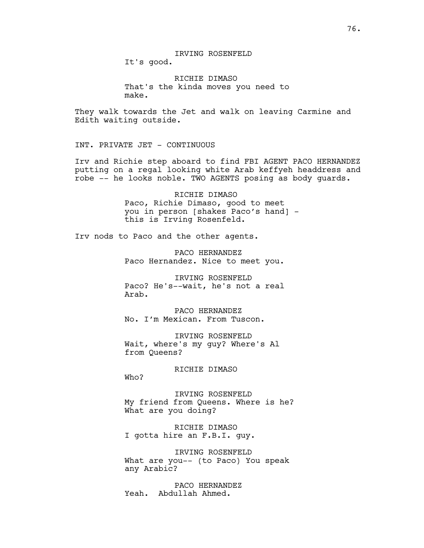RICHIE DIMASO That's the kinda moves you need to make.

They walk towards the Jet and walk on leaving Carmine and Edith waiting outside.

INT. PRIVATE JET - CONTINUOUS

Irv and Richie step aboard to find FBI AGENT PACO HERNANDEZ putting on a regal looking white Arab keffyeh headdress and robe -- he looks noble. TWO AGENTS posing as body guards.

> RICHIE DIMASO Paco, Richie Dimaso, good to meet you in person [shakes Paco's hand] this is Irving Rosenfeld.

Irv nods to Paco and the other agents.

PACO HERNANDEZ Paco Hernandez. Nice to meet you.

IRVING ROSENFELD Paco? He's--wait, he's not a real Arab.

PACO HERNANDEZ No. I'm Mexican. From Tuscon.

IRVING ROSENFELD Wait, where's my guy? Where's Al from Queens?

RICHIE DIMASO

Who?

IRVING ROSENFELD My friend from Queens. Where is he? What are you doing?

RICHIE DIMASO I gotta hire an F.B.I. guy.

IRVING ROSENFELD What are you-- (to Paco) You speak any Arabic?

PACO HERNANDEZ Yeah. Abdullah Ahmed.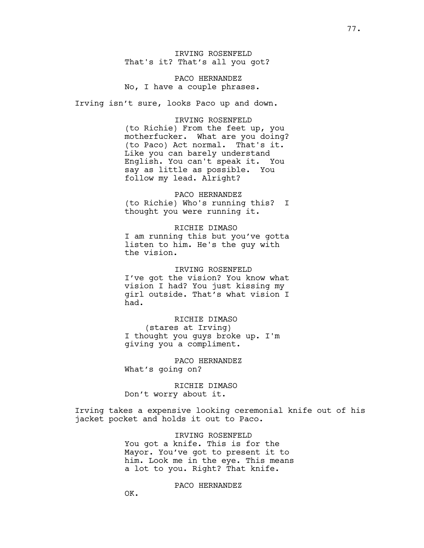IRVING ROSENFELD That's it? That's all you got?

PACO HERNANDEZ No, I have a couple phrases.

Irving isn't sure, looks Paco up and down.

## IRVING ROSENFELD

(to Richie) From the feet up, you motherfucker. What are you doing? (to Paco) Act normal. That's it. Like you can barely understand English. You can't speak it. You say as little as possible. You follow my lead. Alright?

# PACO HERNANDEZ

(to Richie) Who's running this? I thought you were running it.

#### RICHIE DIMASO

I am running this but you've gotta listen to him. He's the guy with the vision.

IRVING ROSENFELD I've got the vision? You know what vision I had? You just kissing my girl outside. That's what vision I had.

# RICHIE DIMASO (stares at Irving) I thought you guys broke up. I'm giving you a compliment.

PACO HERNANDEZ What's going on?

RICHIE DIMASO Don't worry about it.

Irving takes a expensive looking ceremonial knife out of his jacket pocket and holds it out to Paco.

> IRVING ROSENFELD You got a knife. This is for the Mayor. You've got to present it to him. Look me in the eye. This means a lot to you. Right? That knife.

#### PACO HERNANDEZ

OK.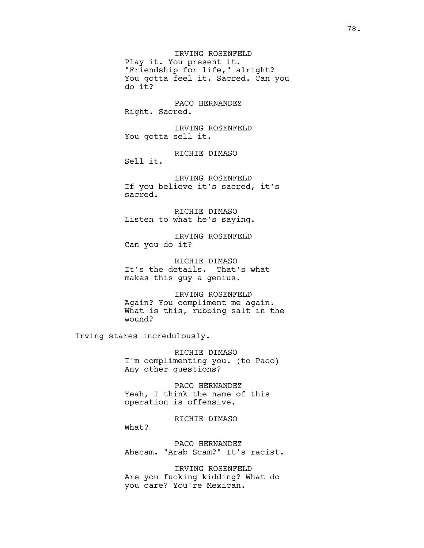IRVING ROSENFELD Play it. You present it. "Friendship for life," alright? You gotta feel it. Sacred. Can you do it?

PACO HERNANDEZ Right. Sacred.

IRVING ROSENFELD You gotta sell it.

RICHIE DIMASO Sell it.

IRVING ROSENFELD If you believe it's sacred, it's sacred.

RICHIE DIMASO Listen to what he's saying.

IRVING ROSENFELD Can you do it?

RICHIE DIMASO It's the details. That's what makes this guy a genius.

IRVING ROSENFELD Again? You compliment me again. What is this, rubbing salt in the wound?

Irving stares incredulously.

What?

RICHIE DIMASO I'm complimenting you. (to Paco) Any other questions?

PACO HERNANDEZ Yeah, I think the name of this operation is offensive.

RICHIE DIMASO

PACO HERNANDEZ Abscam. "Arab Scam?" It's racist.

IRVING ROSENFELD Are you fucking kidding? What do you care? You're Mexican.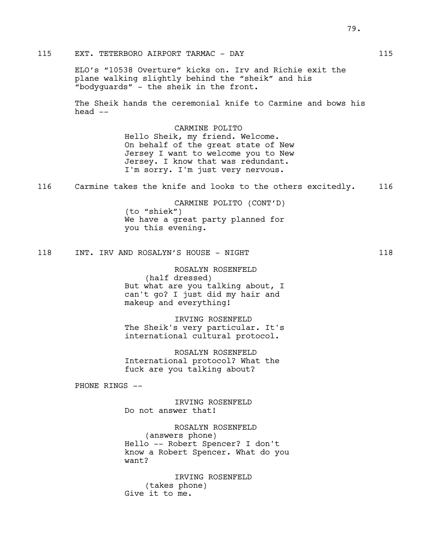ELO's "10538 Overture" kicks on. Irv and Richie exit the plane walking slightly behind the "sheik" and his "bodyguards" - the sheik in the front.

The Sheik hands the ceremonial knife to Carmine and bows his head --

> CARMINE POLITO Hello Sheik, my friend. Welcome. On behalf of the great state of New Jersey I want to welcome you to New Jersey. I know that was redundant. I'm sorry. I'm just very nervous.

116 Carmine takes the knife and looks to the others excitedly. 116

CARMINE POLITO (CONT'D) (to "shiek") We have a great party planned for you this evening.

118 INT. IRV AND ROSALYN'S HOUSE - NIGHT

ROSALYN ROSENFELD (half dressed) But what are you talking about, I can't go? I just did my hair and makeup and everything!

IRVING ROSENFELD The Sheik's very particular. It's international cultural protocol.

ROSALYN ROSENFELD International protocol? What the fuck are you talking about?

PHONE RINGS --

IRVING ROSENFELD Do not answer that!

ROSALYN ROSENFELD (answers phone) Hello -- Robert Spencer? I don't know a Robert Spencer. What do you want?

IRVING ROSENFELD (takes phone) Give it to me.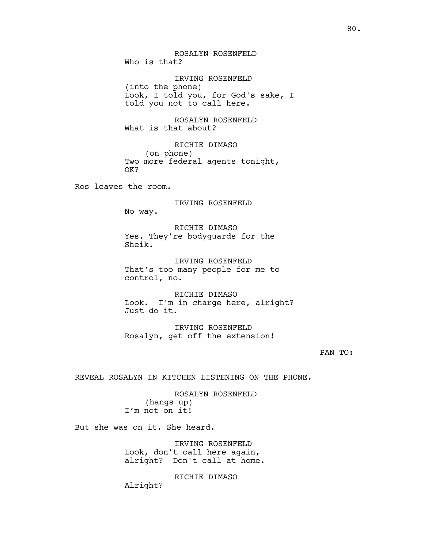ROSALYN ROSENFELD Who is that?

IRVING ROSENFELD (into the phone) Look, I told you, for God's sake, I told you not to call here.

ROSALYN ROSENFELD What is that about?

RICHIE DIMASO (on phone) Two more federal agents tonight, OK?

Ros leaves the room.

IRVING ROSENFELD No way.

RICHIE DIMASO Yes. They're bodyguards for the Sheik.

IRVING ROSENFELD That's too many people for me to control, no.

RICHIE DIMASO Look. I'm in charge here, alright? Just do it.

IRVING ROSENFELD Rosalyn, get off the extension!

#### PAN TO:

REVEAL ROSALYN IN KITCHEN LISTENING ON THE PHONE.

ROSALYN ROSENFELD (hangs up) I'm not on it!

But she was on it. She heard.

IRVING ROSENFELD Look, don't call here again, alright? Don't call at home.

RICHIE DIMASO

Alright?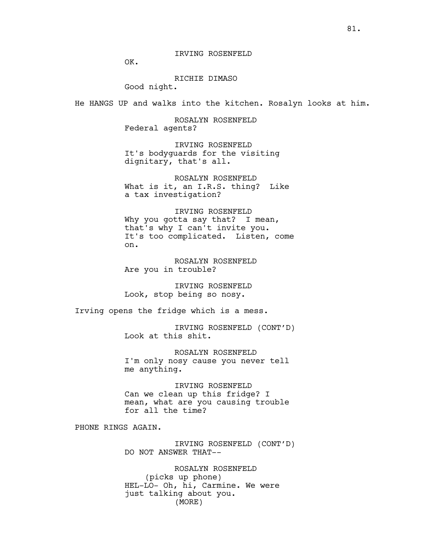# IRVING ROSENFELD

OK.

# RICHIE DIMASO

Good night.

He HANGS UP and walks into the kitchen. Rosalyn looks at him.

ROSALYN ROSENFELD Federal agents?

IRVING ROSENFELD It's bodyguards for the visiting dignitary, that's all.

ROSALYN ROSENFELD What is it, an I.R.S. thing? Like a tax investigation?

IRVING ROSENFELD Why you gotta say that? I mean, that's why I can't invite you. It's too complicated. Listen, come on.

ROSALYN ROSENFELD Are you in trouble?

IRVING ROSENFELD Look, stop being so nosy.

Irving opens the fridge which is a mess.

IRVING ROSENFELD (CONT'D) Look at this shit.

ROSALYN ROSENFELD I'm only nosy cause you never tell me anything.

IRVING ROSENFELD Can we clean up this fridge? I mean, what are you causing trouble for all the time?

PHONE RINGS AGAIN.

IRVING ROSENFELD (CONT'D) DO NOT ANSWER THAT--

ROSALYN ROSENFELD (picks up phone) HEL-LO- Oh, hi, Carmine. We were just talking about you. (MORE)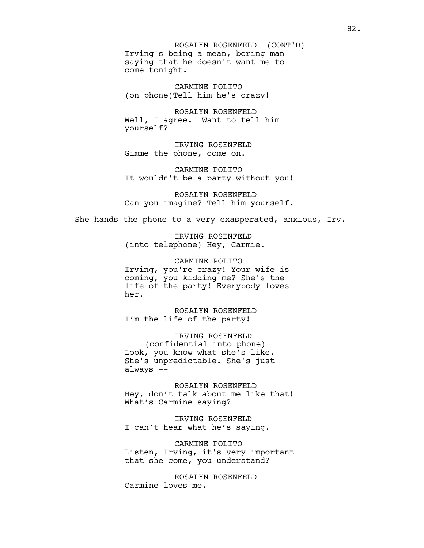Irving's being a mean, boring man saying that he doesn't want me to come tonight. ROSALYN ROSENFELD (CONT'D)

CARMINE POLITO (on phone)Tell him he's crazy!

ROSALYN ROSENFELD Well, I agree. Want to tell him yourself?

IRVING ROSENFELD Gimme the phone, come on.

CARMINE POLITO It wouldn't be a party without you!

ROSALYN ROSENFELD Can you imagine? Tell him yourself.

She hands the phone to a very exasperated, anxious, Irv.

IRVING ROSENFELD (into telephone) Hey, Carmie.

CARMINE POLITO Irving, you're crazy! Your wife is coming, you kidding me? She's the life of the party! Everybody loves her.

ROSALYN ROSENFELD I'm the life of the party!

IRVING ROSENFELD (confidential into phone) Look, you know what she's like. She's unpredictable. She's just always --

ROSALYN ROSENFELD Hey, don't talk about me like that! What's Carmine saying?

IRVING ROSENFELD I can't hear what he's saying.

CARMINE POLITO Listen, Irving, it's very important that she come, you understand?

ROSALYN ROSENFELD Carmine loves me.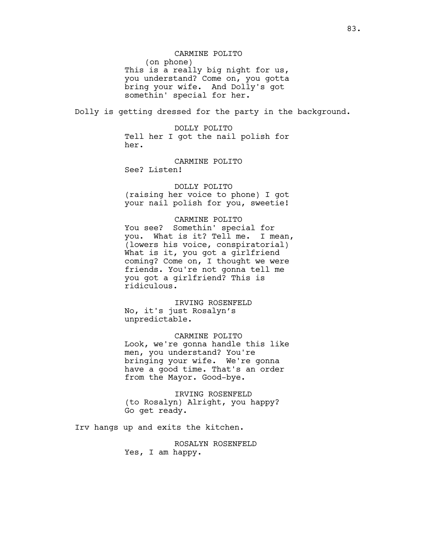#### CARMINE POLITO

(on phone) This is a really big night for us, you understand? Come on, you gotta bring your wife. And Dolly's got somethin' special for her.

Dolly is getting dressed for the party in the background.

DOLLY POLITO Tell her I got the nail polish for her.

CARMINE POLITO See? Listen!

DOLLY POLITO (raising her voice to phone) I got your nail polish for you, sweetie!

#### CARMINE POLITO

You see? Somethin' special for you. What is it? Tell me. I mean, (lowers his voice, conspiratorial) What is it, you got a girlfriend coming? Come on, I thought we were friends. You're not gonna tell me you got a girlfriend? This is ridiculous.

IRVING ROSENFELD No, it's just Rosalyn's unpredictable.

CARMINE POLITO Look, we're gonna handle this like men, you understand? You're bringing your wife. We're gonna have a good time. That's an order from the Mayor. Good-bye.

IRVING ROSENFELD (to Rosalyn) Alright, you happy? Go get ready.

Irv hangs up and exits the kitchen.

ROSALYN ROSENFELD Yes, I am happy.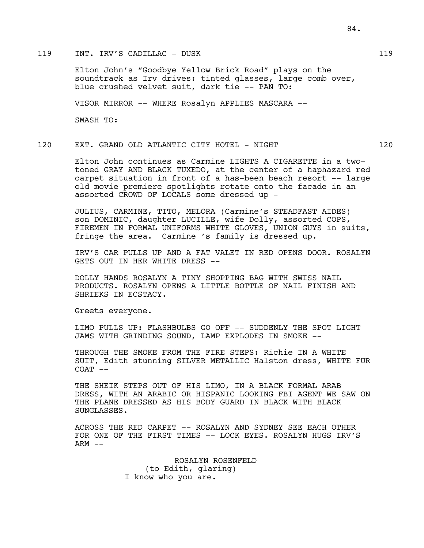# 119 INT. IRV'S CADILLAC - DUSK 119

Elton John's "Goodbye Yellow Brick Road" plays on the soundtrack as Irv drives: tinted glasses, large comb over, blue crushed velvet suit, dark tie -- PAN TO:

VISOR MIRROR -- WHERE Rosalyn APPLIES MASCARA --

SMASH TO:

# 120 EXT. GRAND OLD ATLANTIC CITY HOTEL - NIGHT 120

Elton John continues as Carmine LIGHTS A CIGARETTE in a twotoned GRAY AND BLACK TUXEDO, at the center of a haphazard red carpet situation in front of a has-been beach resort -- large old movie premiere spotlights rotate onto the facade in an assorted CROWD OF LOCALS some dressed up -

JULIUS, CARMINE, TITO, MELORA (Carmine's STEADFAST AIDES) son DOMINIC, daughter LUCILLE, wife Dolly, assorted COPS, FIREMEN IN FORMAL UNIFORMS WHITE GLOVES, UNION GUYS in suits, fringe the area. Carmine 's family is dressed up.

IRV'S CAR PULLS UP AND A FAT VALET IN RED OPENS DOOR. ROSALYN GETS OUT IN HER WHITE DRESS --

DOLLY HANDS ROSALYN A TINY SHOPPING BAG WITH SWISS NAIL PRODUCTS. ROSALYN OPENS A LITTLE BOTTLE OF NAIL FINISH AND SHRIEKS IN ECSTACY.

Greets everyone.

LIMO PULLS UP: FLASHBULBS GO OFF -- SUDDENLY THE SPOT LIGHT JAMS WITH GRINDING SOUND, LAMP EXPLODES IN SMOKE --

THROUGH THE SMOKE FROM THE FIRE STEPS: Richie IN A WHITE SUIT, Edith stunning SILVER METALLIC Halston dress, WHITE FUR  $COAT$   $--$ 

THE SHEIK STEPS OUT OF HIS LIMO, IN A BLACK FORMAL ARAB DRESS, WITH AN ARABIC OR HISPANIC LOOKING FBI AGENT WE SAW ON THE PLANE DRESSED AS HIS BODY GUARD IN BLACK WITH BLACK SUNGLASSES.

ACROSS THE RED CARPET -- ROSALYN AND SYDNEY SEE EACH OTHER FOR ONE OF THE FIRST TIMES -- LOCK EYES. ROSALYN HUGS IRV'S  $ARM$   $--$ 

> ROSALYN ROSENFELD (to Edith, glaring) I know who you are.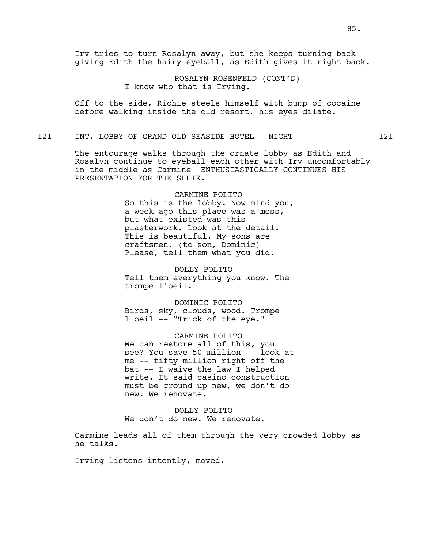Irv tries to turn Rosalyn away, but she keeps turning back giving Edith the hairy eyeball, as Edith gives it right back.

> ROSALYN ROSENFELD (CONT'D) I know who that is Irving.

Off to the side, Richie steels himself with bump of cocaine before walking inside the old resort, his eyes dilate.

# 121 INT. LOBBY OF GRAND OLD SEASIDE HOTEL - NIGHT 121

The entourage walks through the ornate lobby as Edith and Rosalyn continue to eyeball each other with Irv uncomfortably in the middle as Carmine ENTHUSIASTICALLY CONTINUES HIS PRESENTATION FOR THE SHEIK.

> CARMINE POLITO So this is the lobby. Now mind you, a week ago this place was a mess, but what existed was this plasterwork. Look at the detail. This is beautiful. My sons are craftsmen. (to son, Dominic) Please, tell them what you did.

DOLLY POLITO Tell them everything you know. The trompe l'oeil.

DOMINIC POLITO Birds, sky, clouds, wood. Trompe l'oeil -- "Trick of the eye."

CARMINE POLITO We can restore all of this, you see? You save 50 million -- look at me -- fifty million right off the bat -- I waive the law I helped write. It said casino construction must be ground up new, we don't do new. We renovate.

DOLLY POLITO We don't do new. We renovate.

Carmine leads all of them through the very crowded lobby as he talks.

Irving listens intently, moved.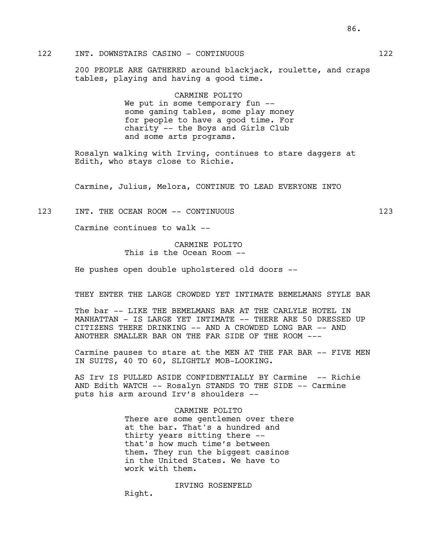200 PEOPLE ARE GATHERED around blackjack, roulette, and craps tables, playing and having a good time.

> CARMINE POLITO We put in some temporary fun -some gaming tables, some play money for people to have a good time. For charity -- the Boys and Girls Club and some arts programs.

Rosalyn walking with Irving, continues to stare daggers at Edith, who stays close to Richie.

Carmine, Julius, Melora, CONTINUE TO LEAD EVERYONE INTO

### 123 INT. THE OCEAN ROOM -- CONTINUOUS 123

Carmine continues to walk --

# CARMINE POLITO This is the Ocean Room --

He pushes open double upholstered old doors --

#### THEY ENTER THE LARGE CROWDED YET INTIMATE BEMELMANS STYLE BAR

The bar -- LIKE THE BEMELMANS BAR AT THE CARLYLE HOTEL IN MANHATTAN - IS LARGE YET INTIMATE -- THERE ARE 50 DRESSED UP CITIZENS THERE DRINKING -- AND A CROWDED LONG BAR -- AND ANOTHER SMALLER BAR ON THE FAR SIDE OF THE ROOM ---

Carmine pauses to stare at the MEN AT THE FAR BAR -- FIVE MEN IN SUITS, 40 TO 60, SLIGHTLY MOB-LOOKING.

AS Irv IS PULLED ASIDE CONFIDENTIALLY BY Carmine -- Richie AND Edith WATCH -- Rosalyn STANDS TO THE SIDE -- Carmine puts his arm around Irv's shoulders --

#### CARMINE POLITO

There are some gentlemen over there at the bar. That's a hundred and thirty years sitting there - that's how much time's between them. They run the biggest casinos in the United States. We have to work with them.

IRVING ROSENFELD Right.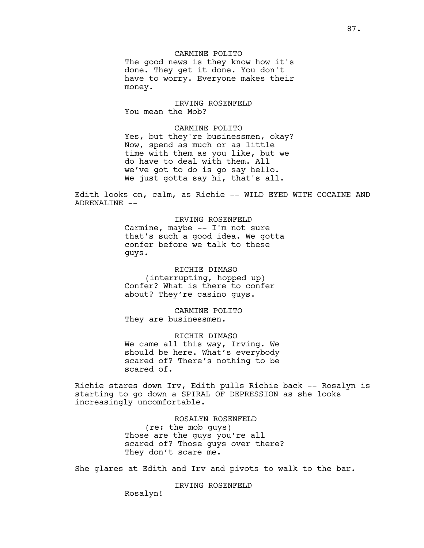CARMINE POLITO The good news is they know how it's done. They get it done. You don't have to worry. Everyone makes their money.

IRVING ROSENFELD You mean the Mob?

CARMINE POLITO Yes, but they're businessmen, okay? Now, spend as much or as little time with them as you like, but we do have to deal with them. All we've got to do is go say hello. We just gotta say hi, that's all.

Edith looks on, calm, as Richie -- WILD EYED WITH COCAINE AND ADRENALINE --

> IRVING ROSENFELD Carmine, maybe -- I'm not sure that's such a good idea. We gotta confer before we talk to these guys.

RICHIE DIMASO (interrupting, hopped up) Confer? What is there to confer about? They're casino guys.

CARMINE POLITO They are businessmen.

RICHIE DIMASO We came all this way, Irving. We should be here. What's everybody scared of? There's nothing to be scared of.

Richie stares down Irv, Edith pulls Richie back -- Rosalyn is starting to go down a SPIRAL OF DEPRESSION as she looks increasingly uncomfortable.

> ROSALYN ROSENFELD (re: the mob guys) Those are the guys you're all scared of? Those guys over there? They don't scare me.

She glares at Edith and Irv and pivots to walk to the bar.

IRVING ROSENFELD

Rosalyn!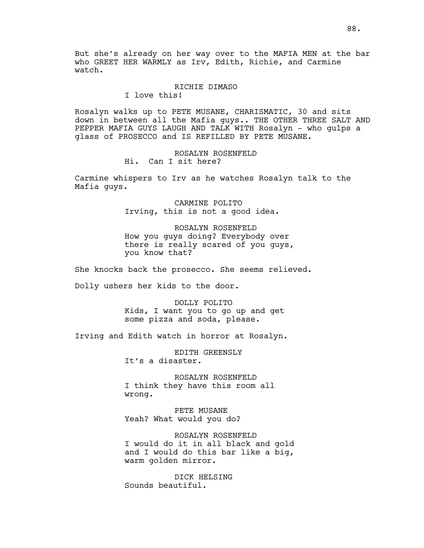But she's already on her way over to the MAFIA MEN at the bar who GREET HER WARMLY as Irv, Edith, Richie, and Carmine watch.

#### RICHIE DIMASO

I love this!

Rosalyn walks up to PETE MUSANE, CHARISMATIC, 30 and sits down in between all the Mafia guys.. THE OTHER THREE SALT AND PEPPER MAFIA GUYS LAUGH AND TALK WITH Rosalyn - who gulps a glass of PROSECCO and IS REFILLED BY PETE MUSANE.

> ROSALYN ROSENFELD Hi. Can I sit here?

Carmine whispers to Irv as he watches Rosalyn talk to the Mafia guys.

> CARMINE POLITO Irving, this is not a good idea.

ROSALYN ROSENFELD How you guys doing? Everybody over there is really scared of you guys, you know that?

She knocks back the prosecco. She seems relieved.

Dolly ushers her kids to the door.

DOLLY POLITO Kids, I want you to go up and get some pizza and soda, please.

Irving and Edith watch in horror at Rosalyn.

EDITH GREENSLY It's a disaster.

ROSALYN ROSENFELD I think they have this room all wrong.

PETE MUSANE Yeah? What would you do?

ROSALYN ROSENFELD I would do it in all black and gold and I would do this bar like a big, warm golden mirror.

DICK HELSING Sounds beautiful.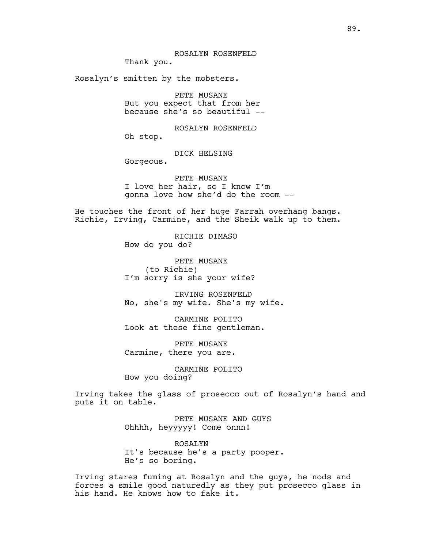ROSALYN ROSENFELD Thank you.

Rosalyn's smitten by the mobsters.

PETE MUSANE But you expect that from her because she's so beautiful --

ROSALYN ROSENFELD Oh stop.

DICK HELSING

Gorgeous.

PETE MUSANE I love her hair, so I know I'm gonna love how she'd do the room --

He touches the front of her huge Farrah overhang bangs. Richie, Irving, Carmine, and the Sheik walk up to them.

> RICHIE DIMASO How do you do?

PETE MUSANE (to Richie) I'm sorry is she your wife?

IRVING ROSENFELD No, she's my wife. She's my wife.

CARMINE POLITO Look at these fine gentleman.

PETE MUSANE Carmine, there you are.

CARMINE POLITO How you doing?

Irving takes the glass of prosecco out of Rosalyn's hand and puts it on table.

> PETE MUSANE AND GUYS Ohhhh, heyyyyy! Come onnn!

ROSALYN It's because he's a party pooper. He's so boring.

Irving stares fuming at Rosalyn and the guys, he nods and forces a smile good naturedly as they put prosecco glass in his hand. He knows how to fake it.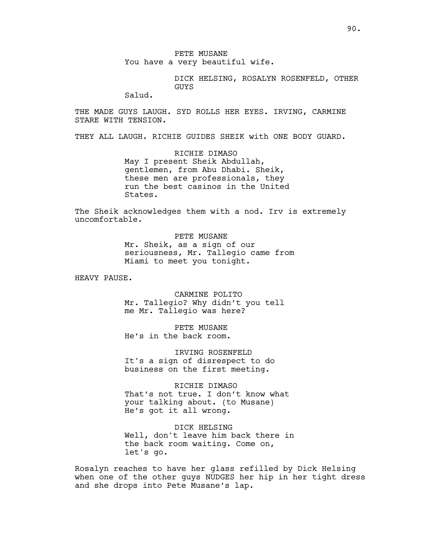PETE MUSANE You have a very beautiful wife.

> DICK HELSING, ROSALYN ROSENFELD, OTHER GUYS

Salud.

THE MADE GUYS LAUGH. SYD ROLLS HER EYES. IRVING, CARMINE STARE WITH TENSION.

THEY ALL LAUGH. RICHIE GUIDES SHEIK with ONE BODY GUARD.

RICHIE DIMASO May I present Sheik Abdullah, gentlemen, from Abu Dhabi. Sheik, these men are professionals, they run the best casinos in the United States.

The Sheik acknowledges them with a nod. Irv is extremely uncomfortable.

> PETE MUSANE Mr. Sheik, as a sign of our seriousness, Mr. Tallegio came from Miami to meet you tonight.

HEAVY PAUSE.

CARMINE POLITO Mr. Tallegio? Why didn't you tell me Mr. Tallegio was here?

PETE MUSANE He's in the back room.

IRVING ROSENFELD It's a sign of disrespect to do business on the first meeting.

RICHIE DIMASO That's not true. I don't know what your talking about. (to Musane) He's got it all wrong.

DICK HELSING Well, don't leave him back there in the back room waiting. Come on, let's go.

Rosalyn reaches to have her glass refilled by Dick Helsing when one of the other guys NUDGES her hip in her tight dress and she drops into Pete Musane's lap.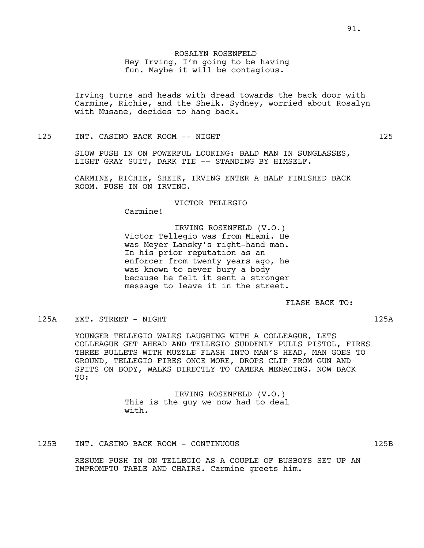Irving turns and heads with dread towards the back door with Carmine, Richie, and the Sheik. Sydney, worried about Rosalyn with Musane, decides to hang back.

## 125 INT. CASINO BACK ROOM -- NIGHT 125

SLOW PUSH IN ON POWERFUL LOOKING: BALD MAN IN SUNGLASSES, LIGHT GRAY SUIT, DARK TIE -- STANDING BY HIMSELF.

CARMINE, RICHIE, SHEIK, IRVING ENTER A HALF FINISHED BACK ROOM. PUSH IN ON IRVING.

VICTOR TELLEGIO

Carmine!

IRVING ROSENFELD (V.O.) Victor Tellegio was from Miami. He was Meyer Lansky's right-hand man. In his prior reputation as an enforcer from twenty years ago, he was known to never bury a body because he felt it sent a stronger message to leave it in the street.

# FLASH BACK TO:

#### 125A EXT. STREET - NIGHT 125A

YOUNGER TELLEGIO WALKS LAUGHING WITH A COLLEAGUE, LETS COLLEAGUE GET AHEAD AND TELLEGIO SUDDENLY PULLS PISTOL, FIRES THREE BULLETS WITH MUZZLE FLASH INTO MAN'S HEAD, MAN GOES TO GROUND, TELLEGIO FIRES ONCE MORE, DROPS CLIP FROM GUN AND SPITS ON BODY, WALKS DIRECTLY TO CAMERA MENACING. NOW BACK TO:

> IRVING ROSENFELD (V.O.) This is the guy we now had to deal with.

# 125B INT. CASINO BACK ROOM - CONTINUOUS 125B

RESUME PUSH IN ON TELLEGIO AS A COUPLE OF BUSBOYS SET UP AN IMPROMPTU TABLE AND CHAIRS. Carmine greets him.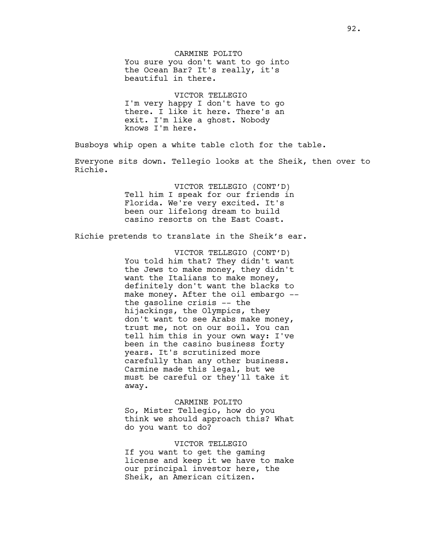CARMINE POLITO You sure you don't want to go into the Ocean Bar? It's really, it's beautiful in there.

VICTOR TELLEGIO I'm very happy I don't have to go there. I like it here. There's an exit. I'm like a ghost. Nobody knows I'm here.

Busboys whip open a white table cloth for the table.

Everyone sits down. Tellegio looks at the Sheik, then over to Richie.

> VICTOR TELLEGIO (CONT'D) Tell him I speak for our friends in Florida. We're very excited. It's been our lifelong dream to build casino resorts on the East Coast.

Richie pretends to translate in the Sheik's ear.

VICTOR TELLEGIO (CONT'D) You told him that? They didn't want the Jews to make money, they didn't want the Italians to make money, definitely don't want the blacks to make money. After the oil embargo - the gasoline crisis -- the hijackings, the Olympics, they don't want to see Arabs make money, trust me, not on our soil. You can tell him this in your own way: I've been in the casino business forty years. It's scrutinized more carefully than any other business. Carmine made this legal, but we must be careful or they'll take it away.

CARMINE POLITO So, Mister Tellegio, how do you think we should approach this? What do you want to do?

VICTOR TELLEGIO If you want to get the gaming license and keep it we have to make our principal investor here, the Sheik, an American citizen.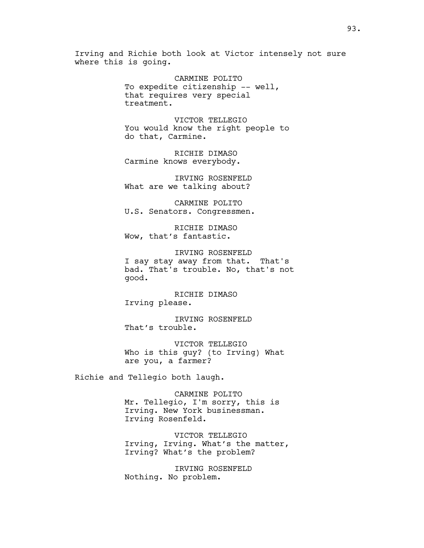Irving and Richie both look at Victor intensely not sure where this is going.

> CARMINE POLITO To expedite citizenship -- well, that requires very special treatment.

VICTOR TELLEGIO You would know the right people to do that, Carmine.

RICHIE DIMASO Carmine knows everybody.

IRVING ROSENFELD What are we talking about?

CARMINE POLITO U.S. Senators. Congressmen.

RICHIE DIMASO Wow, that's fantastic.

IRVING ROSENFELD I say stay away from that. That's bad. That's trouble. No, that's not good.

RICHIE DIMASO Irving please.

IRVING ROSENFELD That's trouble.

VICTOR TELLEGIO Who is this guy? (to Irving) What are you, a farmer?

Richie and Tellegio both laugh.

CARMINE POLITO Mr. Tellegio, I'm sorry, this is Irving. New York businessman. Irving Rosenfeld.

VICTOR TELLEGIO Irving, Irving. What's the matter, Irving? What's the problem?

IRVING ROSENFELD Nothing. No problem.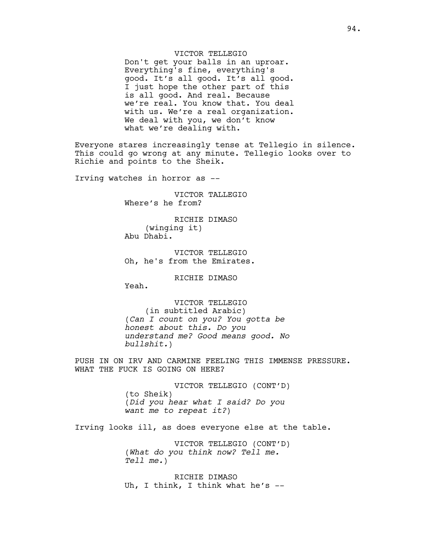# VICTOR TELLEGIO

Don't get your balls in an uproar. Everything's fine, everything's good. It's all good. It's all good. I just hope the other part of this is all good. And real. Because we're real. You know that. You deal with us. We're a real organization. We deal with you, we don't know what we're dealing with.

Everyone stares increasingly tense at Tellegio in silence. This could go wrong at any minute. Tellegio looks over to Richie and points to the Sheik.

Irving watches in horror as --

VICTOR TALLEGIO Where's he from?

RICHIE DIMASO (winging it) Abu Dhabi.

VICTOR TELLEGIO Oh, he's from the Emirates.

RICHIE DIMASO

Yeah.

VICTOR TELLEGIO (in subtitled Arabic) (*Can I count on you? You gotta be honest about this. Do you understand me? Good means good. No bullshit.*)

PUSH IN ON IRV AND CARMINE FEELING THIS IMMENSE PRESSURE. WHAT THE FUCK IS GOING ON HERE?

> VICTOR TELLEGIO (CONT'D) (to Sheik) (*Did you hear what I said? Do you want me to repeat it?*)

Irving looks ill, as does everyone else at the table.

VICTOR TELLEGIO (CONT'D) (*What do you think now? Tell me. Tell me.*)

RICHIE DIMASO Uh, I think, I think what he's --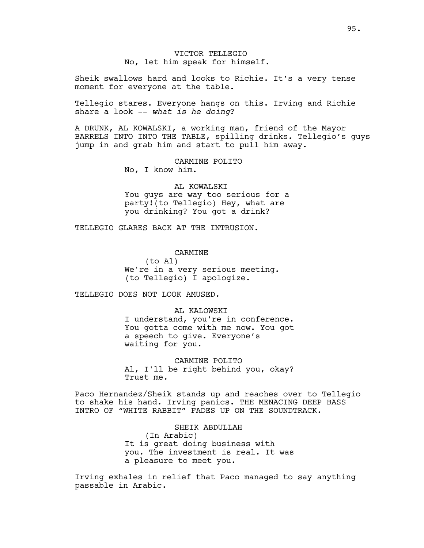VICTOR TELLEGIO No, let him speak for himself.

Sheik swallows hard and looks to Richie. It's a very tense moment for everyone at the table.

Tellegio stares. Everyone hangs on this. Irving and Richie share a look -- *what is he doing*?

A DRUNK, AL KOWALSKI, a working man, friend of the Mayor BARRELS INTO INTO THE TABLE, spilling drinks. Tellegio's guys jump in and grab him and start to pull him away.

> CARMINE POLITO No, I know him.

# AL KOWALSKI

You guys are way too serious for a party!(to Tellegio) Hey, what are you drinking? You got a drink?

TELLEGIO GLARES BACK AT THE INTRUSION.

CARMINE

(to Al) We're in a very serious meeting. (to Tellegio) I apologize.

TELLEGIO DOES NOT LOOK AMUSED.

AL KALOWSKI I understand, you're in conference. You gotta come with me now. You got a speech to give. Everyone's waiting for you.

CARMINE POLITO Al, I'll be right behind you, okay? Trust me.

Paco Hernandez/Sheik stands up and reaches over to Tellegio to shake his hand. Irving panics. THE MENACING DEEP BASS INTRO OF "WHITE RABBIT" FADES UP ON THE SOUNDTRACK.

> SHEIK ABDULLAH (In Arabic) It is great doing business with you. The investment is real. It was a pleasure to meet you.

Irving exhales in relief that Paco managed to say anything passable in Arabic.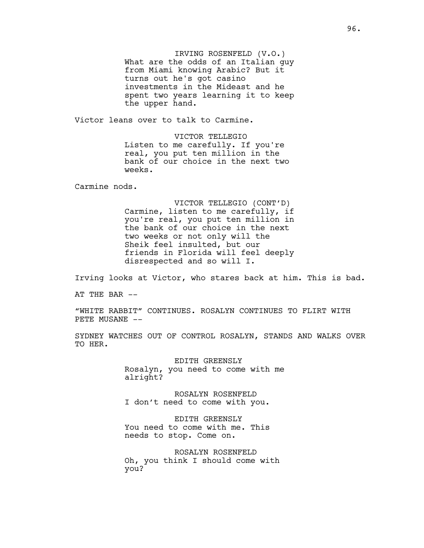IRVING ROSENFELD (V.O.) What are the odds of an Italian guy from Miami knowing Arabic? But it turns out he's got casino investments in the Mideast and he spent two years learning it to keep the upper hand.

Victor leans over to talk to Carmine.

VICTOR TELLEGIO Listen to me carefully. If you're real, you put ten million in the bank of our choice in the next two weeks.

Carmine nods.

VICTOR TELLEGIO (CONT'D) Carmine, listen to me carefully, if you're real, you put ten million in the bank of our choice in the next two weeks or not only will the Sheik feel insulted, but our friends in Florida will feel deeply disrespected and so will I.

Irving looks at Victor, who stares back at him. This is bad.

AT THE BAR  $--$ 

"WHITE RABBIT" CONTINUES. ROSALYN CONTINUES TO FLIRT WITH PETE MUSANE --

SYDNEY WATCHES OUT OF CONTROL ROSALYN, STANDS AND WALKS OVER TO HER.

> EDITH GREENSLY Rosalyn, you need to come with me alright?

ROSALYN ROSENFELD I don't need to come with you.

EDITH GREENSLY You need to come with me. This needs to stop. Come on.

ROSALYN ROSENFELD Oh, you think I should come with you?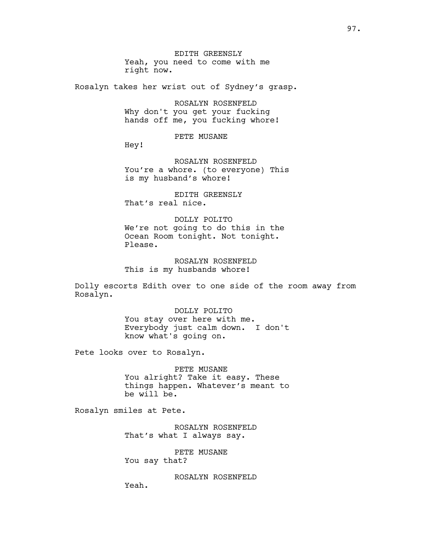EDITH GREENSLY Yeah, you need to come with me right now.

Rosalyn takes her wrist out of Sydney's grasp.

ROSALYN ROSENFELD Why don't you get your fucking hands off me, you fucking whore!

PETE MUSANE

Hey!

ROSALYN ROSENFELD You're a whore. (to everyone) This is my husband's whore!

EDITH GREENSLY That's real nice.

DOLLY POLITO We're not going to do this in the Ocean Room tonight. Not tonight. Please.

ROSALYN ROSENFELD This is my husbands whore!

Dolly escorts Edith over to one side of the room away from Rosalyn.

> DOLLY POLITO You stay over here with me. Everybody just calm down. I don't know what's going on.

Pete looks over to Rosalyn.

PETE MUSANE You alright? Take it easy. These things happen. Whatever's meant to be will be.

Rosalyn smiles at Pete.

Yeah.

ROSALYN ROSENFELD That's what I always say.

PETE MUSANE You say that?

ROSALYN ROSENFELD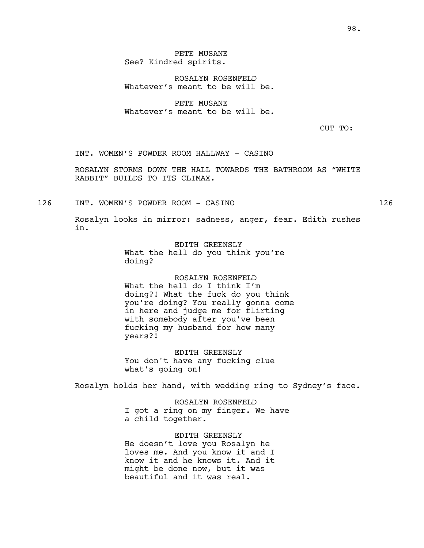PETE MUSANE See? Kindred spirits.

ROSALYN ROSENFELD Whatever's meant to be will be.

PETE MUSANE Whatever's meant to be will be.

CUT TO:

INT. WOMEN'S POWDER ROOM HALLWAY - CASINO

ROSALYN STORMS DOWN THE HALL TOWARDS THE BATHROOM AS "WHITE RABBIT" BUILDS TO ITS CLIMAX.

126 INT. WOMEN'S POWDER ROOM - CASINO 126

Rosalyn looks in mirror: sadness, anger, fear. Edith rushes in.

> EDITH GREENSLY What the hell do you think you're doing?

ROSALYN ROSENFELD What the hell do I think I'm doing?! What the fuck do you think you're doing? You really gonna come in here and judge me for flirting with somebody after you've been fucking my husband for how many years?!

EDITH GREENSLY You don't have any fucking clue what's going on!

Rosalyn holds her hand, with wedding ring to Sydney's face.

ROSALYN ROSENFELD I got a ring on my finger. We have a child together.

EDITH GREENSLY He doesn't love you Rosalyn he loves me. And you know it and I know it and he knows it. And it might be done now, but it was beautiful and it was real.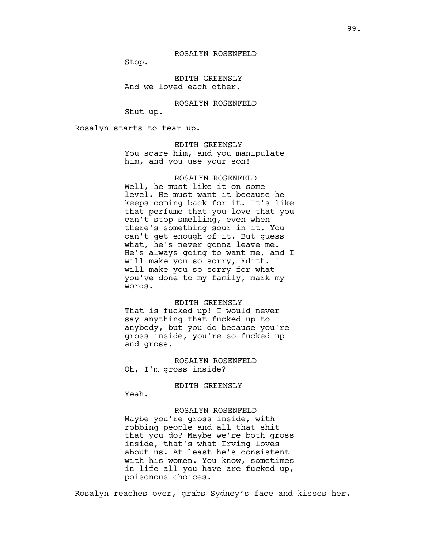Stop.

EDITH GREENSLY And we loved each other.

ROSALYN ROSENFELD

Shut up.

Rosalyn starts to tear up.

EDITH GREENSLY You scare him, and you manipulate him, and you use your son!

#### ROSALYN ROSENFELD

Well, he must like it on some level. He must want it because he keeps coming back for it. It's like that perfume that you love that you can't stop smelling, even when there's something sour in it. You can't get enough of it. But guess what, he's never gonna leave me. He's always going to want me, and I will make you so sorry, Edith. I will make you so sorry for what you've done to my family, mark my words.

#### EDITH GREENSLY

That is fucked up! I would never say anything that fucked up to anybody, but you do because you're gross inside, you're so fucked up and gross.

ROSALYN ROSENFELD Oh, I'm gross inside?

#### EDITH GREENSLY

Yeah.

#### ROSALYN ROSENFELD

Maybe you're gross inside, with robbing people and all that shit that you do? Maybe we're both gross inside, that's what Irving loves about us. At least he's consistent with his women. You know, sometimes in life all you have are fucked up, poisonous choices.

Rosalyn reaches over, grabs Sydney's face and kisses her.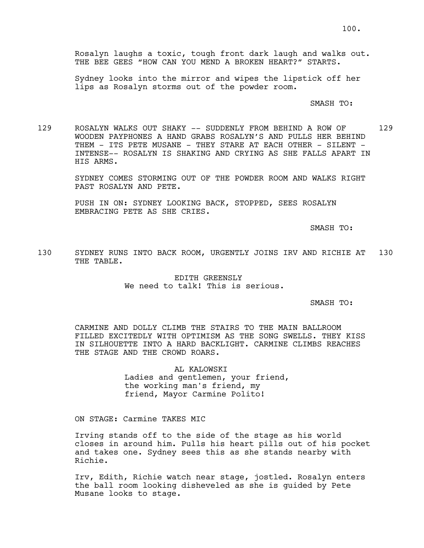Rosalyn laughs a toxic, tough front dark laugh and walks out. THE BEE GEES "HOW CAN YOU MEND A BROKEN HEART?" STARTS.

Sydney looks into the mirror and wipes the lipstick off her lips as Rosalyn storms out of the powder room.

SMASH TO:

129 ROSALYN WALKS OUT SHAKY -- SUDDENLY FROM BEHIND A ROW OF 129 WOODEN PAYPHONES A HAND GRABS ROSALYN'S AND PULLS HER BEHIND THEM - ITS PETE MUSANE - THEY STARE AT EACH OTHER - SILENT -INTENSE-- ROSALYN IS SHAKING AND CRYING AS SHE FALLS APART IN HIS ARMS.

> SYDNEY COMES STORMING OUT OF THE POWDER ROOM AND WALKS RIGHT PAST ROSALYN AND PETE.

PUSH IN ON: SYDNEY LOOKING BACK, STOPPED, SEES ROSALYN EMBRACING PETE AS SHE CRIES.

SMASH TO:

130 SYDNEY RUNS INTO BACK ROOM, URGENTLY JOINS IRV AND RICHIE AT 130 THE TABLE.

> EDITH GREENSLY We need to talk! This is serious.

> > SMASH TO:

CARMINE AND DOLLY CLIMB THE STAIRS TO THE MAIN BALLROOM FILLED EXCITEDLY WITH OPTIMISM AS THE SONG SWELLS. THEY KISS IN SILHOUETTE INTO A HARD BACKLIGHT. CARMINE CLIMBS REACHES THE STAGE AND THE CROWD ROARS.

> AL KALOWSKI Ladies and gentlemen, your friend, the working man's friend, my friend, Mayor Carmine Polito!

ON STAGE: Carmine TAKES MIC

Irving stands off to the side of the stage as his world closes in around him. Pulls his heart pills out of his pocket and takes one. Sydney sees this as she stands nearby with Richie.

Irv, Edith, Richie watch near stage, jostled. Rosalyn enters the ball room looking disheveled as she is guided by Pete Musane looks to stage.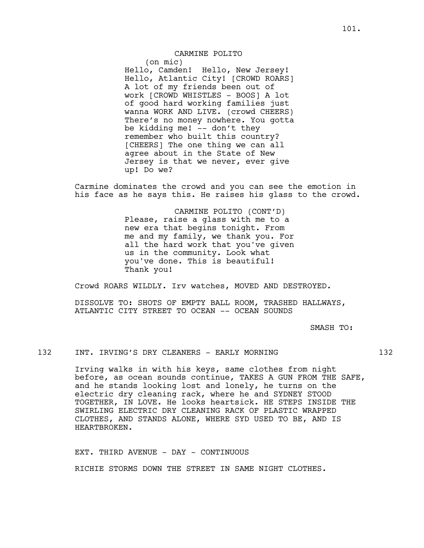## CARMINE POLITO

(on mic) Hello, Camden! Hello, New Jersey! Hello, Atlantic City! [CROWD ROARS] A lot of my friends been out of work [CROWD WHISTLES - BOOS] A lot of good hard working families just wanna WORK AND LIVE. (crowd CHEERS) There's no money nowhere. You gotta be kidding me! -- don't they remember who built this country? [CHEERS] The one thing we can all agree about in the State of New Jersey is that we never, ever give up! Do we?

Carmine dominates the crowd and you can see the emotion in his face as he says this. He raises his glass to the crowd.

> CARMINE POLITO (CONT'D) Please, raise a glass with me to a new era that begins tonight. From me and my family, we thank you. For all the hard work that you've given us in the community. Look what you've done. This is beautiful! Thank you!

Crowd ROARS WILDLY. Irv watches, MOVED AND DESTROYED.

DISSOLVE TO: SHOTS OF EMPTY BALL ROOM, TRASHED HALLWAYS, ATLANTIC CITY STREET TO OCEAN -- OCEAN SOUNDS

SMASH TO:

#### 132 INT. IRVING'S DRY CLEANERS - EARLY MORNING 132

Irving walks in with his keys, same clothes from night before, as ocean sounds continue, TAKES A GUN FROM THE SAFE, and he stands looking lost and lonely, he turns on the electric dry cleaning rack, where he and SYDNEY STOOD TOGETHER, IN LOVE. He looks heartsick. HE STEPS INSIDE THE SWIRLING ELECTRIC DRY CLEANING RACK OF PLASTIC WRAPPED CLOTHES, AND STANDS ALONE, WHERE SYD USED TO BE, AND IS HEARTBROKEN.

EXT. THIRD AVENUE - DAY - CONTINUOUS RICHIE STORMS DOWN THE STREET IN SAME NIGHT CLOTHES.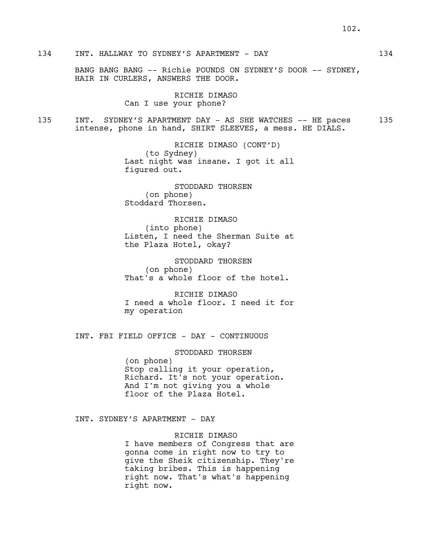# 134 INT. HALLWAY TO SYDNEY'S APARTMENT - DAY 134

BANG BANG BANG -- Richie POUNDS ON SYDNEY'S DOOR -- SYDNEY, HAIR IN CURLERS, ANSWERS THE DOOR.

> RICHIE DIMASO Can I use your phone?

135 INT. SYDNEY'S APARTMENT DAY - AS SHE WATCHES -- HE paces 135 intense, phone in hand, SHIRT SLEEVES, a mess. HE DIALS.

> RICHIE DIMASO (CONT'D) (to Sydney) Last night was insane. I got it all figured out.

STODDARD THORSEN (on phone) Stoddard Thorsen.

RICHIE DIMASO (into phone) Listen, I need the Sherman Suite at the Plaza Hotel, okay?

STODDARD THORSEN (on phone) That's a whole floor of the hotel.

RICHIE DIMASO I need a whole floor. I need it for my operation

INT. FBI FIELD OFFICE - DAY - CONTINUOUS

STODDARD THORSEN (on phone) Stop calling it your operation, Richard. It's not your operation. And I'm not giving you a whole floor of the Plaza Hotel.

INT. SYDNEY'S APARTMENT - DAY

RICHIE DIMASO

I have members of Congress that are gonna come in right now to try to give the Sheik citizenship. They're taking bribes. This is happening right now. That's what's happening right now.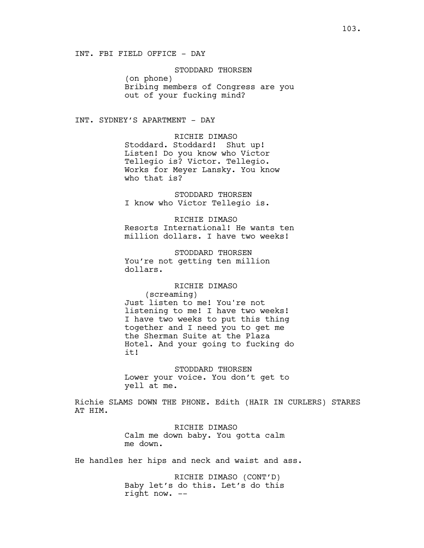STODDARD THORSEN (on phone) Bribing members of Congress are you out of your fucking mind?

INT. SYDNEY'S APARTMENT - DAY

RICHIE DIMASO Stoddard. Stoddard! Shut up! Listen! Do you know who Victor Tellegio is? Victor. Tellegio. Works for Meyer Lansky. You know who that is?

STODDARD THORSEN I know who Victor Tellegio is.

RICHIE DIMASO Resorts International! He wants ten million dollars. I have two weeks!

STODDARD THORSEN You're not getting ten million dollars.

# RICHIE DIMASO

(screaming) Just listen to me! You're not listening to me! I have two weeks! I have two weeks to put this thing together and I need you to get me the Sherman Suite at the Plaza Hotel. And your going to fucking do it!

STODDARD THORSEN Lower your voice. You don't get to yell at me.

Richie SLAMS DOWN THE PHONE. Edith (HAIR IN CURLERS) STARES AT HIM.

> RICHIE DIMASO Calm me down baby. You gotta calm me down.

He handles her hips and neck and waist and ass.

RICHIE DIMASO (CONT'D) Baby let's do this. Let's do this right now. --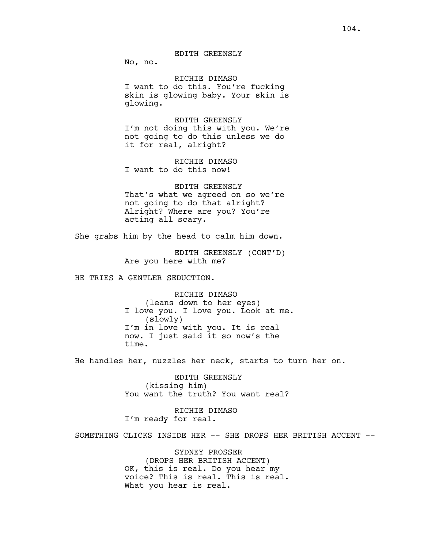No, no.

## RICHIE DIMASO

I want to do this. You're fucking skin is glowing baby. Your skin is glowing.

EDITH GREENSLY I'm not doing this with you. We're not going to do this unless we do it for real, alright?

RICHIE DIMASO I want to do this now!

EDITH GREENSLY That's what we agreed on so we're not going to do that alright? Alright? Where are you? You're acting all scary.

She grabs him by the head to calm him down.

EDITH GREENSLY (CONT'D) Are you here with me?

HE TRIES A GENTLER SEDUCTION.

RICHIE DIMASO (leans down to her eyes) I love you. I love you. Look at me. (slowly) I'm in love with you. It is real now. I just said it so now's the time.

He handles her, nuzzles her neck, starts to turn her on.

EDITH GREENSLY (kissing him) You want the truth? You want real?

RICHIE DIMASO I'm ready for real.

SOMETHING CLICKS INSIDE HER -- SHE DROPS HER BRITISH ACCENT --

SYDNEY PROSSER (DROPS HER BRITISH ACCENT) OK, this is real. Do you hear my voice? This is real. This is real. What you hear is real.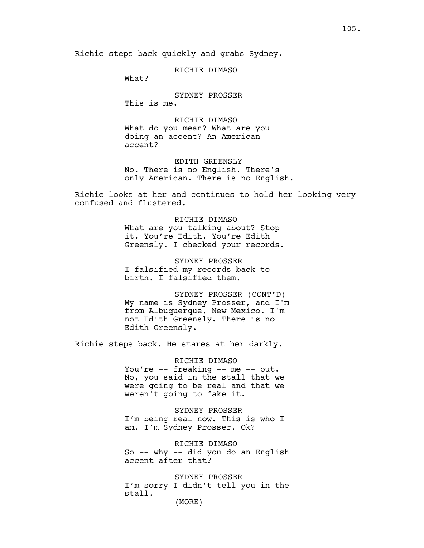RICHIE DIMASO

What?

SYDNEY PROSSER This is me.

RICHIE DIMASO What do you mean? What are you doing an accent? An American accent?

EDITH GREENSLY No. There is no English. There's only American. There is no English.

Richie looks at her and continues to hold her looking very confused and flustered.

> RICHIE DIMASO What are you talking about? Stop it. You're Edith. You're Edith Greensly. I checked your records.

SYDNEY PROSSER I falsified my records back to birth. I falsified them.

SYDNEY PROSSER (CONT'D) My name is Sydney Prosser, and I'm from Albuquerque, New Mexico. I'm not Edith Greensly. There is no Edith Greensly.

Richie steps back. He stares at her darkly.

RICHIE DIMASO You're -- freaking -- me -- out. No, you said in the stall that we were going to be real and that we weren't going to fake it.

SYDNEY PROSSER I'm being real now. This is who I am. I'm Sydney Prosser. Ok?

RICHIE DIMASO So -- why -- did you do an English accent after that?

SYDNEY PROSSER I'm sorry I didn't tell you in the stall.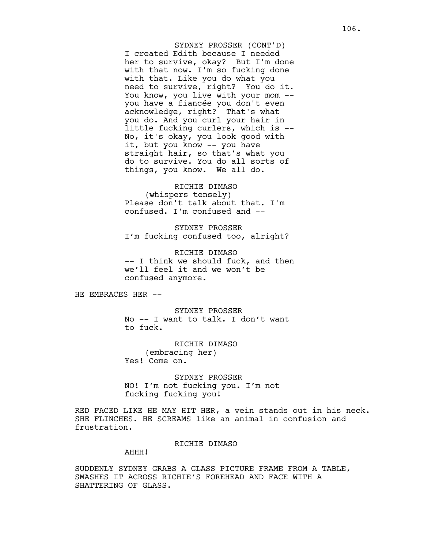I created Edith because I needed her to survive, okay? But I'm done with that now. I'm so fucking done with that. Like you do what you need to survive, right? You do it. You know, you live with your mom - you have a fiancée you don't even acknowledge, right? That's what you do. And you curl your hair in little fucking curlers, which is -- No, it's okay, you look good with it, but you know -- you have straight hair, so that's what you do to survive. You do all sorts of things, you know. We all do. SYDNEY PROSSER (CONT'D)

RICHIE DIMASO (whispers tensely) Please don't talk about that. I'm confused. I'm confused and --

SYDNEY PROSSER I'm fucking confused too, alright?

RICHIE DIMASO -- I think we should fuck, and then we'll feel it and we won't be confused anymore.

HE EMBRACES HER --

SYDNEY PROSSER No -- I want to talk. I don't want to fuck.

RICHIE DIMASO (embracing her) Yes! Come on.

SYDNEY PROSSER NO! I'm not fucking you. I'm not fucking fucking you!

RED FACED LIKE HE MAY HIT HER, a vein stands out in his neck. SHE FLINCHES. HE SCREAMS like an animal in confusion and frustration.

#### RICHIE DIMASO

# AHHH!

SUDDENLY SYDNEY GRABS A GLASS PICTURE FRAME FROM A TABLE, SMASHES IT ACROSS RICHIE'S FOREHEAD AND FACE WITH A SHATTERING OF GLASS.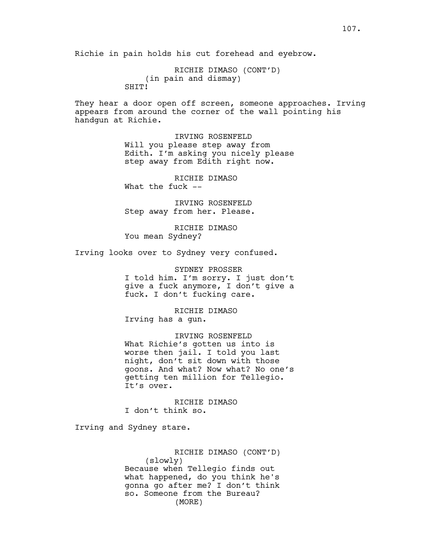Richie in pain holds his cut forehead and eyebrow.

RICHIE DIMASO (CONT'D) (in pain and dismay) SHTT!

They hear a door open off screen, someone approaches. Irving appears from around the corner of the wall pointing his handgun at Richie.

> IRVING ROSENFELD Will you please step away from Edith. I'm asking you nicely please step away from Edith right now.

RICHIE DIMASO What the fuck --

IRVING ROSENFELD Step away from her. Please.

RICHIE DIMASO You mean Sydney?

Irving looks over to Sydney very confused.

SYDNEY PROSSER I told him. I'm sorry. I just don't give a fuck anymore, I don't give a fuck. I don't fucking care.

RICHIE DIMASO Irving has a gun.

IRVING ROSENFELD What Richie's gotten us into is worse then jail. I told you last night, don't sit down with those goons. And what? Now what? No one's getting ten million for Tellegio. It's over.

RICHIE DIMASO I don't think so.

Irving and Sydney stare.

RICHIE DIMASO (CONT'D) (slowly) Because when Tellegio finds out what happened, do you think he's gonna go after me? I don't think so. Someone from the Bureau? (MORE)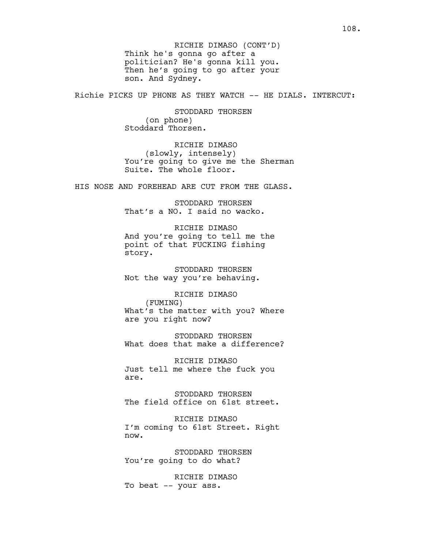Think he's gonna go after a politician? He's gonna kill you. Then he's going to go after your son. And Sydney. RICHIE DIMASO (CONT'D)

Richie PICKS UP PHONE AS THEY WATCH -- HE DIALS. INTERCUT:

STODDARD THORSEN (on phone) Stoddard Thorsen.

RICHIE DIMASO (slowly, intensely) You're going to give me the Sherman Suite. The whole floor.

HIS NOSE AND FOREHEAD ARE CUT FROM THE GLASS.

STODDARD THORSEN That's a NO. I said no wacko.

RICHIE DIMASO And you're going to tell me the point of that FUCKING fishing story.

STODDARD THORSEN Not the way you're behaving.

RICHIE DIMASO (FUMING) What's the matter with you? Where are you right now?

STODDARD THORSEN What does that make a difference?

RICHIE DIMASO Just tell me where the fuck you are.

STODDARD THORSEN The field office on 61st street.

RICHIE DIMASO I'm coming to 61st Street. Right now.

STODDARD THORSEN You're going to do what?

RICHIE DIMASO To beat -- your ass.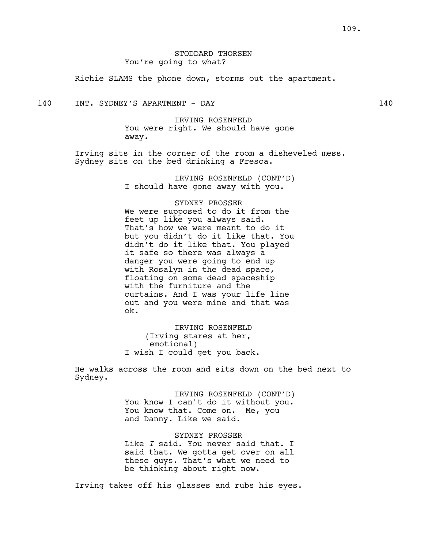# STODDARD THORSEN You're going to what?

Richie SLAMS the phone down, storms out the apartment.

140 INT. SYDNEY'S APARTMENT - DAY 140

IRVING ROSENFELD You were right. We should have gone away.

Irving sits in the corner of the room a disheveled mess. Sydney sits on the bed drinking a Fresca.

> IRVING ROSENFELD (CONT'D) I should have gone away with you.

#### SYDNEY PROSSER

We were supposed to do it from the feet up like you always said. That's how we were meant to do it but you didn't do it like that. You didn't do it like that. You played it safe so there was always a danger you were going to end up with Rosalyn in the dead space, floating on some dead spaceship with the furniture and the curtains. And I was your life line out and you were mine and that was ok.

IRVING ROSENFELD (Irving stares at her, emotional) I wish I could get you back.

He walks across the room and sits down on the bed next to Sydney.

> IRVING ROSENFELD (CONT'D) You know I can't do it without you. You know that. Come on. Me, you and Danny. Like we said.

> SYDNEY PROSSER Like *I* said. You never said that. I said that. We gotta get over on all these guys. That's what we need to be thinking about right now.

Irving takes off his glasses and rubs his eyes.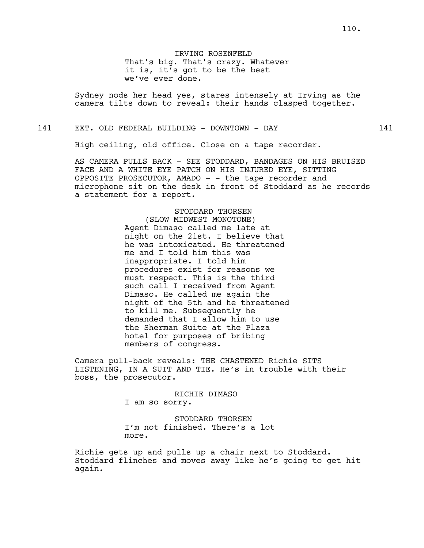IRVING ROSENFELD That's big. That's crazy. Whatever it is, it's got to be the best we've ever done.

Sydney nods her head yes, stares intensely at Irving as the camera tilts down to reveal: their hands clasped together.

141 EXT. OLD FEDERAL BUILDING - DOWNTOWN - DAY 141

High ceiling, old office. Close on a tape recorder.

AS CAMERA PULLS BACK - SEE STODDARD, BANDAGES ON HIS BRUISED FACE AND A WHITE EYE PATCH ON HIS INJURED EYE, SITTING OPPOSITE PROSECUTOR, AMADO - - the tape recorder and microphone sit on the desk in front of Stoddard as he records a statement for a report.

> STODDARD THORSEN (SLOW MIDWEST MONOTONE) Agent Dimaso called me late at night on the 21st. I believe that he was intoxicated. He threatened me and I told him this was inappropriate. I told him procedures exist for reasons we must respect. This is the third such call I received from Agent Dimaso. He called me again the night of the 5th and he threatened to kill me. Subsequently he demanded that I allow him to use the Sherman Suite at the Plaza hotel for purposes of bribing members of congress.

Camera pull-back reveals: THE CHASTENED Richie SITS LISTENING, IN A SUIT AND TIE. He's in trouble with their boss, the prosecutor.

> RICHIE DIMASO I am so sorry.

STODDARD THORSEN I'm not finished. There's a lot more.

Richie gets up and pulls up a chair next to Stoddard. Stoddard flinches and moves away like he's going to get hit again.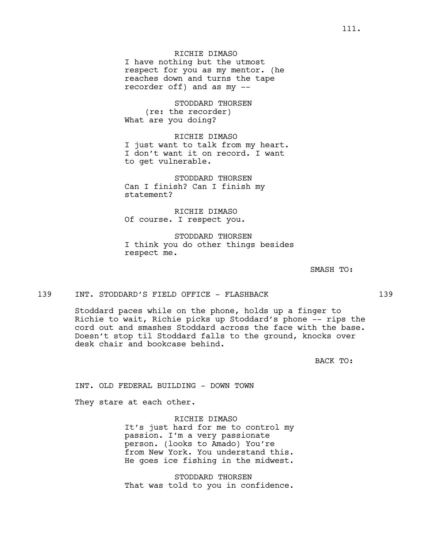STODDARD THORSEN (re: the recorder) What are you doing?

## RICHIE DIMASO

I just want to talk from my heart. I don't want it on record. I want to get vulnerable.

STODDARD THORSEN Can I finish? Can I finish my statement?

RICHIE DIMASO Of course. I respect you.

STODDARD THORSEN I think you do other things besides respect me.

SMASH TO:

### 139 INT. STODDARD'S FIELD OFFICE - FLASHBACK 139

Stoddard paces while on the phone, holds up a finger to Richie to wait, Richie picks up Stoddard's phone -- rips the cord out and smashes Stoddard across the face with the base. Doesn't stop til Stoddard falls to the ground, knocks over desk chair and bookcase behind.

BACK TO:

INT. OLD FEDERAL BUILDING - DOWN TOWN

They stare at each other.

### RICHIE DIMASO

It's just hard for me to control my passion. I'm a very passionate person. (looks to Amado) You're from New York. You understand this. He goes ice fishing in the midwest.

STODDARD THORSEN That was told to you in confidence.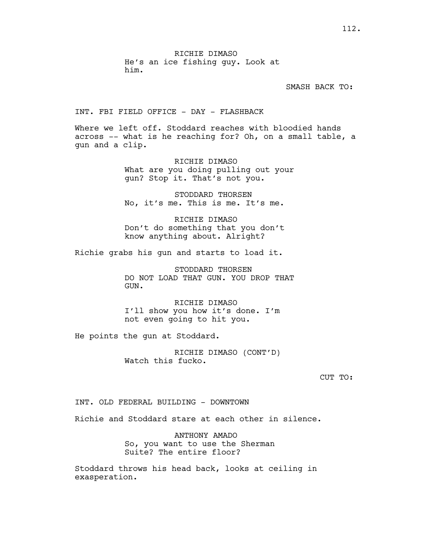SMASH BACK TO:

INT. FBI FIELD OFFICE - DAY - FLASHBACK

Where we left off. Stoddard reaches with bloodied hands across -- what is he reaching for? Oh, on a small table, a gun and a clip.

> RICHIE DIMASO What are you doing pulling out your gun? Stop it. That's not you.

STODDARD THORSEN No, it's me. This is me. It's me.

RICHIE DIMASO Don't do something that you don't know anything about. Alright?

Richie grabs his gun and starts to load it.

STODDARD THORSEN DO NOT LOAD THAT GUN. YOU DROP THAT GUN.

RICHIE DIMASO I'll show you how it's done. I'm not even going to hit you.

He points the gun at Stoddard.

RICHIE DIMASO (CONT'D) Watch this fucko.

CUT TO:

INT. OLD FEDERAL BUILDING - DOWNTOWN

Richie and Stoddard stare at each other in silence.

ANTHONY AMADO So, you want to use the Sherman Suite? The entire floor?

Stoddard throws his head back, looks at ceiling in exasperation.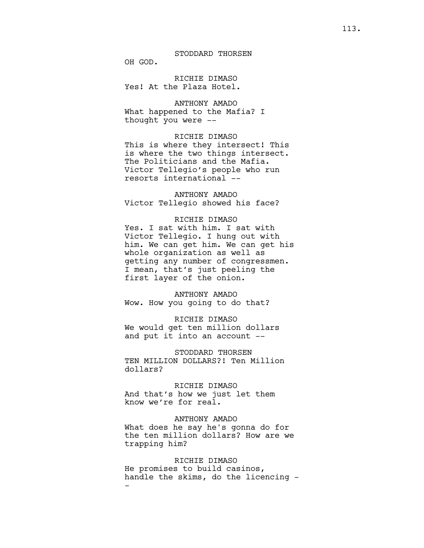OH GOD.

RICHIE DIMASO Yes! At the Plaza Hotel.

ANTHONY AMADO What happened to the Mafia? I thought you were --

### RICHIE DIMASO

This is where they intersect! This is where the two things intersect. The Politicians and the Mafia. Victor Tellegio's people who run resorts international --

# ANTHONY AMADO Victor Tellegio showed his face?

### RICHIE DIMASO

Yes. I sat with him. I sat with Victor Tellegio. I hung out with him. We can get him. We can get his whole organization as well as getting any number of congressmen. I mean, that's just peeling the first layer of the onion.

ANTHONY AMADO Wow. How you going to do that?

#### RICHIE DIMASO

We would get ten million dollars and put it into an account --

STODDARD THORSEN TEN MILLION DOLLARS?! Ten Million dollars?

RICHIE DIMASO And that's how we just let them know we're for real.

### ANTHONY AMADO

What does he say he's gonna do for the ten million dollars? How are we trapping him?

## RICHIE DIMASO

He promises to build casinos, handle the skims, do the licencing - -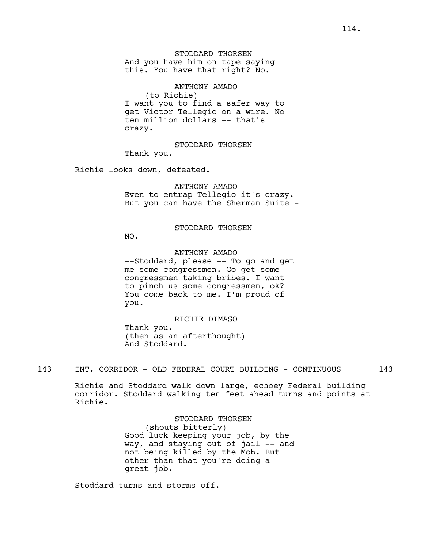ANTHONY AMADO (to Richie) I want you to find a safer way to get Victor Tellegio on a wire. No ten million dollars -- that's crazy.

STODDARD THORSEN

Thank you.

Richie looks down, defeated.

ANTHONY AMADO Even to entrap Tellegio it's crazy. But you can have the Sherman Suite --

STODDARD THORSEN

NO.

ANTHONY AMADO --Stoddard, please -- To go and get me some congressmen. Go get some congressmen taking bribes. I want to pinch us some congressmen, ok? You come back to me. I'm proud of

you.

RICHIE DIMASO Thank you. (then as an afterthought) And Stoddard.

143 INT. CORRIDOR - OLD FEDERAL COURT BUILDING - CONTINUOUS 143

Richie and Stoddard walk down large, echoey Federal building corridor. Stoddard walking ten feet ahead turns and points at Richie.

> STODDARD THORSEN (shouts bitterly) Good luck keeping your job, by the way, and staying out of jail -- and not being killed by the Mob. But other than that you're doing a great job.

Stoddard turns and storms off.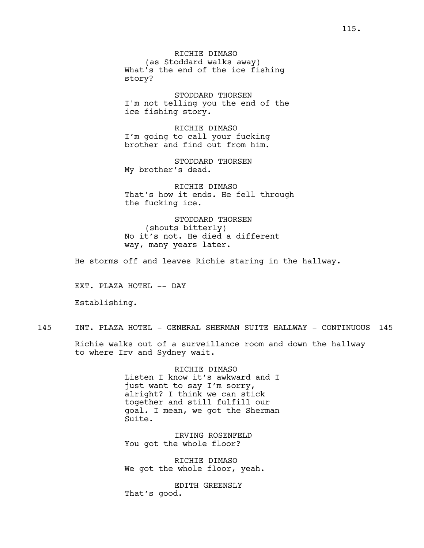RICHIE DIMASO (as Stoddard walks away) What's the end of the ice fishing story?

STODDARD THORSEN I'm not telling you the end of the ice fishing story.

RICHIE DIMASO I'm going to call your fucking brother and find out from him.

STODDARD THORSEN My brother's dead.

RICHIE DIMASO That's how it ends. He fell through the fucking ice.

STODDARD THORSEN (shouts bitterly) No it's not. He died a different way, many years later.

He storms off and leaves Richie staring in the hallway.

EXT. PLAZA HOTEL -- DAY

Establishing.

145 INT. PLAZA HOTEL - GENERAL SHERMAN SUITE HALLWAY - CONTINUOUS 145

Richie walks out of a surveillance room and down the hallway to where Irv and Sydney wait.

> RICHIE DIMASO Listen I know it's awkward and I just want to say I'm sorry, alright? I think we can stick together and still fulfill our goal. I mean, we got the Sherman Suite.

IRVING ROSENFELD You got the whole floor?

RICHIE DIMASO We got the whole floor, yeah.

EDITH GREENSLY That's good.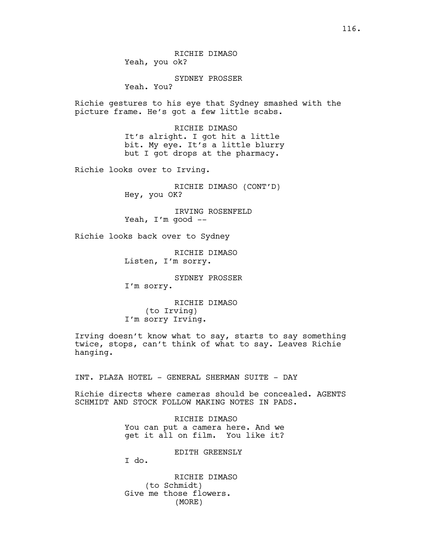SYDNEY PROSSER

Yeah. You?

Richie gestures to his eye that Sydney smashed with the picture frame. He's got a few little scabs.

> RICHIE DIMASO It's alright. I got hit a little bit. My eye. It's a little blurry but I got drops at the pharmacy.

Richie looks over to Irving.

RICHIE DIMASO (CONT'D) Hey, you OK?

IRVING ROSENFELD Yeah, I'm good --

Richie looks back over to Sydney

RICHIE DIMASO Listen, I'm sorry.

SYDNEY PROSSER I'm sorry.

RICHIE DIMASO (to Irving) I'm sorry Irving.

Irving doesn't know what to say, starts to say something twice, stops, can't think of what to say. Leaves Richie hanging.

INT. PLAZA HOTEL - GENERAL SHERMAN SUITE - DAY

Richie directs where cameras should be concealed. AGENTS SCHMIDT AND STOCK FOLLOW MAKING NOTES IN PADS.

> RICHIE DIMASO You can put a camera here. And we get it all on film. You like it?

> > EDITH GREENSLY

I do.

RICHIE DIMASO (to Schmidt) Give me those flowers. (MORE)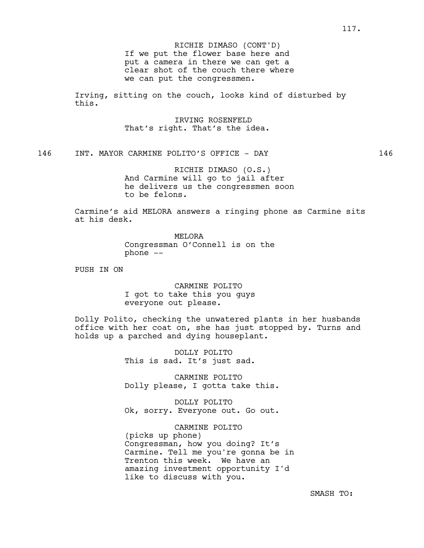If we put the flower base here and put a camera in there we can get a clear shot of the couch there where we can put the congressmen. RICHIE DIMASO (CONT'D)

Irving, sitting on the couch, looks kind of disturbed by this.

> IRVING ROSENFELD That's right. That's the idea.

146 INT. MAYOR CARMINE POLITO'S OFFICE - DAY 146

RICHIE DIMASO (O.S.) And Carmine will go to jail after he delivers us the congressmen soon to be felons.

Carmine's aid MELORA answers a ringing phone as Carmine sits at his desk.

> **MELORA** Congressman O'Connell is on the phone --

PUSH IN ON

CARMINE POLITO I got to take this you guys everyone out please.

Dolly Polito, checking the unwatered plants in her husbands office with her coat on, she has just stopped by. Turns and holds up a parched and dying houseplant.

> DOLLY POLITO This is sad. It's just sad.

CARMINE POLITO Dolly please, I gotta take this.

DOLLY POLITO Ok, sorry. Everyone out. Go out.

CARMINE POLITO (picks up phone) Congressman, how you doing? It's Carmine. Tell me you're gonna be in Trenton this week. We have an amazing investment opportunity I'd like to discuss with you.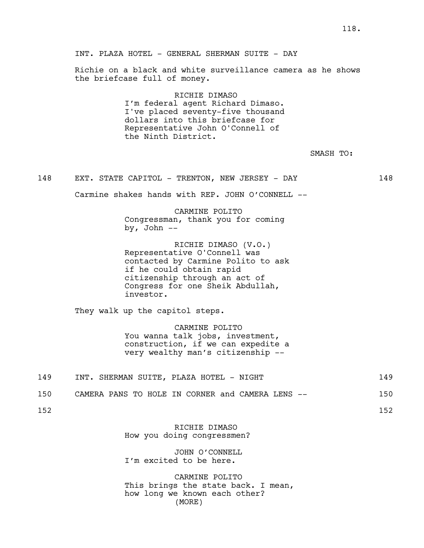INT. PLAZA HOTEL - GENERAL SHERMAN SUITE - DAY

Richie on a black and white surveillance camera as he shows the briefcase full of money.

> RICHIE DIMASO I'm federal agent Richard Dimaso. I've placed seventy-five thousand dollars into this briefcase for Representative John O'Connell of the Ninth District.

> > SMASH TO:

### 148 EXT. STATE CAPITOL - TRENTON, NEW JERSEY - DAY 148

Carmine shakes hands with REP. JOHN O'CONNELL --

CARMINE POLITO Congressman, thank you for coming by, John  $--$ 

RICHIE DIMASO (V.O.) Representative O'Connell was contacted by Carmine Polito to ask if he could obtain rapid citizenship through an act of Congress for one Sheik Abdullah, investor.

They walk up the capitol steps.

CARMINE POLITO You wanna talk jobs, investment, construction, if we can expedite a very wealthy man's citizenship --

| 149 |  | INT. SHERMAN SUITE, PLAZA HOTEL - NIGHT |  |  |  |  |  |  |
|-----|--|-----------------------------------------|--|--|--|--|--|--|
|-----|--|-----------------------------------------|--|--|--|--|--|--|

| 150 |  |  |  |  |  | CAMERA PANS TO HOLE IN CORNER and CAMERA LENS -- |  |  |  |  |  | 150 |
|-----|--|--|--|--|--|--------------------------------------------------|--|--|--|--|--|-----|
|-----|--|--|--|--|--|--------------------------------------------------|--|--|--|--|--|-----|

152 152

RICHIE DIMASO How you doing congressmen?

JOHN O'CONNELL I'm excited to be here.

CARMINE POLITO This brings the state back. I mean, how long we known each other? (MORE)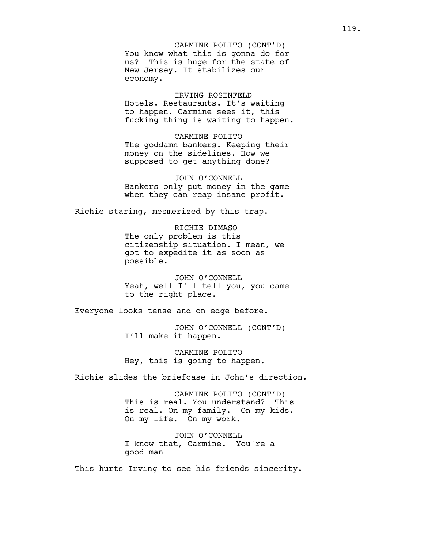You know what this is gonna do for us? This is huge for the state of New Jersey. It stabilizes our economy. CARMINE POLITO (CONT'D)

IRVING ROSENFELD Hotels. Restaurants. It's waiting to happen. Carmine sees it, this fucking thing is waiting to happen.

CARMINE POLITO The goddamn bankers. Keeping their money on the sidelines. How we supposed to get anything done?

JOHN O'CONNELL Bankers only put money in the game when they can reap insane profit.

Richie staring, mesmerized by this trap.

RICHIE DIMASO The only problem is this citizenship situation. I mean, we got to expedite it as soon as possible.

JOHN O'CONNELL Yeah, well I'll tell you, you came to the right place.

Everyone looks tense and on edge before.

JOHN O'CONNELL (CONT'D) I'll make it happen.

CARMINE POLITO Hey, this is going to happen.

Richie slides the briefcase in John's direction.

CARMINE POLITO (CONT'D) This is real. You understand? This is real. On my family. On my kids. On my life. On my work.

JOHN O'CONNELL I know that, Carmine. You're a good man

This hurts Irving to see his friends sincerity.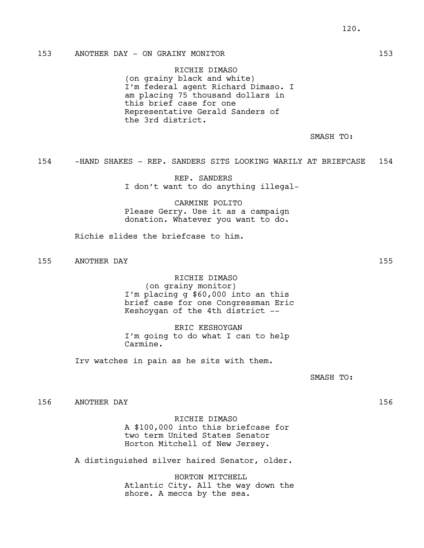# 153 ANOTHER DAY - ON GRAINY MONITOR 153

RICHIE DIMASO (on grainy black and white) I'm federal agent Richard Dimaso. I am placing 75 thousand dollars in this brief case for one Representative Gerald Sanders of the 3rd district.

SMASH TO:

154 -HAND SHAKES - REP. SANDERS SITS LOOKING WARILY AT BRIEFCASE 154

REP. SANDERS I don't want to do anything illegal-

CARMINE POLITO Please Gerry. Use it as a campaign donation. Whatever you want to do.

Richie slides the briefcase to him.

155 ANOTHER DAY 155

RICHIE DIMASO (on grainy monitor) I'm placing g \$60,000 into an this brief case for one Congressman Eric Keshoygan of the 4th district --

ERIC KESHOYGAN I'm going to do what I can to help Carmine.

Irv watches in pain as he sits with them.

SMASH TO:

156 ANOTHER DAY 156

RICHIE DIMASO A \$100,000 into this briefcase for two term United States Senator Horton Mitchell of New Jersey.

A distinguished silver haired Senator, older.

HORTON MITCHELL Atlantic City. All the way down the shore. A mecca by the sea.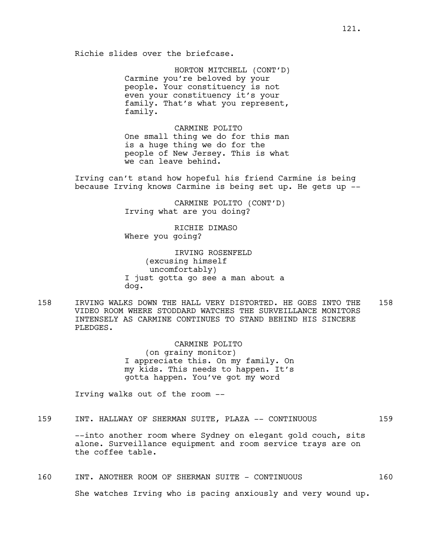Richie slides over the briefcase.

HORTON MITCHELL (CONT'D) Carmine you're beloved by your people. Your constituency is not even your constituency it's your family. That's what you represent, family.

CARMINE POLITO One small thing we do for this man is a huge thing we do for the people of New Jersey. This is what we can leave behind.

Irving can't stand how hopeful his friend Carmine is being because Irving knows Carmine is being set up. He gets up --

> CARMINE POLITO (CONT'D) Irving what are you doing?

RICHIE DIMASO Where you going?

IRVING ROSENFELD (excusing himself uncomfortably) I just gotta go see a man about a dog.

158 IRVING WALKS DOWN THE HALL VERY DISTORTED. HE GOES INTO THE 158 VIDEO ROOM WHERE STODDARD WATCHES THE SURVEILLANCE MONITORS INTENSELY AS CARMINE CONTINUES TO STAND BEHIND HIS SINCERE PLEDGES.

> CARMINE POLITO (on grainy monitor) I appreciate this. On my family. On my kids. This needs to happen. It's gotta happen. You've got my word

Irving walks out of the room --

159 INT. HALLWAY OF SHERMAN SUITE, PLAZA -- CONTINUOUS 159

--into another room where Sydney on elegant gold couch, sits alone. Surveillance equipment and room service trays are on the coffee table.

## 160 INT. ANOTHER ROOM OF SHERMAN SUITE - CONTINUOUS 160

She watches Irving who is pacing anxiously and very wound up.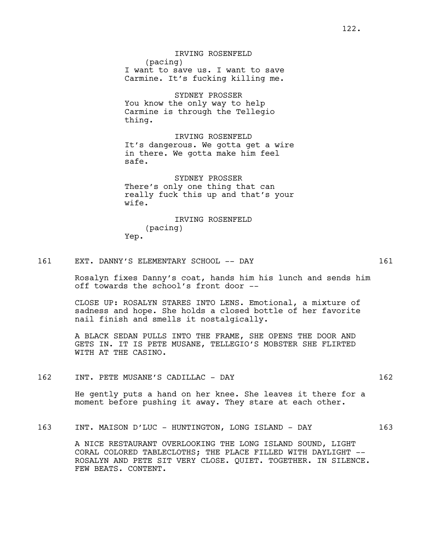## IRVING ROSENFELD

(pacing) I want to save us. I want to save Carmine. It's fucking killing me.

SYDNEY PROSSER You know the only way to help Carmine is through the Tellegio thing.

IRVING ROSENFELD It's dangerous. We gotta get a wire in there. We gotta make him feel safe.

SYDNEY PROSSER There's only one thing that can really fuck this up and that's your wife.

# IRVING ROSENFELD (pacing) Yep.

### 161 EXT. DANNY'S ELEMENTARY SCHOOL -- DAY 161

Rosalyn fixes Danny's coat, hands him his lunch and sends him off towards the school's front door --

CLOSE UP: ROSALYN STARES INTO LENS. Emotional, a mixture of sadness and hope. She holds a closed bottle of her favorite nail finish and smells it nostalgically.

A BLACK SEDAN PULLS INTO THE FRAME, SHE OPENS THE DOOR AND GETS IN. IT IS PETE MUSANE, TELLEGIO'S MOBSTER SHE FLIRTED WITH AT THE CASINO.

162 INT. PETE MUSANE'S CADILLAC - DAY 162

He gently puts a hand on her knee. She leaves it there for a moment before pushing it away. They stare at each other.

163 INT. MAISON D'LUC - HUNTINGTON, LONG ISLAND - DAY 163

A NICE RESTAURANT OVERLOOKING THE LONG ISLAND SOUND, LIGHT CORAL COLORED TABLECLOTHS; THE PLACE FILLED WITH DAYLIGHT -- ROSALYN AND PETE SIT VERY CLOSE. QUIET. TOGETHER. IN SILENCE. FEW BEATS. CONTENT.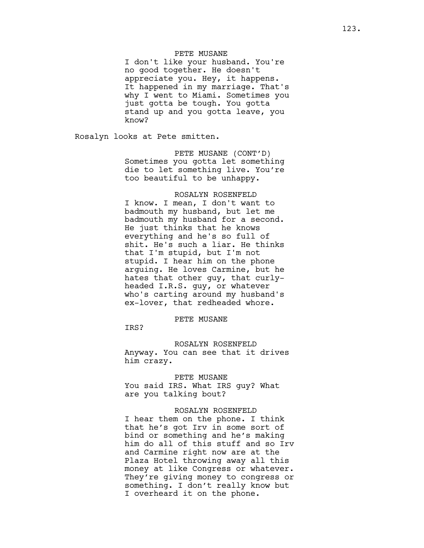### PETE MUSANE

I don't like your husband. You're no good together. He doesn't appreciate you. Hey, it happens. It happened in my marriage. That's why I went to Miami. Sometimes you just gotta be tough. You gotta stand up and you gotta leave, you know?

Rosalyn looks at Pete smitten.

PETE MUSANE (CONT'D) Sometimes you gotta let something die to let something live. You're too beautiful to be unhappy.

### ROSALYN ROSENFELD

I know. I mean, I don't want to badmouth my husband, but let me badmouth my husband for a second. He just thinks that he knows everything and he's so full of shit. He's such a liar. He thinks that I'm stupid, but I'm not stupid. I hear him on the phone arguing. He loves Carmine, but he hates that other guy, that curlyheaded I.R.S. guy, or whatever who's carting around my husband's ex-lover, that redheaded whore.

#### PETE MUSANE

IRS?

ROSALYN ROSENFELD Anyway. You can see that it drives him crazy.

PETE MUSANE

You said IRS. What IRS guy? What are you talking bout?

#### ROSALYN ROSENFELD

I hear them on the phone. I think that he's got Irv in some sort of bind or something and he's making him do all of this stuff and so Irv and Carmine right now are at the Plaza Hotel throwing away all this money at like Congress or whatever. They're giving money to congress or something. I don't really know but I overheard it on the phone.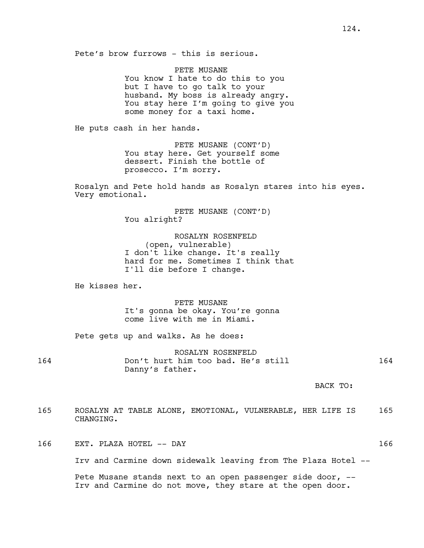Pete's brow furrows - this is serious.

PETE MUSANE You know I hate to do this to you but I have to go talk to your husband. My boss is already angry. You stay here I'm going to give you some money for a taxi home.

He puts cash in her hands.

PETE MUSANE (CONT'D) You stay here. Get yourself some dessert. Finish the bottle of prosecco. I'm sorry.

Rosalyn and Pete hold hands as Rosalyn stares into his eyes. Very emotional.

> PETE MUSANE (CONT'D) You alright?

ROSALYN ROSENFELD (open, vulnerable) I don't like change. It's really hard for me. Sometimes I think that I'll die before I change.

He kisses her.

PETE MUSANE It's gonna be okay. You're gonna come live with me in Miami.

Pete gets up and walks. As he does:

ROSALYN ROSENFELD 164 Don't hurt him too bad. He's still 164 Danny's father.

BACK TO:

- 165 ROSALYN AT TABLE ALONE, EMOTIONAL, VULNERABLE, HER LIFE IS 165 CHANGING.
- 166 EXT. PLAZA HOTEL -- DAY 166

Irv and Carmine down sidewalk leaving from The Plaza Hotel --

Pete Musane stands next to an open passenger side door, -- Irv and Carmine do not move, they stare at the open door.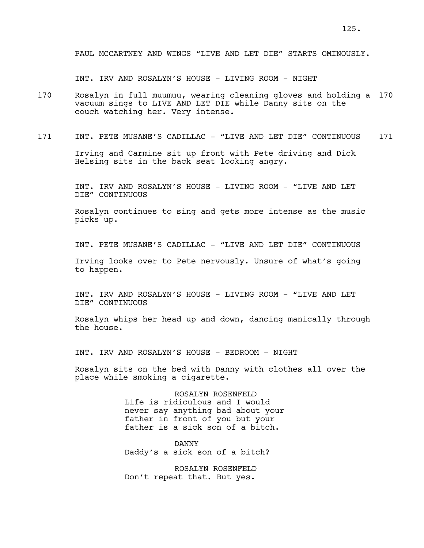PAUL MCCARTNEY AND WINGS "LIVE AND LET DIE" STARTS OMINOUSLY.

INT. IRV AND ROSALYN'S HOUSE - LIVING ROOM - NIGHT

- 170 Rosalyn in full muumuu, wearing cleaning gloves and holding a 170 vacuum sings to LIVE AND LET DIE while Danny sits on the couch watching her. Very intense.
- 171 INT. PETE MUSANE'S CADILLAC "LIVE AND LET DIE" CONTINUOUS 171

Irving and Carmine sit up front with Pete driving and Dick Helsing sits in the back seat looking angry.

INT. IRV AND ROSALYN'S HOUSE - LIVING ROOM - "LIVE AND LET DIE" CONTINUOUS

Rosalyn continues to sing and gets more intense as the music picks up.

INT. PETE MUSANE'S CADILLAC - "LIVE AND LET DIE" CONTINUOUS

Irving looks over to Pete nervously. Unsure of what's going to happen.

INT. IRV AND ROSALYN'S HOUSE - LIVING ROOM - "LIVE AND LET DIE" CONTINUOUS

Rosalyn whips her head up and down, dancing manically through the house.

INT. IRV AND ROSALYN'S HOUSE - BEDROOM - NIGHT

Rosalyn sits on the bed with Danny with clothes all over the place while smoking a cigarette.

> ROSALYN ROSENFELD Life is ridiculous and I would never say anything bad about your father in front of you but your father is a sick son of a bitch.

DANNY Daddy's a sick son of a bitch?

ROSALYN ROSENFELD Don't repeat that. But yes.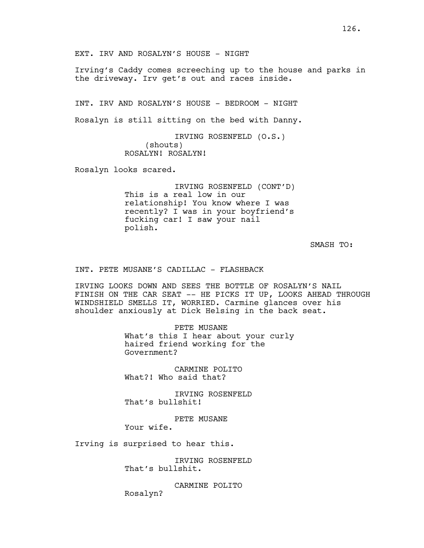EXT. IRV AND ROSALYN'S HOUSE - NIGHT

Irving's Caddy comes screeching up to the house and parks in the driveway. Irv get's out and races inside.

INT. IRV AND ROSALYN'S HOUSE - BEDROOM - NIGHT

Rosalyn is still sitting on the bed with Danny.

IRVING ROSENFELD (O.S.) (shouts) ROSALYN! ROSALYN!

Rosalyn looks scared.

IRVING ROSENFELD (CONT'D) This is a real low in our relationship! You know where I was recently? I was in your boyfriend's fucking car! I saw your nail polish.

SMASH TO:

INT. PETE MUSANE'S CADILLAC - FLASHBACK

IRVING LOOKS DOWN AND SEES THE BOTTLE OF ROSALYN'S NAIL FINISH ON THE CAR SEAT -- HE PICKS IT UP, LOOKS AHEAD THROUGH WINDSHIELD SMELLS IT, WORRIED. Carmine glances over his shoulder anxiously at Dick Helsing in the back seat.

> PETE MUSANE What's this I hear about your curly haired friend working for the Government?

CARMINE POLITO What?! Who said that?

IRVING ROSENFELD That's bullshit!

PETE MUSANE Your wife.

Irving is surprised to hear this.

IRVING ROSENFELD That's bullshit.

CARMINE POLITO Rosalyn?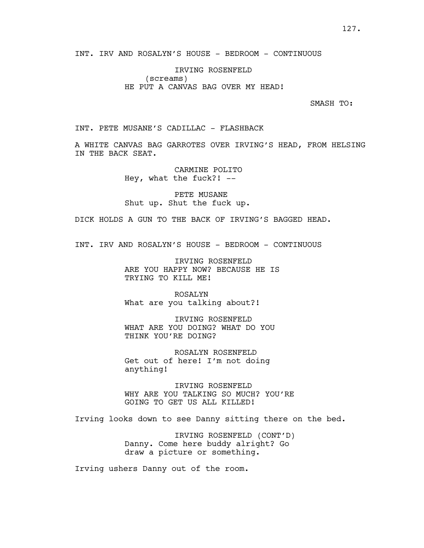INT. IRV AND ROSALYN'S HOUSE - BEDROOM - CONTINUOUS

IRVING ROSENFELD (screams) HE PUT A CANVAS BAG OVER MY HEAD!

SMASH TO:

INT. PETE MUSANE'S CADILLAC - FLASHBACK

A WHITE CANVAS BAG GARROTES OVER IRVING'S HEAD, FROM HELSING IN THE BACK SEAT.

> CARMINE POLITO Hey, what the fuck?! --

PETE MUSANE Shut up. Shut the fuck up.

DICK HOLDS A GUN TO THE BACK OF IRVING'S BAGGED HEAD.

INT. IRV AND ROSALYN'S HOUSE - BEDROOM - CONTINUOUS

IRVING ROSENFELD ARE YOU HAPPY NOW? BECAUSE HE IS TRYING TO KILL ME!

ROSALYN What are you talking about?!

IRVING ROSENFELD WHAT ARE YOU DOING? WHAT DO YOU THINK YOU'RE DOING?

ROSALYN ROSENFELD Get out of here! I'm not doing anything!

IRVING ROSENFELD WHY ARE YOU TALKING SO MUCH? YOU'RE GOING TO GET US ALL KILLED!

Irving looks down to see Danny sitting there on the bed.

IRVING ROSENFELD (CONT'D) Danny. Come here buddy alright? Go draw a picture or something.

Irving ushers Danny out of the room.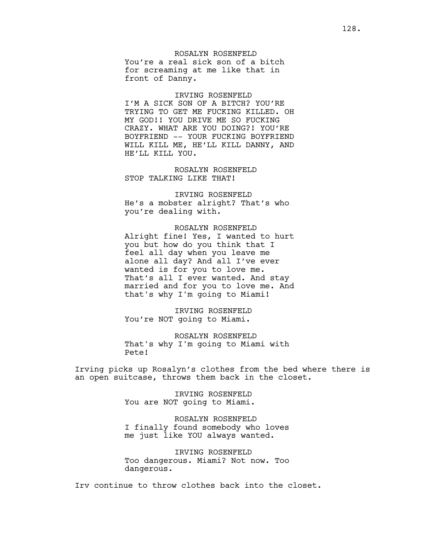ROSALYN ROSENFELD You're a real sick son of a bitch for screaming at me like that in front of Danny.

IRVING ROSENFELD I'M A SICK SON OF A BITCH? YOU'RE TRYING TO GET ME FUCKING KILLED. OH MY GOD!! YOU DRIVE ME SO FUCKING CRAZY. WHAT ARE YOU DOING?! YOU'RE BOYFRIEND -- YOUR FUCKING BOYFRIEND WILL KILL ME, HE'LL KILL DANNY, AND HE'LL KILL YOU.

ROSALYN ROSENFELD STOP TALKING LIKE THAT!

IRVING ROSENFELD He's a mobster alright? That's who you're dealing with.

ROSALYN ROSENFELD Alright fine! Yes, I wanted to hurt you but how do you think that I feel all day when you leave me alone all day? And all I've ever wanted is for you to love me. That's all I ever wanted. And stay married and for you to love me. And that's why I'm going to Miami!

IRVING ROSENFELD You're NOT going to Miami.

ROSALYN ROSENFELD That's why I'm going to Miami with Pete!

Irving picks up Rosalyn's clothes from the bed where there is an open suitcase, throws them back in the closet.

> IRVING ROSENFELD You are NOT going to Miami.

ROSALYN ROSENFELD I finally found somebody who loves me just like YOU always wanted.

IRVING ROSENFELD Too dangerous. Miami? Not now. Too dangerous.

Irv continue to throw clothes back into the closet.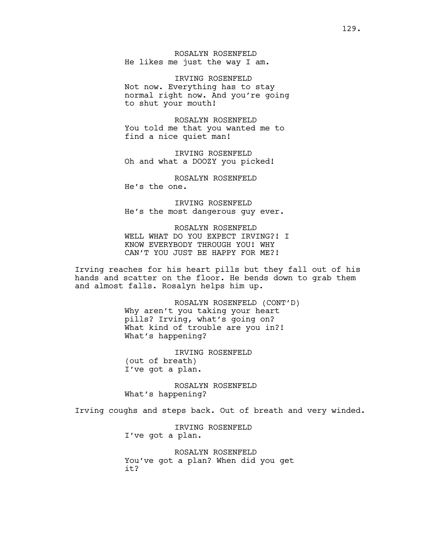ROSALYN ROSENFELD He likes me just the way I am.

IRVING ROSENFELD Not now. Everything has to stay normal right now. And you're going to shut your mouth!

ROSALYN ROSENFELD You told me that you wanted me to find a nice quiet man!

IRVING ROSENFELD Oh and what a DOOZY you picked!

ROSALYN ROSENFELD He's the one.

IRVING ROSENFELD He's the most dangerous guy ever.

ROSALYN ROSENFELD WELL WHAT DO YOU EXPECT IRVING?! I KNOW EVERYBODY THROUGH YOU! WHY CAN'T YOU JUST BE HAPPY FOR ME?!

Irving reaches for his heart pills but they fall out of his hands and scatter on the floor. He bends down to grab them and almost falls. Rosalyn helps him up.

> ROSALYN ROSENFELD (CONT'D) Why aren't you taking your heart pills? Irving, what's going on? What kind of trouble are you in?! What's happening?

IRVING ROSENFELD (out of breath) I've got a plan.

ROSALYN ROSENFELD What's happening?

Irving coughs and steps back. Out of breath and very winded.

IRVING ROSENFELD I've got a plan.

ROSALYN ROSENFELD You've got a plan? When did you get it?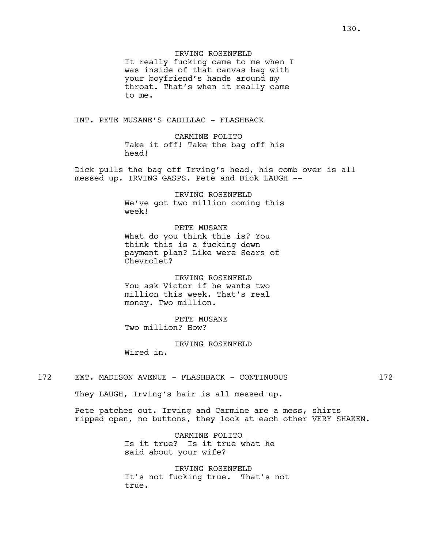IRVING ROSENFELD

It really fucking came to me when I was inside of that canvas bag with your boyfriend's hands around my throat. That's when it really came to me.

INT. PETE MUSANE'S CADILLAC - FLASHBACK

CARMINE POLITO Take it off! Take the bag off his head!

Dick pulls the bag off Irving's head, his comb over is all messed up. IRVING GASPS. Pete and Dick LAUGH --

> IRVING ROSENFELD We've got two million coming this week!

PETE MUSANE What do you think this is? You think this is a fucking down payment plan? Like were Sears of Chevrolet?

IRVING ROSENFELD You ask Victor if he wants two million this week. That's real money. Two million.

PETE MUSANE Two million? How?

IRVING ROSENFELD Wired in.

172 EXT. MADISON AVENUE - FLASHBACK - CONTINUOUS 172

They LAUGH, Irving's hair is all messed up.

Pete patches out. Irving and Carmine are a mess, shirts ripped open, no buttons, they look at each other VERY SHAKEN.

> CARMINE POLITO Is it true? Is it true what he said about your wife?

IRVING ROSENFELD It's not fucking true. That's not true.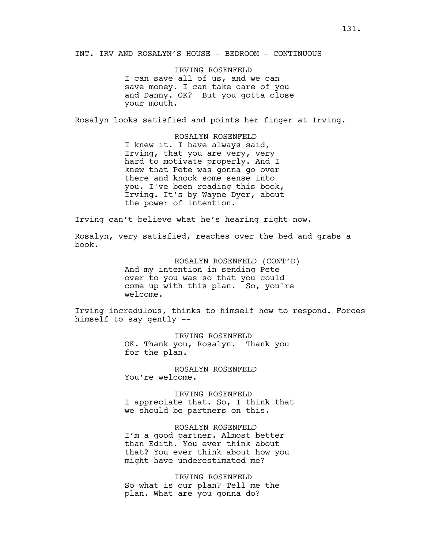INT. IRV AND ROSALYN'S HOUSE - BEDROOM - CONTINUOUS

IRVING ROSENFELD I can save all of us, and we can save money. I can take care of you and Danny. OK? But you gotta close your mouth.

Rosalyn looks satisfied and points her finger at Irving.

ROSALYN ROSENFELD I knew it. I have always said, Irving, that you are very, very hard to motivate properly. And I knew that Pete was gonna go over there and knock some sense into you. I've been reading this book, Irving. It's by Wayne Dyer, about the power of intention.

Irving can't believe what he's hearing right now.

Rosalyn, very satisfied, reaches over the bed and grabs a book.

> ROSALYN ROSENFELD (CONT'D) And my intention in sending Pete over to you was so that you could come up with this plan. So, you're welcome.

Irving incredulous, thinks to himself how to respond. Forces himself to say gently --

> IRVING ROSENFELD OK. Thank you, Rosalyn. Thank you for the plan.

ROSALYN ROSENFELD You're welcome.

IRVING ROSENFELD I appreciate that. So, I think that we should be partners on this.

ROSALYN ROSENFELD I'm a good partner. Almost better than Edith. You ever think about that? You ever think about how you might have underestimated me?

IRVING ROSENFELD So what is our plan? Tell me the plan. What are you gonna do?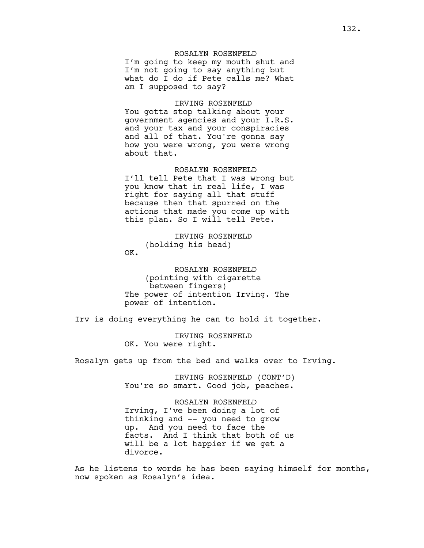# ROSALYN ROSENFELD

I'm going to keep my mouth shut and I'm not going to say anything but what do I do if Pete calls me? What am I supposed to say?

#### IRVING ROSENFELD

You gotta stop talking about your government agencies and your I.R.S. and your tax and your conspiracies and all of that. You're gonna say how you were wrong, you were wrong about that.

#### ROSALYN ROSENFELD

I'll tell Pete that I was wrong but you know that in real life, I was right for saying all that stuff because then that spurred on the actions that made you come up with this plan. So I will tell Pete.

IRVING ROSENFELD (holding his head) OK.

ROSALYN ROSENFELD (pointing with cigarette between fingers) The power of intention Irving. The power of intention.

Irv is doing everything he can to hold it together.

IRVING ROSENFELD OK. You were right.

Rosalyn gets up from the bed and walks over to Irving.

IRVING ROSENFELD (CONT'D) You're so smart. Good job, peaches.

ROSALYN ROSENFELD Irving, I've been doing a lot of thinking and -- you need to grow up. And you need to face the facts. And I think that both of us will be a lot happier if we get a divorce.

As he listens to words he has been saying himself for months, now spoken as Rosalyn's idea.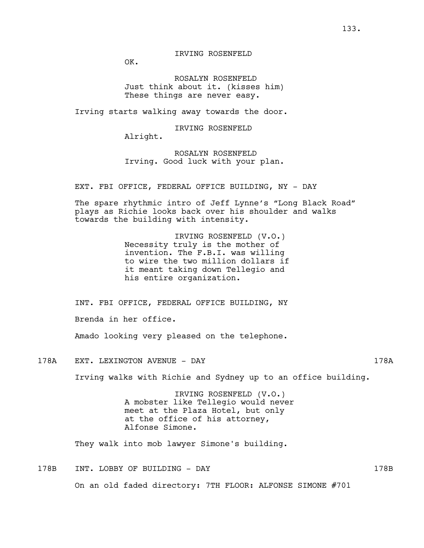OK.

ROSALYN ROSENFELD Just think about it. (kisses him) These things are never easy.

Irving starts walking away towards the door.

IRVING ROSENFELD

Alright.

ROSALYN ROSENFELD Irving. Good luck with your plan.

EXT. FBI OFFICE, FEDERAL OFFICE BUILDING, NY - DAY

The spare rhythmic intro of Jeff Lynne's "Long Black Road" plays as Richie looks back over his shoulder and walks towards the building with intensity.

> IRVING ROSENFELD (V.O.) Necessity truly is the mother of invention. The F.B.I. was willing to wire the two million dollars if it meant taking down Tellegio and his entire organization.

INT. FBI OFFICE, FEDERAL OFFICE BUILDING, NY

Brenda in her office.

Amado looking very pleased on the telephone.

178A EXT. LEXINGTON AVENUE - DAY 178A

Irving walks with Richie and Sydney up to an office building.

IRVING ROSENFELD (V.O.) A mobster like Tellegio would never meet at the Plaza Hotel, but only at the office of his attorney, Alfonse Simone.

They walk into mob lawyer Simone's building.

178B INT. LOBBY OF BUILDING - DAY 178B On an old faded directory: 7TH FLOOR: ALFONSE SIMONE #701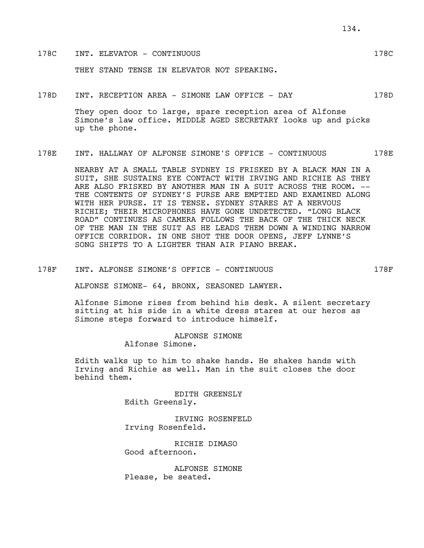## 178C INT. ELEVATOR - CONTINUOUS 178C

THEY STAND TENSE IN ELEVATOR NOT SPEAKING.

178D INT. RECEPTION AREA - SIMONE LAW OFFICE - DAY 178D

They open door to large, spare reception area of Alfonse Simone's law office. MIDDLE AGED SECRETARY looks up and picks up the phone.

178E INT. HALLWAY OF ALFONSE SIMONE'S OFFICE - CONTINUOUS 178E

NEARBY AT A SMALL TABLE SYDNEY IS FRISKED BY A BLACK MAN IN A SUIT, SHE SUSTAINS EYE CONTACT WITH IRVING AND RICHIE AS THEY ARE ALSO FRISKED BY ANOTHER MAN IN A SUIT ACROSS THE ROOM. --THE CONTENTS OF SYDNEY'S PURSE ARE EMPTIED AND EXAMINED ALONG WITH HER PURSE. IT IS TENSE. SYDNEY STARES AT A NERVOUS RICHIE; THEIR MICROPHONES HAVE GONE UNDETECTED. "LONG BLACK ROAD" CONTINUES AS CAMERA FOLLOWS THE BACK OF THE THICK NECK OF THE MAN IN THE SUIT AS HE LEADS THEM DOWN A WINDING NARROW OFFICE CORRIDOR. IN ONE SHOT THE DOOR OPENS, JEFF LYNNE'S SONG SHIFTS TO A LIGHTER THAN AIR PIANO BREAK.

178F INT. ALFONSE SIMONE'S OFFICE - CONTINUOUS 178F

ALFONSE SIMONE- 64, BRONX, SEASONED LAWYER.

Alfonse Simone rises from behind his desk. A silent secretary sitting at his side in a white dress stares at our heros as Simone steps forward to introduce himself.

> ALFONSE SIMONE Alfonse Simone.

Edith walks up to him to shake hands. He shakes hands with Irving and Richie as well. Man in the suit closes the door behind them.

> EDITH GREENSLY Edith Greensly.

IRVING ROSENFELD Irving Rosenfeld.

RICHIE DIMASO Good afternoon.

ALFONSE SIMONE Please, be seated.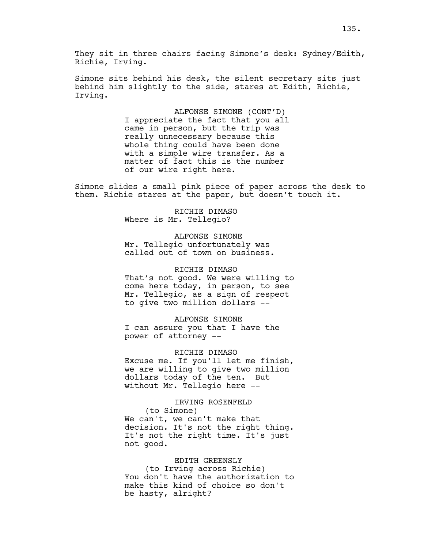They sit in three chairs facing Simone's desk: Sydney/Edith, Richie, Irving.

Simone sits behind his desk, the silent secretary sits just behind him slightly to the side, stares at Edith, Richie, Irving.

> ALFONSE SIMONE (CONT'D) I appreciate the fact that you all came in person, but the trip was really unnecessary because this whole thing could have been done with a simple wire transfer. As a matter of fact this is the number of our wire right here.

Simone slides a small pink piece of paper across the desk to them. Richie stares at the paper, but doesn't touch it.

> RICHIE DIMASO Where is Mr. Tellegio?

ALFONSE SIMONE Mr. Tellegio unfortunately was called out of town on business.

RICHIE DIMASO That's not good. We were willing to come here today, in person, to see Mr. Tellegio, as a sign of respect to give two million dollars --

ALFONSE SIMONE I can assure you that I have the power of attorney --

RICHIE DIMASO Excuse me. If you'll let me finish, we are willing to give two million dollars today of the ten. But without Mr. Tellegio here --

# IRVING ROSENFELD (to Simone) We can't, we can't make that decision. It's not the right thing. It's not the right time. It's just not good.

#### EDITH GREENSLY

(to Irving across Richie) You don't have the authorization to make this kind of choice so don't be hasty, alright?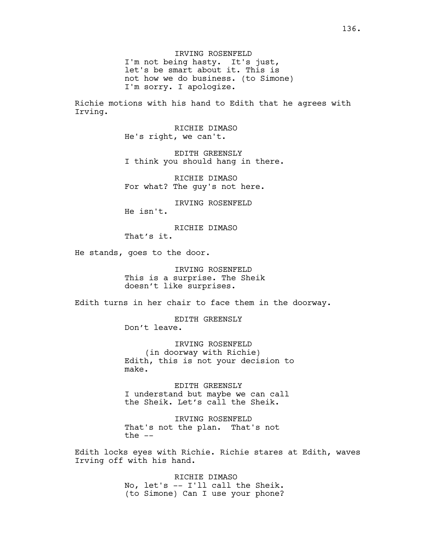IRVING ROSENFELD I'm not being hasty. It's just, let's be smart about it. This is not how we do business. (to Simone) I'm sorry. I apologize.

Richie motions with his hand to Edith that he agrees with Irving.

> RICHIE DIMASO He's right, we can't.

EDITH GREENSLY I think you should hang in there.

RICHIE DIMASO For what? The guy's not here.

IRVING ROSENFELD He isn't.

RICHIE DIMASO

That's it.

He stands, goes to the door.

IRVING ROSENFELD This is a surprise. The Sheik doesn't like surprises.

Edith turns in her chair to face them in the doorway.

EDITH GREENSLY Don't leave.

IRVING ROSENFELD (in doorway with Richie) Edith, this is not your decision to make.

EDITH GREENSLY I understand but maybe we can call the Sheik. Let's call the Sheik.

IRVING ROSENFELD That's not the plan. That's not the  $--$ 

Edith locks eyes with Richie. Richie stares at Edith, waves Irving off with his hand.

> RICHIE DIMASO No, let's -- I'll call the Sheik. (to Simone) Can I use your phone?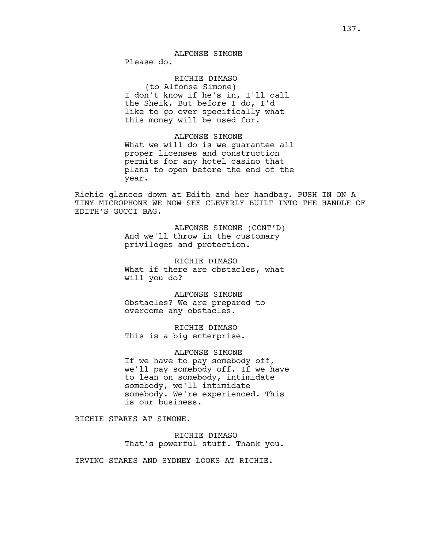# ALFONSE SIMONE

Please do.

# RICHIE DIMASO

(to Alfonse Simone) I don't know if he's in, I'll call the Sheik. But before I do, I'd like to go over specifically what this money will be used for.

### ALFONSE SIMONE

What we will do is we guarantee all proper licenses and construction permits for any hotel casino that plans to open before the end of the year.

Richie glances down at Edith and her handbag. PUSH IN ON A TINY MICROPHONE WE NOW SEE CLEVERLY BUILT INTO THE HANDLE OF EDITH'S GUCCI BAG.

> ALFONSE SIMONE (CONT'D) And we'll throw in the customary privileges and protection.

> RICHIE DIMASO What if there are obstacles, what will you do?

ALFONSE SIMONE Obstacles? We are prepared to overcome any obstacles.

RICHIE DIMASO This is a big enterprise.

ALFONSE SIMONE If we have to pay somebody off, we'll pay somebody off. If we have to lean on somebody, intimidate somebody, we'll intimidate somebody. We're experienced. This is our business.

RICHIE STARES AT SIMONE.

RICHIE DIMASO That's powerful stuff. Thank you.

IRVING STARES AND SYDNEY LOOKS AT RICHIE.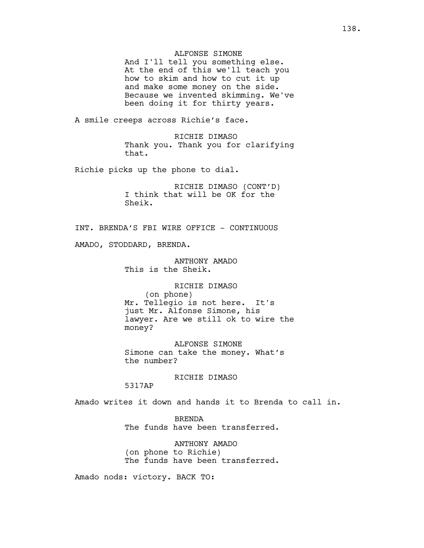## ALFONSE SIMONE

And I'll tell you something else. At the end of this we'll teach you how to skim and how to cut it up and make some money on the side. Because we invented skimming. We've been doing it for thirty years.

A smile creeps across Richie's face.

RICHIE DIMASO Thank you. Thank you for clarifying that.

Richie picks up the phone to dial.

RICHIE DIMASO (CONT'D) I think that will be OK for the Sheik.

INT. BRENDA'S FBI WIRE OFFICE - CONTINUOUS

AMADO, STODDARD, BRENDA.

ANTHONY AMADO This is the Sheik.

RICHIE DIMASO (on phone) Mr. Tellegio is not here. It's just Mr. Alfonse Simone, his lawyer. Are we still ok to wire the money?

ALFONSE SIMONE Simone can take the money. What's the number?

RICHIE DIMASO

5317AP

Amado writes it down and hands it to Brenda to call in.

BRENDA The funds have been transferred.

ANTHONY AMADO (on phone to Richie) The funds have been transferred.

Amado nods: victory. BACK TO: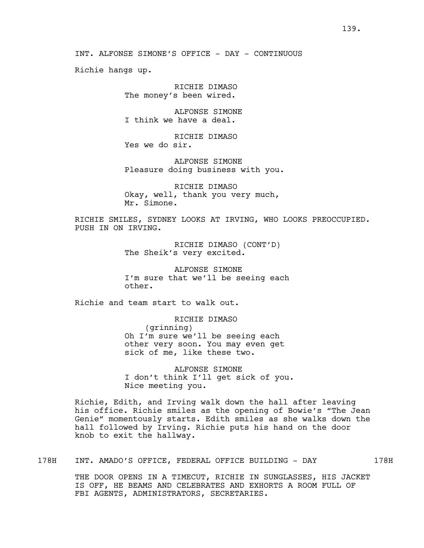Richie hangs up.

RICHIE DIMASO The money's been wired.

ALFONSE SIMONE I think we have a deal.

RICHIE DIMASO Yes we do sir.

ALFONSE SIMONE Pleasure doing business with you.

RICHIE DIMASO Okay, well, thank you very much, Mr. Simone.

RICHIE SMILES, SYDNEY LOOKS AT IRVING, WHO LOOKS PREOCCUPIED. PUSH IN ON IRVING.

> RICHIE DIMASO (CONT'D) The Sheik's very excited.

ALFONSE SIMONE I'm sure that we'll be seeing each other.

Richie and team start to walk out.

RICHIE DIMASO (grinning) Oh I'm sure we'll be seeing each other very soon. You may even get sick of me, like these two.

ALFONSE SIMONE I don't think I'll get sick of you. Nice meeting you.

Richie, Edith, and Irving walk down the hall after leaving his office. Richie smiles as the opening of Bowie's "The Jean Genie" momentously starts. Edith smiles as she walks down the hall followed by Irving. Richie puts his hand on the door knob to exit the hallway.

178H INT. AMADO'S OFFICE, FEDERAL OFFICE BUILDING - DAY 178H

THE DOOR OPENS IN A TIMECUT, RICHIE IN SUNGLASSES, HIS JACKET IS OFF, HE BEAMS AND CELEBRATES AND EXHORTS A ROOM FULL OF FBI AGENTS, ADMINISTRATORS, SECRETARIES.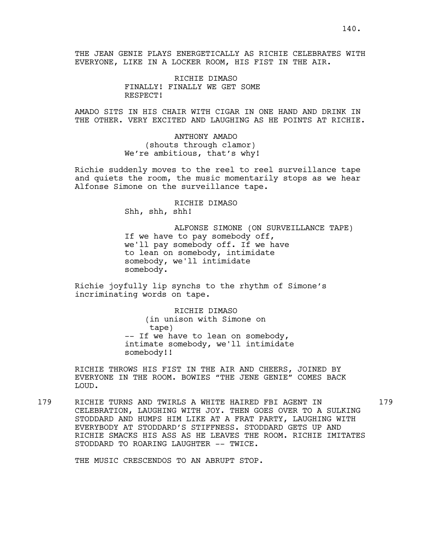THE JEAN GENIE PLAYS ENERGETICALLY AS RICHIE CELEBRATES WITH EVERYONE, LIKE IN A LOCKER ROOM, HIS FIST IN THE AIR.

> RICHIE DIMASO FINALLY! FINALLY WE GET SOME RESPECT!

AMADO SITS IN HIS CHAIR WITH CIGAR IN ONE HAND AND DRINK IN THE OTHER. VERY EXCITED AND LAUGHING AS HE POINTS AT RICHIE.

> ANTHONY AMADO (shouts through clamor) We're ambitious, that's why!

Richie suddenly moves to the reel to reel surveillance tape and quiets the room, the music momentarily stops as we hear Alfonse Simone on the surveillance tape.

> RICHIE DIMASO Shh, shh, shh!

ALFONSE SIMONE (ON SURVEILLANCE TAPE) If we have to pay somebody off, we'll pay somebody off. If we have to lean on somebody, intimidate somebody, we'll intimidate somebody.

Richie joyfully lip synchs to the rhythm of Simone's incriminating words on tape.

> RICHIE DIMASO (in unison with Simone on tape) -- If we have to lean on somebody, intimate somebody, we'll intimidate somebody!!

RICHIE THROWS HIS FIST IN THE AIR AND CHEERS, JOINED BY EVERYONE IN THE ROOM. BOWIES "THE JENE GENIE" COMES BACK LOUD.

179 RICHIE TURNS AND TWIRLS A WHITE HAIRED FBI AGENT IN 179 CELEBRATION, LAUGHING WITH JOY. THEN GOES OVER TO A SULKING STODDARD AND HUMPS HIM LIKE AT A FRAT PARTY, LAUGHING WITH EVERYBODY AT STODDARD'S STIFFNESS. STODDARD GETS UP AND RICHIE SMACKS HIS ASS AS HE LEAVES THE ROOM. RICHIE IMITATES STODDARD TO ROARING LAUGHTER -- TWICE.

THE MUSIC CRESCENDOS TO AN ABRUPT STOP.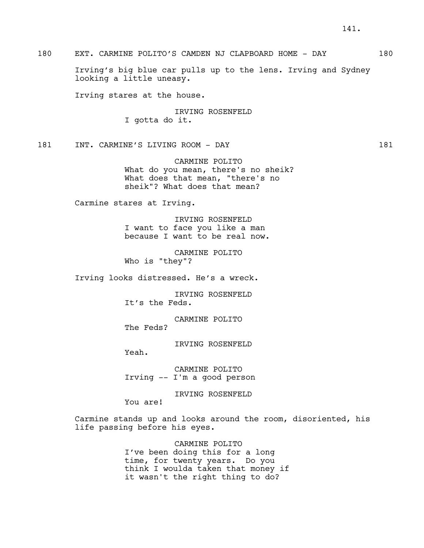180 EXT. CARMINE POLITO'S CAMDEN NJ CLAPBOARD HOME - DAY 180

Irving's big blue car pulls up to the lens. Irving and Sydney looking a little uneasy.

Irving stares at the house.

IRVING ROSENFELD I gotta do it.

181 INT. CARMINE'S LIVING ROOM - DAY 181

CARMINE POLITO What do you mean, there's no sheik? What does that mean, "there's no sheik"? What does that mean?

Carmine stares at Irving.

IRVING ROSENFELD I want to face you like a man because I want to be real now.

CARMINE POLITO Who is "they"?

Irving looks distressed. He's a wreck.

IRVING ROSENFELD It's the Feds.

CARMINE POLITO The Feds?

IRVING ROSENFELD

Yeah.

CARMINE POLITO Irving -- I'm a good person

IRVING ROSENFELD

You are!

Carmine stands up and looks around the room, disoriented, his life passing before his eyes.

> CARMINE POLITO I've been doing this for a long time, for twenty years. Do you think I woulda taken that money if it wasn't the right thing to do?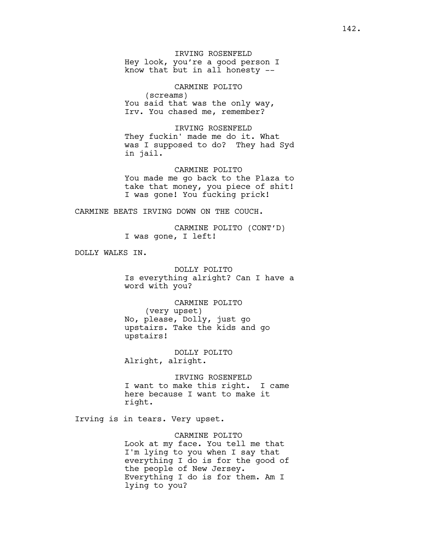IRVING ROSENFELD Hey look, you're a good person I know that but in all honesty --

CARMINE POLITO (screams) You said that was the only way, Irv. You chased me, remember?

IRVING ROSENFELD They fuckin' made me do it. What was I supposed to do? They had Syd in jail.

CARMINE POLITO You made me go back to the Plaza to take that money, you piece of shit! I was gone! You fucking prick!

CARMINE BEATS IRVING DOWN ON THE COUCH.

CARMINE POLITO (CONT'D) I was gone, I left!

DOLLY WALKS IN.

DOLLY POLITO Is everything alright? Can I have a word with you?

CARMINE POLITO (very upset) No, please, Dolly, just go upstairs. Take the kids and go upstairs!

DOLLY POLITO Alright, alright.

IRVING ROSENFELD I want to make this right. I came here because I want to make it right.

Irving is in tears. Very upset.

CARMINE POLITO Look at my face. You tell me that I'm lying to you when I say that everything I do is for the good of the people of New Jersey. Everything I do is for them. Am I lying to you?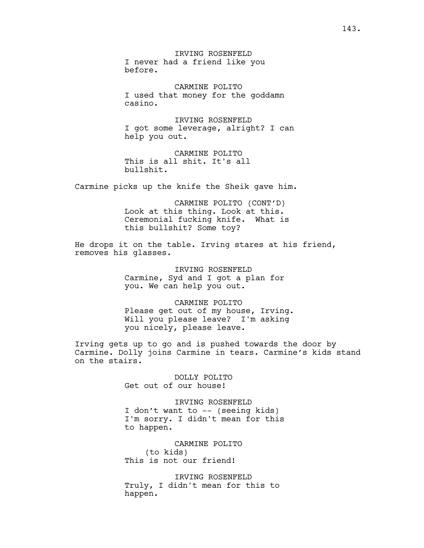IRVING ROSENFELD I never had a friend like you before.

CARMINE POLITO I used that money for the goddamn casino.

IRVING ROSENFELD I got some leverage, alright? I can help you out.

CARMINE POLITO This is all shit. It's all bullshit.

Carmine picks up the knife the Sheik gave him.

CARMINE POLITO (CONT'D) Look at this thing. Look at this. Ceremonial fucking knife. What is this bullshit? Some toy?

He drops it on the table. Irving stares at his friend, removes his glasses.

> IRVING ROSENFELD Carmine, Syd and I got a plan for you. We can help you out.

CARMINE POLITO Please get out of my house, Irving. Will you please leave? I'm asking you nicely, please leave.

Irving gets up to go and is pushed towards the door by Carmine. Dolly joins Carmine in tears. Carmine's kids stand on the stairs.

> DOLLY POLITO Get out of our house!

IRVING ROSENFELD I don't want to -- (seeing kids) I'm sorry. I didn't mean for this to happen.

CARMINE POLITO (to kids) This is not our friend!

IRVING ROSENFELD Truly, I didn't mean for this to happen.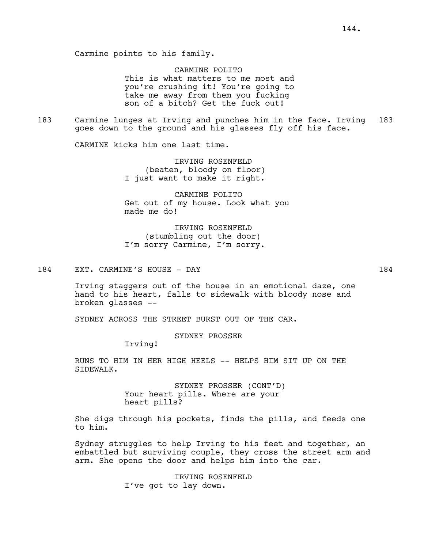CARMINE POLITO This is what matters to me most and you're crushing it! You're going to take me away from them you fucking son of a bitch? Get the fuck out!

183 Carmine lunges at Irving and punches him in the face. Irving 183 goes down to the ground and his glasses fly off his face.

CARMINE kicks him one last time.

IRVING ROSENFELD (beaten, bloody on floor) I just want to make it right.

CARMINE POLITO Get out of my house. Look what you made me do!

IRVING ROSENFELD (stumbling out the door) I'm sorry Carmine, I'm sorry.

### 184 EXT. CARMINE'S HOUSE - DAY 184

Irving staggers out of the house in an emotional daze, one hand to his heart, falls to sidewalk with bloody nose and broken glasses --

SYDNEY ACROSS THE STREET BURST OUT OF THE CAR.

SYDNEY PROSSER

Irving!

RUNS TO HIM IN HER HIGH HEELS -- HELPS HIM SIT UP ON THE SIDEWALK.

> SYDNEY PROSSER (CONT'D) Your heart pills. Where are your heart pills?

She digs through his pockets, finds the pills, and feeds one to him.

Sydney struggles to help Irving to his feet and together, an embattled but surviving couple, they cross the street arm and arm. She opens the door and helps him into the car.

> IRVING ROSENFELD I've got to lay down.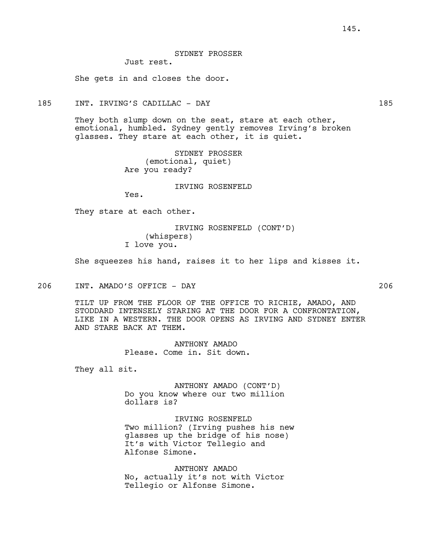SYDNEY PROSSER Just rest.

She gets in and closes the door.

185 INT. IRVING'S CADILLAC - DAY 185

They both slump down on the seat, stare at each other, emotional, humbled. Sydney gently removes Irving's broken glasses. They stare at each other, it is quiet.

> SYDNEY PROSSER (emotional, quiet) Are you ready?

> > IRVING ROSENFELD

Yes.

They stare at each other.

IRVING ROSENFELD (CONT'D) (whispers) I love you.

She squeezes his hand, raises it to her lips and kisses it.

206 INT. AMADO'S OFFICE - DAY 206

TILT UP FROM THE FLOOR OF THE OFFICE TO RICHIE, AMADO, AND STODDARD INTENSELY STARING AT THE DOOR FOR A CONFRONTATION, LIKE IN A WESTERN. THE DOOR OPENS AS IRVING AND SYDNEY ENTER AND STARE BACK AT THEM.

> ANTHONY AMADO Please. Come in. Sit down.

They all sit.

ANTHONY AMADO (CONT'D) Do you know where our two million dollars is?

IRVING ROSENFELD Two million? (Irving pushes his new glasses up the bridge of his nose) It's with Victor Tellegio and Alfonse Simone.

ANTHONY AMADO No, actually it's not with Victor Tellegio or Alfonse Simone.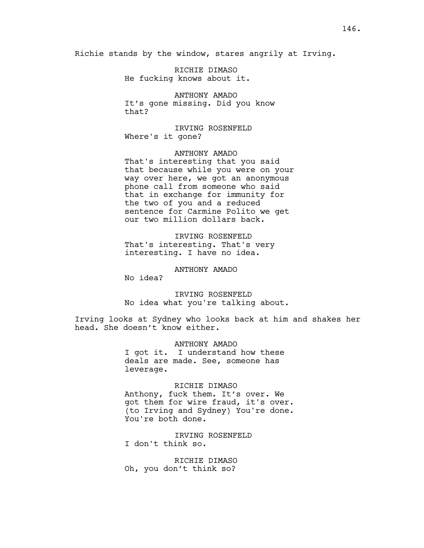Richie stands by the window, stares angrily at Irving.

RICHIE DIMASO He fucking knows about it.

ANTHONY AMADO It's gone missing. Did you know that?

IRVING ROSENFELD Where's it gone?

ANTHONY AMADO That's interesting that you said that because while you were on your way over here, we got an anonymous phone call from someone who said that in exchange for immunity for the two of you and a reduced sentence for Carmine Polito we get our two million dollars back.

IRVING ROSENFELD That's interesting. That's very interesting. I have no idea.

ANTHONY AMADO

No idea?

IRVING ROSENFELD No idea what you're talking about.

Irving looks at Sydney who looks back at him and shakes her head. She doesn't know either.

> ANTHONY AMADO I got it. I understand how these deals are made. See, someone has leverage.

RICHIE DIMASO Anthony, fuck them. It's over. We got them for wire fraud, it's over. (to Irving and Sydney) You're done. You're both done.

IRVING ROSENFELD I don't think so.

RICHIE DIMASO Oh, you don't think so?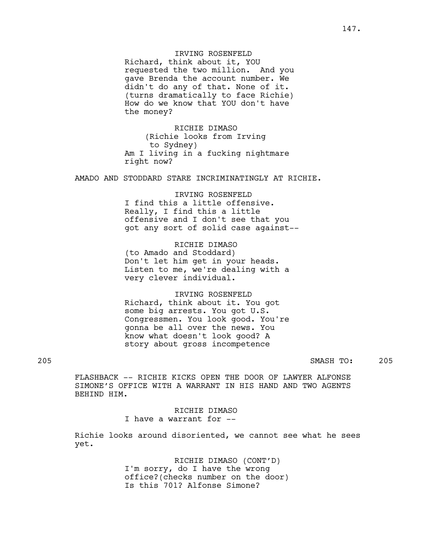### IRVING ROSENFELD

Richard, think about it, YOU requested the two million. And you gave Brenda the account number. We didn't do any of that. None of it. (turns dramatically to face Richie) How do we know that YOU don't have the money?

RICHIE DIMASO (Richie looks from Irving to Sydney) Am I living in a fucking nightmare right now?

AMADO AND STODDARD STARE INCRIMINATINGLY AT RICHIE.

# IRVING ROSENFELD I find this a little offensive. Really, I find this a little offensive and I don't see that you got any sort of solid case against--

RICHIE DIMASO (to Amado and Stoddard) Don't let him get in your heads. Listen to me, we're dealing with a very clever individual.

### IRVING ROSENFELD

Richard, think about it. You got some big arrests. You got U.S. Congressmen. You look good. You're gonna be all over the news. You know what doesn't look good? A story about gross incompetence

205 SMASH TO: 205

FLASHBACK -- RICHIE KICKS OPEN THE DOOR OF LAWYER ALFONSE SIMONE'S OFFICE WITH A WARRANT IN HIS HAND AND TWO AGENTS BEHIND HIM.

> RICHIE DIMASO I have a warrant for --

Richie looks around disoriented, we cannot see what he sees yet.

> RICHIE DIMASO (CONT'D) I'm sorry, do I have the wrong office?(checks number on the door) Is this 701? Alfonse Simone?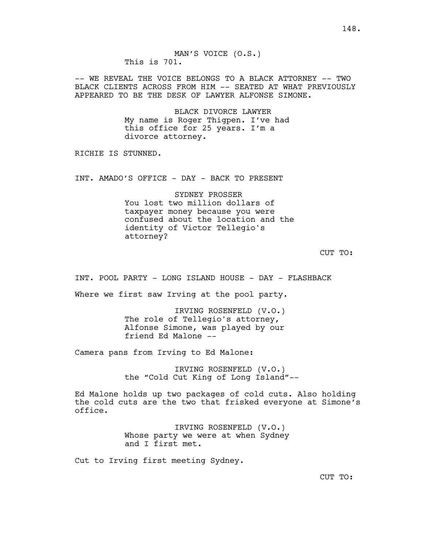148.

MAN'S VOICE (O.S.) This is 701.

-- WE REVEAL THE VOICE BELONGS TO A BLACK ATTORNEY -- TWO BLACK CLIENTS ACROSS FROM HIM -- SEATED AT WHAT PREVIOUSLY APPEARED TO BE THE DESK OF LAWYER ALFONSE SIMONE.

> BLACK DIVORCE LAWYER My name is Roger Thigpen. I've had this office for 25 years. I'm a divorce attorney.

RICHIE IS STUNNED.

INT. AMADO'S OFFICE - DAY - BACK TO PRESENT

SYDNEY PROSSER You lost two million dollars of taxpayer money because you were confused about the location and the identity of Victor Tellegio's attorney?

CUT TO:

INT. POOL PARTY - LONG ISLAND HOUSE - DAY - FLASHBACK

Where we first saw Irving at the pool party.

IRVING ROSENFELD (V.O.) The role of Tellegio's attorney, Alfonse Simone, was played by our friend Ed Malone --

Camera pans from Irving to Ed Malone:

IRVING ROSENFELD (V.O.) the "Cold Cut King of Long Island"--

Ed Malone holds up two packages of cold cuts. Also holding the cold cuts are the two that frisked everyone at Simone's office.

> IRVING ROSENFELD (V.O.) Whose party we were at when Sydney and I first met.

Cut to Irving first meeting Sydney.

CUT TO: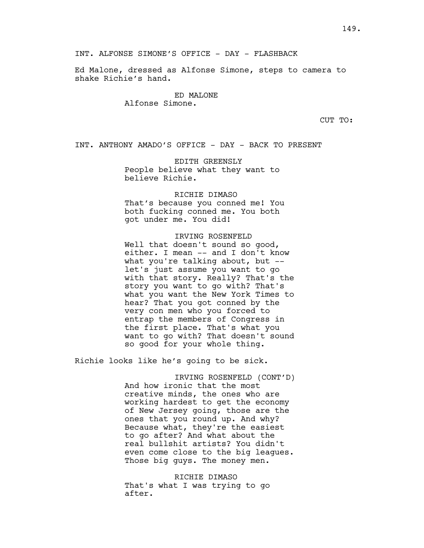INT. ALFONSE SIMONE'S OFFICE - DAY - FLASHBACK

Ed Malone, dressed as Alfonse Simone, steps to camera to shake Richie's hand.

> ED MALONE Alfonse Simone.

> > CUT TO:

INT. ANTHONY AMADO'S OFFICE - DAY - BACK TO PRESENT

EDITH GREENSLY People believe what they want to believe Richie.

RICHIE DIMASO That's because you conned me! You

both fucking conned me. You both got under me. You did!

# IRVING ROSENFELD

Well that doesn't sound so good, either. I mean -- and I don't know what you're talking about, but - let's just assume you want to go with that story. Really? That's the story you want to go with? That's what you want the New York Times to hear? That you got conned by the very con men who you forced to entrap the members of Congress in the first place. That's what you want to go with? That doesn't sound so good for your whole thing.

Richie looks like he's going to be sick.

IRVING ROSENFELD (CONT'D) And how ironic that the most creative minds, the ones who are working hardest to get the economy of New Jersey going, those are the ones that you round up. And why? Because what, they're the easiest to go after? And what about the real bullshit artists? You didn't even come close to the big leagues. Those big guys. The money men.

RICHIE DIMASO That's what I was trying to go after.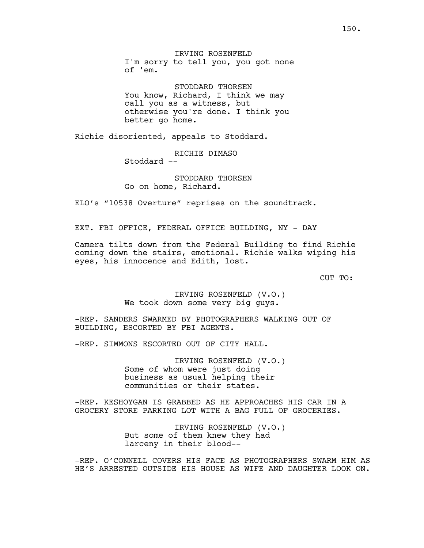IRVING ROSENFELD I'm sorry to tell you, you got none of 'em.

STODDARD THORSEN You know, Richard, I think we may call you as a witness, but otherwise you're done. I think you better go home.

Richie disoriented, appeals to Stoddard.

RICHIE DIMASO

Stoddard --

STODDARD THORSEN Go on home, Richard.

ELO's "10538 Overture" reprises on the soundtrack.

EXT. FBI OFFICE, FEDERAL OFFICE BUILDING, NY - DAY

Camera tilts down from the Federal Building to find Richie coming down the stairs, emotional. Richie walks wiping his eyes, his innocence and Edith, lost.

CUT TO:

IRVING ROSENFELD (V.O.) We took down some very big guys.

-REP. SANDERS SWARMED BY PHOTOGRAPHERS WALKING OUT OF BUILDING, ESCORTED BY FBI AGENTS.

-REP. SIMMONS ESCORTED OUT OF CITY HALL.

IRVING ROSENFELD (V.O.) Some of whom were just doing business as usual helping their communities or their states.

-REP. KESHOYGAN IS GRABBED AS HE APPROACHES HIS CAR IN A GROCERY STORE PARKING LOT WITH A BAG FULL OF GROCERIES.

> IRVING ROSENFELD (V.O.) But some of them knew they had larceny in their blood--

-REP. O'CONNELL COVERS HIS FACE AS PHOTOGRAPHERS SWARM HIM AS HE'S ARRESTED OUTSIDE HIS HOUSE AS WIFE AND DAUGHTER LOOK ON.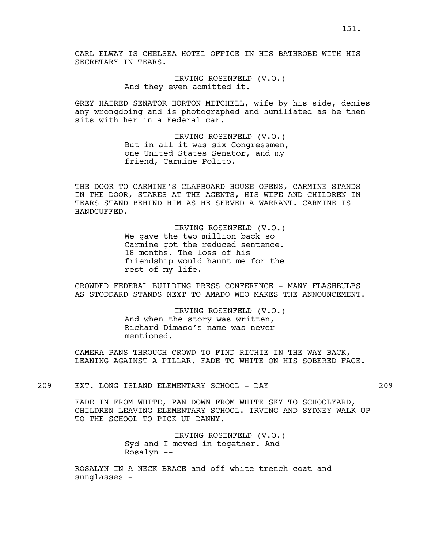IRVING ROSENFELD (V.O.) And they even admitted it.

GREY HAIRED SENATOR HORTON MITCHELL, wife by his side, denies any wrongdoing and is photographed and humiliated as he then sits with her in a Federal car.

> IRVING ROSENFELD (V.O.) But in all it was six Congressmen, one United States Senator, and my friend, Carmine Polito.

THE DOOR TO CARMINE'S CLAPBOARD HOUSE OPENS, CARMINE STANDS IN THE DOOR, STARES AT THE AGENTS, HIS WIFE AND CHILDREN IN TEARS STAND BEHIND HIM AS HE SERVED A WARRANT. CARMINE IS HANDCUFFED.

> IRVING ROSENFELD (V.O.) We gave the two million back so Carmine got the reduced sentence. 18 months. The loss of his friendship would haunt me for the rest of my life.

CROWDED FEDERAL BUILDING PRESS CONFERENCE - MANY FLASHBULBS AS STODDARD STANDS NEXT TO AMADO WHO MAKES THE ANNOUNCEMENT.

> IRVING ROSENFELD (V.O.) And when the story was written, Richard Dimaso's name was never mentioned.

CAMERA PANS THROUGH CROWD TO FIND RICHIE IN THE WAY BACK, LEANING AGAINST A PILLAR. FADE TO WHITE ON HIS SOBERED FACE.

209 EXT. LONG ISLAND ELEMENTARY SCHOOL - DAY 209

FADE IN FROM WHITE, PAN DOWN FROM WHITE SKY TO SCHOOLYARD, CHILDREN LEAVING ELEMENTARY SCHOOL. IRVING AND SYDNEY WALK UP TO THE SCHOOL TO PICK UP DANNY.

> IRVING ROSENFELD (V.O.) Syd and I moved in together. And Rosalyn --

ROSALYN IN A NECK BRACE and off white trench coat and sunglasses -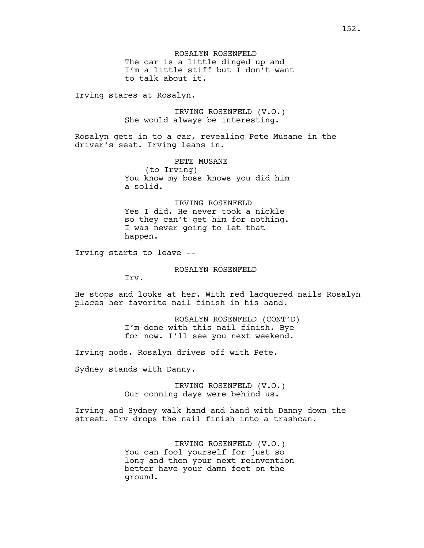Irving stares at Rosalyn.

IRVING ROSENFELD (V.O.) She would always be interesting.

Rosalyn gets in to a car, revealing Pete Musane in the driver's seat. Irving leans in.

> PETE MUSANE (to Irving) You know my boss knows you did him a solid.

# IRVING ROSENFELD Yes I did. He never took a nickle so they can't get him for nothing. I was never going to let that happen.

Irving starts to leave --

### ROSALYN ROSENFELD

Irv.

He stops and looks at her. With red lacquered nails Rosalyn places her favorite nail finish in his hand.

> ROSALYN ROSENFELD (CONT'D) I'm done with this nail finish. Bye for now. I'll see you next weekend.

Irving nods. Rosalyn drives off with Pete.

Sydney stands with Danny.

IRVING ROSENFELD (V.O.) Our conning days were behind us.

Irving and Sydney walk hand and hand with Danny down the street. Irv drops the nail finish into a trashcan.

> IRVING ROSENFELD (V.O.) You can fool yourself for just so long and then your next reinvention better have your damn feet on the ground.